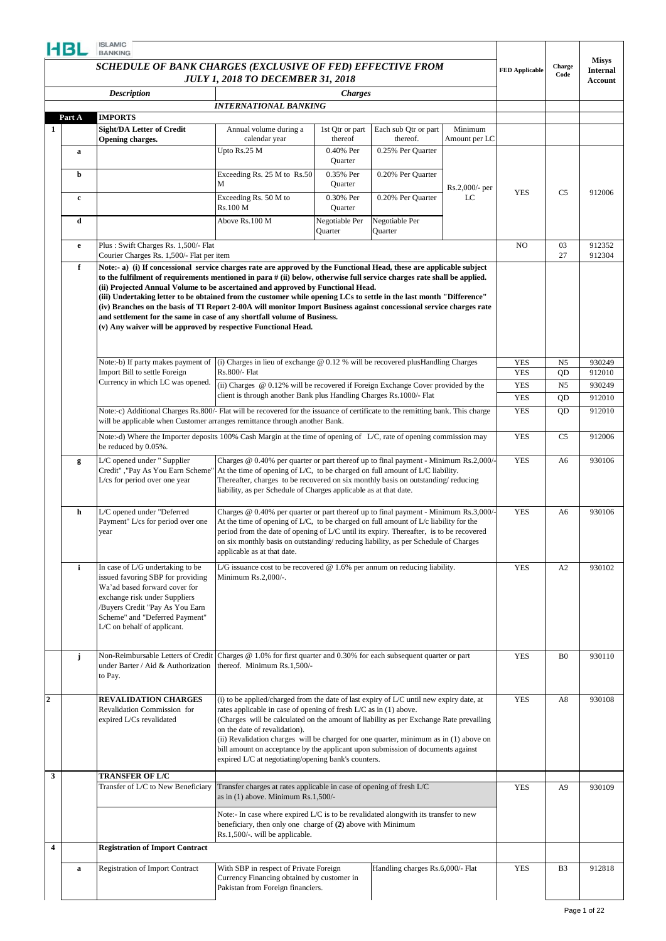|              | SCHEDULE OF BANK CHARGES (EXCLUSIVE OF FED) EFFECTIVE FROM                                                                                                                                                                                                                                                                                                                                                                                                                                                                                                                                               | <b>JULY 1, 2018 TO DECEMBER 31, 2018</b>                                                                                                                                                                                                                                                                                                                                                                                                                                                                                   |                            |                                  |                          | <b>FED Applicable</b>    | Charge<br>Code  | <b>Internal</b><br><b>Account</b> |
|--------------|----------------------------------------------------------------------------------------------------------------------------------------------------------------------------------------------------------------------------------------------------------------------------------------------------------------------------------------------------------------------------------------------------------------------------------------------------------------------------------------------------------------------------------------------------------------------------------------------------------|----------------------------------------------------------------------------------------------------------------------------------------------------------------------------------------------------------------------------------------------------------------------------------------------------------------------------------------------------------------------------------------------------------------------------------------------------------------------------------------------------------------------------|----------------------------|----------------------------------|--------------------------|--------------------------|-----------------|-----------------------------------|
|              | <b>Description</b>                                                                                                                                                                                                                                                                                                                                                                                                                                                                                                                                                                                       | <b>INTERNATIONAL BANKING</b>                                                                                                                                                                                                                                                                                                                                                                                                                                                                                               | <b>Charges</b>             |                                  |                          |                          |                 |                                   |
| Part A       | <b>IMPORTS</b>                                                                                                                                                                                                                                                                                                                                                                                                                                                                                                                                                                                           |                                                                                                                                                                                                                                                                                                                                                                                                                                                                                                                            |                            |                                  |                          |                          |                 |                                   |
|              | Sight/DA Letter of Credit<br>Opening charges.                                                                                                                                                                                                                                                                                                                                                                                                                                                                                                                                                            | Annual volume during a<br>calendar year                                                                                                                                                                                                                                                                                                                                                                                                                                                                                    | 1st Qtr or part<br>thereof | Each sub Qtr or part<br>thereof. | Minimum<br>Amount per LC |                          |                 |                                   |
| $\mathbf a$  |                                                                                                                                                                                                                                                                                                                                                                                                                                                                                                                                                                                                          | Upto Rs.25 M                                                                                                                                                                                                                                                                                                                                                                                                                                                                                                               | 0.40% Per<br>Quarter       | 0.25% Per Ouarter                |                          |                          |                 |                                   |
| b            |                                                                                                                                                                                                                                                                                                                                                                                                                                                                                                                                                                                                          | Exceeding Rs. 25 M to Rs.50<br>M                                                                                                                                                                                                                                                                                                                                                                                                                                                                                           | 0.35% Per<br>Quarter       | 0.20% Per Quarter                | $Rs.2,000/-$ per         |                          |                 |                                   |
| $\mathbf c$  |                                                                                                                                                                                                                                                                                                                                                                                                                                                                                                                                                                                                          | Exceeding Rs. 50 M to<br>Rs.100 M                                                                                                                                                                                                                                                                                                                                                                                                                                                                                          | 0.30% Per<br>Quarter       | 0.20% Per Quarter                | LC                       | <b>YES</b>               | C <sub>5</sub>  | 912006                            |
| d            |                                                                                                                                                                                                                                                                                                                                                                                                                                                                                                                                                                                                          | Above Rs.100 M                                                                                                                                                                                                                                                                                                                                                                                                                                                                                                             | Negotiable Per<br>Quarter  | Negotiable Per<br>Quarter        |                          |                          |                 |                                   |
| $\mathbf{e}$ | Plus: Swift Charges Rs. 1,500/- Flat<br>Courier Charges Rs. 1,500/- Flat per item                                                                                                                                                                                                                                                                                                                                                                                                                                                                                                                        |                                                                                                                                                                                                                                                                                                                                                                                                                                                                                                                            |                            |                                  |                          | N <sub>O</sub>           | 03<br>27        | 912352<br>912304                  |
|              | to the fulfilment of requirements mentioned in para # (ii) below, otherwise full service charges rate shall be applied.<br>(ii) Projected Annual Volume to be ascertained and approved by Functional Head.<br>(iii) Undertaking letter to be obtained from the customer while opening LCs to settle in the last month "Difference"<br>(iv) Branches on the basis of TI Report 2-00A will monitor Import Business against concessional service charges rate<br>and settlement for the same in case of any shortfall volume of Business.<br>(v) Any waiver will be approved by respective Functional Head. |                                                                                                                                                                                                                                                                                                                                                                                                                                                                                                                            |                            |                                  |                          |                          |                 |                                   |
|              | Note:-b) If party makes payment of                                                                                                                                                                                                                                                                                                                                                                                                                                                                                                                                                                       | (i) Charges in lieu of exchange $@$ 0.12 % will be recovered plus Handling Charges                                                                                                                                                                                                                                                                                                                                                                                                                                         |                            |                                  |                          | <b>YES</b>               | N <sub>5</sub>  | 930249                            |
|              | Import Bill to settle Foreign<br>Currency in which LC was opened.                                                                                                                                                                                                                                                                                                                                                                                                                                                                                                                                        | Rs.800/- Flat                                                                                                                                                                                                                                                                                                                                                                                                                                                                                                              |                            |                                  |                          | <b>YES</b>               | QD              | 912010                            |
|              |                                                                                                                                                                                                                                                                                                                                                                                                                                                                                                                                                                                                          | (ii) Charges @ 0.12% will be recovered if Foreign Exchange Cover provided by the<br>client is through another Bank plus Handling Charges Rs.1000/- Flat                                                                                                                                                                                                                                                                                                                                                                    |                            |                                  |                          | <b>YES</b>               | N <sub>5</sub>  | 930249                            |
|              | Note:-c) Additional Charges Rs.800/- Flat will be recovered for the issuance of certificate to the remitting bank. This charge                                                                                                                                                                                                                                                                                                                                                                                                                                                                           |                                                                                                                                                                                                                                                                                                                                                                                                                                                                                                                            |                            |                                  |                          | <b>YES</b><br><b>YES</b> | QD<br><b>OD</b> | 912010<br>912010                  |
|              | will be applicable when Customer arranges remittance through another Bank.<br>Note:-d) Where the Importer deposits 100% Cash Margin at the time of opening of L/C, rate of opening commission may                                                                                                                                                                                                                                                                                                                                                                                                        |                                                                                                                                                                                                                                                                                                                                                                                                                                                                                                                            |                            |                                  |                          | <b>YES</b>               | C <sub>5</sub>  | 912006                            |
| g            | be reduced by 0.05%.<br>L/C opened under " Supplier                                                                                                                                                                                                                                                                                                                                                                                                                                                                                                                                                      | Charges @ 0.40% per quarter or part thereof up to final payment - Minimum Rs.2,000/                                                                                                                                                                                                                                                                                                                                                                                                                                        |                            |                                  |                          | <b>YES</b>               | A6              | 930106                            |
|              | Credit", "Pay As You Earn Scheme'<br>L/cs for period over one year                                                                                                                                                                                                                                                                                                                                                                                                                                                                                                                                       | At the time of opening of L/C, to be charged on full amount of L/C liability.<br>Thereafter, charges to be recovered on six monthly basis on outstanding/reducing<br>liability, as per Schedule of Charges applicable as at that date.                                                                                                                                                                                                                                                                                     |                            |                                  |                          |                          |                 |                                   |
| h            | L/C opened under "Deferred<br>Payment" L/cs for period over one<br>year                                                                                                                                                                                                                                                                                                                                                                                                                                                                                                                                  | Charges @ 0.40% per quarter or part thereof up to final payment - Minimum Rs.3,000/-<br>At the time of opening of $L/C$ , to be charged on full amount of $L/c$ liability for the<br>period from the date of opening of L/C until its expiry. Thereafter, is to be recovered<br>on six monthly basis on outstanding/ reducing liability, as per Schedule of Charges<br>applicable as at that date.                                                                                                                         |                            |                                  |                          | <b>YES</b>               | A6              | 930106                            |
| $\mathbf{i}$ | In case of L/G undertaking to be<br>issued favoring SBP for providing<br>Wa'ad based forward cover for<br>exchange risk under Suppliers<br>/Buyers Credit "Pay As You Earn<br>Scheme" and "Deferred Payment"<br>L/C on behalf of applicant.                                                                                                                                                                                                                                                                                                                                                              | L/G issuance cost to be recovered $@$ 1.6% per annum on reducing liability.<br>Minimum Rs.2,000/-.                                                                                                                                                                                                                                                                                                                                                                                                                         |                            |                                  |                          | <b>YES</b>               | A2              | 930102                            |
| j            | Non-Reimbursable Letters of Credit<br>under Barter / Aid & Authorization<br>to Pay.                                                                                                                                                                                                                                                                                                                                                                                                                                                                                                                      | Charges @ 1.0% for first quarter and 0.30% for each subsequent quarter or part<br>thereof. Minimum Rs.1,500/-                                                                                                                                                                                                                                                                                                                                                                                                              |                            |                                  |                          | <b>YES</b>               | B <sub>0</sub>  | 930110                            |
|              | <b>REVALIDATION CHARGES</b><br>Revalidation Commission for<br>expired L/Cs revalidated                                                                                                                                                                                                                                                                                                                                                                                                                                                                                                                   | (i) to be applied/charged from the date of last expiry of L/C until new expiry date, at<br>rates applicable in case of opening of fresh L/C as in (1) above.<br>(Charges will be calculated on the amount of liability as per Exchange Rate prevailing<br>on the date of revalidation).<br>(ii) Revalidation charges will be charged for one quarter, minimum as in (1) above on<br>bill amount on acceptance by the applicant upon submission of documents against<br>expired L/C at negotiating/opening bank's counters. |                            |                                  |                          | <b>YES</b>               | A8              | 930108                            |
|              | <b>TRANSFER OF L/C</b>                                                                                                                                                                                                                                                                                                                                                                                                                                                                                                                                                                                   |                                                                                                                                                                                                                                                                                                                                                                                                                                                                                                                            |                            |                                  |                          |                          |                 |                                   |
|              | Transfer of L/C to New Beneficiary                                                                                                                                                                                                                                                                                                                                                                                                                                                                                                                                                                       | Transfer charges at rates applicable in case of opening of fresh L/C<br>as in $(1)$ above. Minimum Rs.1,500/-                                                                                                                                                                                                                                                                                                                                                                                                              |                            |                                  |                          | <b>YES</b>               | A <sub>9</sub>  | 930109                            |
|              |                                                                                                                                                                                                                                                                                                                                                                                                                                                                                                                                                                                                          | Note:- In case where expired L/C is to be revalidated alongwith its transfer to new<br>beneficiary, then only one charge of (2) above with Minimum<br>Rs.1,500/-. will be applicable.                                                                                                                                                                                                                                                                                                                                      |                            |                                  |                          |                          |                 |                                   |
|              | <b>Registration of Import Contract</b>                                                                                                                                                                                                                                                                                                                                                                                                                                                                                                                                                                   |                                                                                                                                                                                                                                                                                                                                                                                                                                                                                                                            |                            |                                  |                          |                          |                 |                                   |
|              |                                                                                                                                                                                                                                                                                                                                                                                                                                                                                                                                                                                                          |                                                                                                                                                                                                                                                                                                                                                                                                                                                                                                                            |                            |                                  |                          |                          |                 |                                   |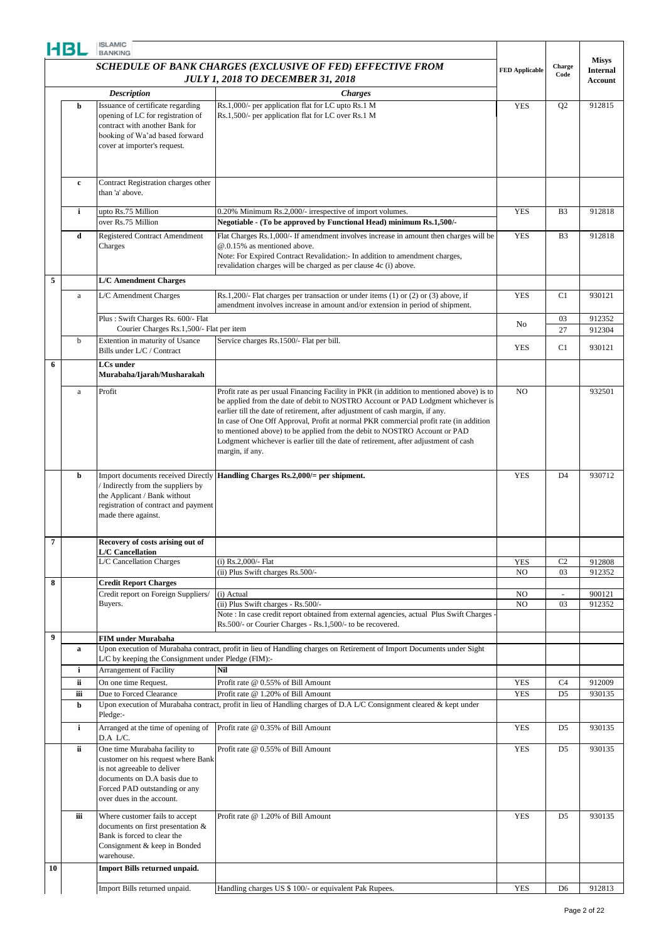|                  | HBL         | <b>ISLAMIC</b><br><b>BANKING</b>                                                                                                                                                                  |                                                                                                                                                                                                                                                                                                                                                                                                                                                                                                                                                |                       |                |                                 |
|------------------|-------------|---------------------------------------------------------------------------------------------------------------------------------------------------------------------------------------------------|------------------------------------------------------------------------------------------------------------------------------------------------------------------------------------------------------------------------------------------------------------------------------------------------------------------------------------------------------------------------------------------------------------------------------------------------------------------------------------------------------------------------------------------------|-----------------------|----------------|---------------------------------|
|                  |             |                                                                                                                                                                                                   | SCHEDULE OF BANK CHARGES (EXCLUSIVE OF FED) EFFECTIVE FROM                                                                                                                                                                                                                                                                                                                                                                                                                                                                                     |                       | Charge         | <b>Misys</b><br><b>Internal</b> |
|                  |             |                                                                                                                                                                                                   | <b>JULY 1, 2018 TO DECEMBER 31, 2018</b>                                                                                                                                                                                                                                                                                                                                                                                                                                                                                                       | <b>FED Applicable</b> | Code           | <b>Account</b>                  |
|                  |             | <b>Description</b>                                                                                                                                                                                | <b>Charges</b>                                                                                                                                                                                                                                                                                                                                                                                                                                                                                                                                 |                       |                |                                 |
|                  | b           | Issuance of certificate regarding<br>opening of LC for registration of<br>contract with another Bank for<br>booking of Wa'ad based forward<br>cover at importer's request.                        | Rs.1,000/- per application flat for LC upto Rs.1 M<br>Rs.1,500/- per application flat for LC over Rs.1 M                                                                                                                                                                                                                                                                                                                                                                                                                                       | <b>YES</b>            | Q <sub>2</sub> | 912815                          |
|                  | $\mathbf c$ | Contract Registration charges other<br>than 'a' above.                                                                                                                                            |                                                                                                                                                                                                                                                                                                                                                                                                                                                                                                                                                |                       |                |                                 |
|                  | i           | upto Rs.75 Million<br>over Rs.75 Million                                                                                                                                                          | 0.20% Minimum Rs.2,000/- irrespective of import volumes.<br>Negotiable - (To be approved by Functional Head) minimum Rs.1,500/-                                                                                                                                                                                                                                                                                                                                                                                                                | <b>YES</b>            | B <sub>3</sub> | 912818                          |
|                  | d           | <b>Registered Contract Amendment</b><br>Charges                                                                                                                                                   | Flat Charges Rs.1,000/- If amendment involves increase in amount then charges will be<br>@.0.15% as mentioned above.<br>Note: For Expired Contract Revalidation:- In addition to amendment charges,<br>revalidation charges will be charged as per clause 4c (i) above.                                                                                                                                                                                                                                                                        | <b>YES</b>            | B <sub>3</sub> | 912818                          |
| 5                |             | <b>L/C Amendment Charges</b>                                                                                                                                                                      |                                                                                                                                                                                                                                                                                                                                                                                                                                                                                                                                                |                       |                |                                 |
|                  | a           | L/C Amendment Charges                                                                                                                                                                             | Rs.1,200/- Flat charges per transaction or under items $(1)$ or $(2)$ or $(3)$ above, if<br>amendment involves increase in amount and/or extension in period of shipment.                                                                                                                                                                                                                                                                                                                                                                      | <b>YES</b>            | C1             | 930121                          |
|                  |             | Plus: Swift Charges Rs. 600/- Flat<br>Courier Charges Rs.1,500/- Flat per item                                                                                                                    |                                                                                                                                                                                                                                                                                                                                                                                                                                                                                                                                                | No                    | 03<br>27       | 912352<br>912304                |
|                  | $\mathbf b$ | Extention in maturity of Usance<br>Bills under L/C / Contract                                                                                                                                     | Service charges Rs.1500/- Flat per bill.                                                                                                                                                                                                                                                                                                                                                                                                                                                                                                       | <b>YES</b>            | C1             | 930121                          |
| 6                |             | <b>LCs</b> under<br>Murabaha/Ijarah/Musharakah                                                                                                                                                    |                                                                                                                                                                                                                                                                                                                                                                                                                                                                                                                                                |                       |                |                                 |
|                  | a           | Profit                                                                                                                                                                                            | Profit rate as per usual Financing Facility in PKR (in addition to mentioned above) is to<br>be applied from the date of debit to NOSTRO Account or PAD Lodgment whichever is<br>earlier till the date of retirement, after adjustment of cash margin, if any.<br>In case of One Off Approval, Profit at normal PKR commercial profit rate (in addition<br>to mentioned above) to be applied from the debit to NOSTRO Account or PAD<br>Lodgment whichever is earlier till the date of retirement, after adjustment of cash<br>margin, if any. | NO                    |                | 932501                          |
|                  | b           | Import documents received Directly<br>Indirectly from the suppliers by<br>the Applicant / Bank without<br>registration of contract and payment<br>made there against.                             | Handling Charges Rs.2,000/= per shipment.                                                                                                                                                                                                                                                                                                                                                                                                                                                                                                      | <b>YES</b>            | D <sub>4</sub> | 930712                          |
| 7                |             | Recovery of costs arising out of<br><b>L/C</b> Cancellation                                                                                                                                       |                                                                                                                                                                                                                                                                                                                                                                                                                                                                                                                                                |                       |                |                                 |
|                  |             | L/C Cancellation Charges                                                                                                                                                                          | (i) Rs.2,000/- Flat                                                                                                                                                                                                                                                                                                                                                                                                                                                                                                                            | <b>YES</b>            | C <sub>2</sub> | 912808                          |
| 8                |             | <b>Credit Report Charges</b>                                                                                                                                                                      | (ii) Plus Swift charges Rs.500/-                                                                                                                                                                                                                                                                                                                                                                                                                                                                                                               | NO                    | 03             | 912352                          |
|                  |             | Credit report on Foreign Suppliers/                                                                                                                                                               | (i) Actual                                                                                                                                                                                                                                                                                                                                                                                                                                                                                                                                     | NO                    | $\omega$       | 900121                          |
|                  |             | Buyers.                                                                                                                                                                                           | (ii) Plus Swift charges - Rs.500/-<br>Note : In case credit report obtained from external agencies, actual Plus Swift Charges -<br>Rs.500/- or Courier Charges - Rs.1,500/- to be recovered.                                                                                                                                                                                                                                                                                                                                                   | NO                    | 03             | 912352                          |
| $\boldsymbol{9}$ | a           | <b>FIM under Murabaha</b><br>L/C by keeping the Consignment under Pledge (FIM):-                                                                                                                  | Upon execution of Murabaha contract, profit in lieu of Handling charges on Retirement of Import Documents under Sight                                                                                                                                                                                                                                                                                                                                                                                                                          |                       |                |                                 |
|                  | i<br>ii     | Arrangement of Facility<br>On one time Request.                                                                                                                                                   | Nil<br>Profit rate @ 0.55% of Bill Amount                                                                                                                                                                                                                                                                                                                                                                                                                                                                                                      | <b>YES</b>            | C4             | 912009                          |
|                  | iii         | Due to Forced Clearance                                                                                                                                                                           | Profit rate @ 1.20% of Bill Amount                                                                                                                                                                                                                                                                                                                                                                                                                                                                                                             | <b>YES</b>            | D <sub>5</sub> | 930135                          |
|                  | b           | Pledge:-                                                                                                                                                                                          | Upon execution of Murabaha contract, profit in lieu of Handling charges of D.A L/C Consignment cleared & kept under                                                                                                                                                                                                                                                                                                                                                                                                                            |                       |                |                                 |
|                  | i           | Arranged at the time of opening of<br>D.A L/C.                                                                                                                                                    | Profit rate @ 0.35% of Bill Amount                                                                                                                                                                                                                                                                                                                                                                                                                                                                                                             | <b>YES</b>            | D <sub>5</sub> | 930135                          |
|                  | ii.         | One time Murabaha facility to<br>customer on his request where Bank<br>is not agreeable to deliver<br>documents on D.A basis due to<br>Forced PAD outstanding or any<br>over dues in the account. | Profit rate @ 0.55% of Bill Amount                                                                                                                                                                                                                                                                                                                                                                                                                                                                                                             | <b>YES</b>            | D <sub>5</sub> | 930135                          |
|                  | iii         | Where customer fails to accept<br>documents on first presentation &<br>Bank is forced to clear the<br>Consignment & keep in Bonded<br>warehouse.                                                  | Profit rate @ 1.20% of Bill Amount                                                                                                                                                                                                                                                                                                                                                                                                                                                                                                             | <b>YES</b>            | D <sub>5</sub> | 930135                          |
| 10               |             | Import Bills returned unpaid.                                                                                                                                                                     |                                                                                                                                                                                                                                                                                                                                                                                                                                                                                                                                                |                       |                |                                 |
|                  |             | Import Bills returned unpaid.                                                                                                                                                                     | Handling charges US \$ 100/- or equivalent Pak Rupees.                                                                                                                                                                                                                                                                                                                                                                                                                                                                                         | <b>YES</b>            | D <sub>6</sub> | 912813                          |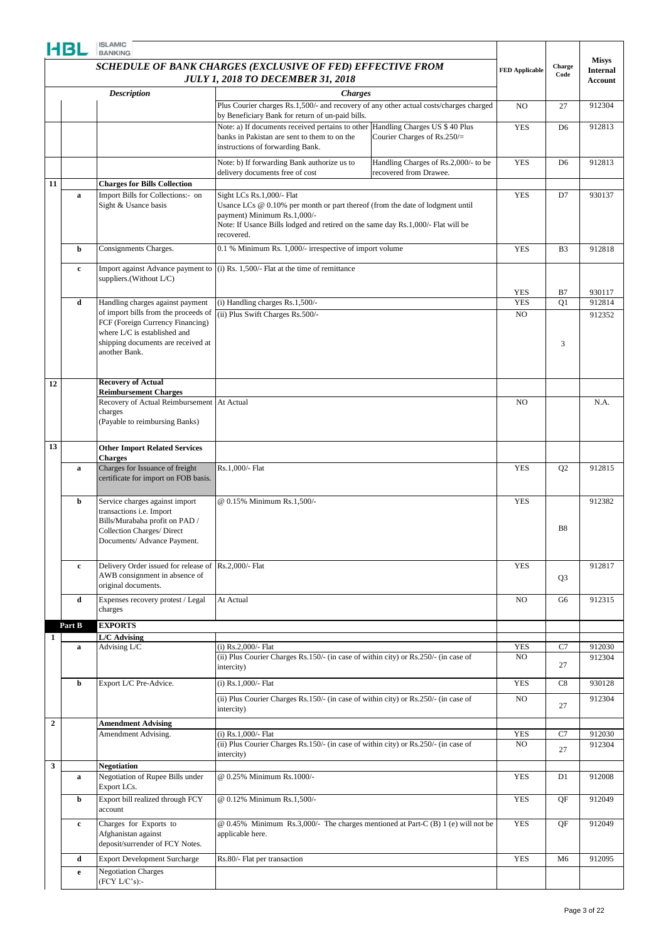|                | HBL          | <b>ISLAMIC</b><br><b>BANKING</b>                                                                                                                                |                                                                                                                                                                                                                      |                          |                |                                   |
|----------------|--------------|-----------------------------------------------------------------------------------------------------------------------------------------------------------------|----------------------------------------------------------------------------------------------------------------------------------------------------------------------------------------------------------------------|--------------------------|----------------|-----------------------------------|
|                |              |                                                                                                                                                                 | <b>SCHEDULE OF BANK CHARGES (EXCLUSIVE OF FED) EFFECTIVE FROM</b>                                                                                                                                                    |                          | Charge         | <b>Misys</b>                      |
|                |              |                                                                                                                                                                 | <b>JULY 1, 2018 TO DECEMBER 31, 2018</b>                                                                                                                                                                             | <b>FED Applicable</b>    | Code           | <b>Internal</b><br><b>Account</b> |
|                |              | <b>Description</b>                                                                                                                                              | <b>Charges</b>                                                                                                                                                                                                       |                          |                |                                   |
|                |              |                                                                                                                                                                 | Plus Courier charges Rs.1,500/- and recovery of any other actual costs/charges charged                                                                                                                               | NO                       | 27             | 912304                            |
|                |              |                                                                                                                                                                 | by Beneficiary Bank for return of un-paid bills.<br>Note: a) If documents received pertains to other Handling Charges US \$ 40 Plus<br>banks in Pakistan are sent to them to on the<br>Courier Charges of $Rs.250/=$ | <b>YES</b>               | D <sub>6</sub> | 912813                            |
|                |              |                                                                                                                                                                 | instructions of forwarding Bank.                                                                                                                                                                                     |                          |                |                                   |
| 11             |              | <b>Charges for Bills Collection</b>                                                                                                                             | Handling Charges of Rs.2,000/- to be<br>Note: b) If forwarding Bank authorize us to<br>delivery documents free of cost<br>recovered from Drawee.                                                                     | <b>YES</b>               | D <sub>6</sub> | 912813                            |
|                | $\mathbf a$  | Import Bills for Collections:- on                                                                                                                               | Sight LCs Rs.1,000/- Flat                                                                                                                                                                                            | <b>YES</b>               | D7             | 930137                            |
|                |              | Sight & Usance basis                                                                                                                                            | Usance LCs $@$ 0.10% per month or part thereof (from the date of lodgment until<br>payment) Minimum Rs.1,000/-<br>Note: If Usance Bills lodged and retired on the same day Rs.1,000/- Flat will be<br>recovered.     |                          |                |                                   |
|                | b            | Consignments Charges.                                                                                                                                           | 0.1 % Minimum Rs. 1,000/- irrespective of import volume                                                                                                                                                              | <b>YES</b>               | B <sub>3</sub> | 912818                            |
|                | $\mathbf{c}$ | Import against Advance payment to<br>suppliers.(Without L/C)                                                                                                    | $(i)$ Rs. 1,500/- Flat at the time of remittance                                                                                                                                                                     |                          |                |                                   |
|                | d            | Handling charges against payment                                                                                                                                | (i) Handling charges Rs.1,500/-                                                                                                                                                                                      | <b>YES</b><br><b>YES</b> | B7<br>Q1       | 930117<br>912814                  |
|                |              | of import bills from the proceeds of                                                                                                                            | (ii) Plus Swift Charges Rs.500/-                                                                                                                                                                                     | N <sub>O</sub>           |                | 912352                            |
|                |              | FCF (Foreign Currency Financing)<br>where L/C is established and                                                                                                |                                                                                                                                                                                                                      |                          |                |                                   |
|                |              | shipping documents are received at<br>another Bank.                                                                                                             |                                                                                                                                                                                                                      |                          | 3              |                                   |
| 12             |              | <b>Recovery of Actual</b>                                                                                                                                       |                                                                                                                                                                                                                      |                          |                |                                   |
|                |              | <b>Reimbursement Charges</b>                                                                                                                                    |                                                                                                                                                                                                                      |                          |                |                                   |
|                |              | Recovery of Actual Reimbursement At Actual<br>charges<br>(Payable to reimbursing Banks)                                                                         |                                                                                                                                                                                                                      | N <sub>O</sub>           |                | N.A.                              |
| 13             |              | <b>Other Import Related Services</b><br><b>Charges</b>                                                                                                          |                                                                                                                                                                                                                      |                          |                |                                   |
|                | a            | Charges for Issuance of freight<br>certificate for import on FOB basis.                                                                                         | Rs.1,000/- Flat                                                                                                                                                                                                      | <b>YES</b>               | Q <sub>2</sub> | 912815                            |
|                | b            | Service charges against import<br>transactions i.e. Import<br>Bills/Murabaha profit on PAD /<br><b>Collection Charges/Direct</b><br>Documents/ Advance Payment. | @ 0.15% Minimum Rs.1,500/-                                                                                                                                                                                           | <b>YES</b>               | <b>B8</b>      | 912382                            |
|                | $\mathbf c$  | Delivery Order issued for release of<br>AWB consignment in absence of<br>original documents.                                                                    | Rs.2,000/- Flat                                                                                                                                                                                                      | <b>YES</b>               | Q <sub>3</sub> | 912817                            |
|                | d            | Expenses recovery protest / Legal<br>charges                                                                                                                    | At Actual                                                                                                                                                                                                            | NO.                      | G <sub>6</sub> | 912315                            |
|                | Part B       | <b>EXPORTS</b>                                                                                                                                                  |                                                                                                                                                                                                                      |                          |                |                                   |
| 1              |              | L/C Advising                                                                                                                                                    |                                                                                                                                                                                                                      |                          |                |                                   |
|                | a            | Advising L/C                                                                                                                                                    | (i) $Rs.2,000/-$ Flat                                                                                                                                                                                                | <b>YES</b>               | C7             | 912030                            |
|                |              |                                                                                                                                                                 | (ii) Plus Courier Charges Rs.150/- (in case of within city) or Rs.250/- (in case of<br>intercity)                                                                                                                    | NO.                      | 27             | 912304                            |
|                | b            | Export L/C Pre-Advice.                                                                                                                                          | (i) Rs.1,000/- Flat                                                                                                                                                                                                  | <b>YES</b>               | C8             | 930128                            |
|                |              |                                                                                                                                                                 | (ii) Plus Courier Charges Rs.150/- (in case of within city) or Rs.250/- (in case of<br>intercity)                                                                                                                    | NO.                      | 27             | 912304                            |
| $\overline{2}$ |              | <b>Amendment Advising</b>                                                                                                                                       |                                                                                                                                                                                                                      |                          |                |                                   |
|                |              | Amendment Advising.                                                                                                                                             | (i) Rs.1,000/- Flat<br>(ii) Plus Courier Charges Rs.150/- (in case of within city) or Rs.250/- (in case of                                                                                                           | <b>YES</b><br>NO.        | C7<br>27       | 912030<br>912304                  |
|                |              |                                                                                                                                                                 | intercity)                                                                                                                                                                                                           |                          |                |                                   |
| 3              | a            | <b>Negotiation</b><br>Negotiation of Rupee Bills under                                                                                                          | @ 0.25% Minimum Rs.1000/-                                                                                                                                                                                            | <b>YES</b>               | D1             | 912008                            |
|                | b            | Export LCs.<br>Export bill realized through FCY                                                                                                                 | @ 0.12% Minimum Rs.1,500/-                                                                                                                                                                                           | <b>YES</b>               | QF             | 912049                            |
|                | $\mathbf c$  | account<br>Charges for Exports to                                                                                                                               | @ 0.45% Minimum Rs.3,000/- The charges mentioned at Part-C (B) 1 (e) will not be                                                                                                                                     | <b>YES</b>               | QF             | 912049                            |
|                |              | Afghanistan against<br>deposit/surrender of FCY Notes.                                                                                                          | applicable here.                                                                                                                                                                                                     |                          |                |                                   |
|                | d            | <b>Export Development Surcharge</b>                                                                                                                             | Rs.80/- Flat per transaction                                                                                                                                                                                         | <b>YES</b>               | M <sub>6</sub> | 912095                            |
|                | e            | <b>Negotiation Charges</b><br>(FCY L/C's):                                                                                                                      |                                                                                                                                                                                                                      |                          |                |                                   |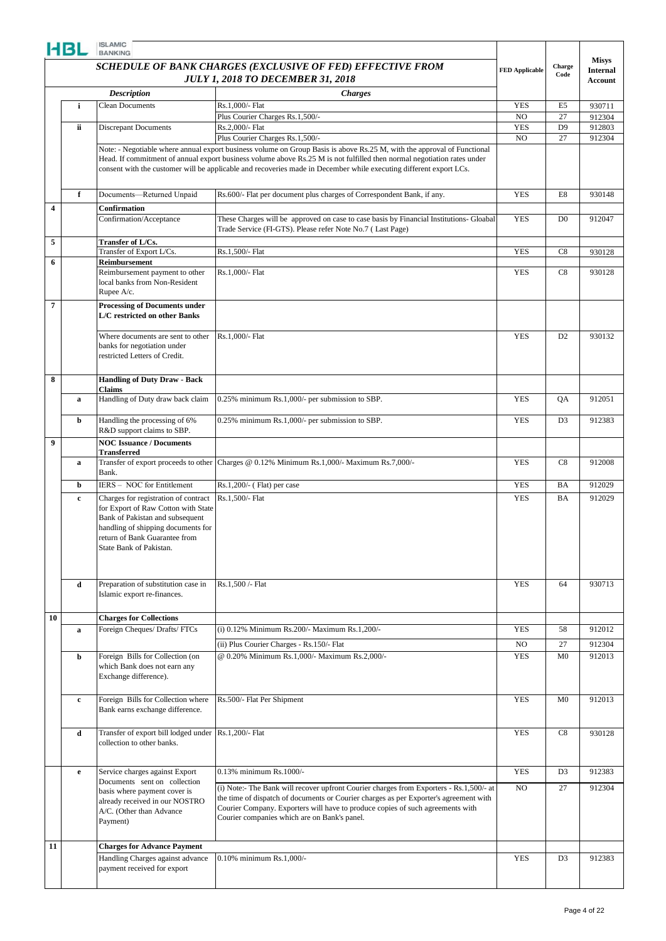|                         |    |                                                                                                                                                                                                                                                                                  |                                                                                                                                                                                                                                                                                                                    | <b>FED Applicable</b> | Charge<br>Code       | <b>Misys</b><br><b>Internal</b> |
|-------------------------|----|----------------------------------------------------------------------------------------------------------------------------------------------------------------------------------------------------------------------------------------------------------------------------------|--------------------------------------------------------------------------------------------------------------------------------------------------------------------------------------------------------------------------------------------------------------------------------------------------------------------|-----------------------|----------------------|---------------------------------|
|                         |    | SCHEDULE OF BANK CHARGES (EXCLUSIVE OF FED) EFFECTIVE FROM<br><b>JULY 1, 2018 TO DECEMBER 31, 2018</b><br><b>Description</b><br><b>Charges</b><br><b>Clean Documents</b><br>Rs.1,000/- Flat<br>Plus Courier Charges Rs.1,500/-<br>Rs.2,000/- Flat<br><b>Discrepant Documents</b> |                                                                                                                                                                                                                                                                                                                    |                       | Account              |                                 |
|                         |    |                                                                                                                                                                                                                                                                                  |                                                                                                                                                                                                                                                                                                                    |                       |                      |                                 |
|                         | i  |                                                                                                                                                                                                                                                                                  |                                                                                                                                                                                                                                                                                                                    | <b>YES</b>            | E <sub>5</sub>       | 930711                          |
|                         | ii |                                                                                                                                                                                                                                                                                  |                                                                                                                                                                                                                                                                                                                    | NO<br><b>YES</b>      | 27<br>D <sub>9</sub> | 912304                          |
|                         |    |                                                                                                                                                                                                                                                                                  | Plus Courier Charges Rs.1,500/-                                                                                                                                                                                                                                                                                    | N <sub>O</sub>        | 27                   | 912803<br>912304                |
|                         |    |                                                                                                                                                                                                                                                                                  | Note: - Negotiable where annual export business volume on Group Basis is above Rs.25 M, with the approval of Functional                                                                                                                                                                                            |                       |                      |                                 |
|                         |    |                                                                                                                                                                                                                                                                                  | Head. If commitment of annual export business volume above Rs.25 M is not fulfilled then normal negotiation rates under<br>consent with the customer will be applicable and recoveries made in December while executing different export LCs.                                                                      |                       |                      |                                 |
|                         | f  | Documents-Returned Unpaid                                                                                                                                                                                                                                                        | Rs.600/- Flat per document plus charges of Correspondent Bank, if any.                                                                                                                                                                                                                                             | <b>YES</b>            | E8                   | 930148                          |
| $\overline{\mathbf{4}}$ |    | Confirmation<br>Confirmation/Acceptance                                                                                                                                                                                                                                          | These Charges will be approved on case to case basis by Financial Institutions- Gloabal<br>Trade Service (FI-GTS). Please refer Note No.7 (Last Page)                                                                                                                                                              | <b>YES</b>            | D <sub>0</sub>       | 912047                          |
| 5                       |    | Transfer of L/Cs.                                                                                                                                                                                                                                                                |                                                                                                                                                                                                                                                                                                                    |                       |                      |                                 |
|                         |    | Transfer of Export L/Cs.                                                                                                                                                                                                                                                         | Rs.1,500/- Flat                                                                                                                                                                                                                                                                                                    | <b>YES</b>            | C8                   | 930128                          |
| 6                       |    | <b>Reimbursement</b><br>Reimbursement payment to other<br>local banks from Non-Resident<br>Rupee A/c.                                                                                                                                                                            | Rs.1,000/- Flat                                                                                                                                                                                                                                                                                                    | <b>YES</b>            | C8                   | 930128                          |
| $\overline{7}$          |    | <b>Processing of Documents under</b><br>L/C restricted on other Banks                                                                                                                                                                                                            |                                                                                                                                                                                                                                                                                                                    |                       |                      |                                 |
|                         |    | Where documents are sent to other<br>banks for negotiation under<br>restricted Letters of Credit.                                                                                                                                                                                | Rs.1,000/- Flat                                                                                                                                                                                                                                                                                                    | <b>YES</b>            | D <sub>2</sub>       | 930132                          |
| 8                       |    | <b>Handling of Duty Draw - Back</b><br>Claims                                                                                                                                                                                                                                    |                                                                                                                                                                                                                                                                                                                    |                       |                      |                                 |
|                         | a  | Handling of Duty draw back claim                                                                                                                                                                                                                                                 | 0.25% minimum Rs.1,000/- per submission to SBP.                                                                                                                                                                                                                                                                    | <b>YES</b>            | QA                   | 912051                          |
|                         | b  | Handling the processing of 6%<br>R&D support claims to SBP.                                                                                                                                                                                                                      | 0.25% minimum Rs.1,000/- per submission to SBP.                                                                                                                                                                                                                                                                    | <b>YES</b>            | D <sub>3</sub>       | 912383                          |
| 9                       |    | <b>NOC Issuance / Documents</b><br>Transferred                                                                                                                                                                                                                                   |                                                                                                                                                                                                                                                                                                                    |                       |                      |                                 |
|                         | a  | Bank.                                                                                                                                                                                                                                                                            | Transfer of export proceeds to other Charges @ 0.12% Minimum Rs.1,000/- Maximum Rs.7,000/-                                                                                                                                                                                                                         | <b>YES</b>            | C8                   | 912008                          |
|                         | b  | IERS - NOC for Entitlement                                                                                                                                                                                                                                                       | Rs.1,200/- (Flat) per case                                                                                                                                                                                                                                                                                         | <b>YES</b>            | BA                   | 912029                          |
|                         | c  | Charges for registration of contract<br>for Export of Raw Cotton with State<br>Bank of Pakistan and subsequent<br>handling of shipping documents for<br>return of Bank Guarantee from<br>State Bank of Pakistan.                                                                 | Rs.1.500/- Flat                                                                                                                                                                                                                                                                                                    | <b>YES</b>            | BA                   | 912029                          |
|                         | d  | Preparation of substitution case in<br>Islamic export re-finances.                                                                                                                                                                                                               | Rs.1.500 /- Flat                                                                                                                                                                                                                                                                                                   | <b>YES</b>            | 64                   | 930713                          |
| 10                      |    | <b>Charges for Collections</b>                                                                                                                                                                                                                                                   |                                                                                                                                                                                                                                                                                                                    |                       |                      |                                 |
|                         | a  | Foreign Cheques/ Drafts/ FTCs                                                                                                                                                                                                                                                    | (i) 0.12% Minimum Rs.200/- Maximum Rs.1,200/-                                                                                                                                                                                                                                                                      | <b>YES</b>            | 58                   | 912012                          |
|                         |    |                                                                                                                                                                                                                                                                                  | (ii) Plus Courier Charges - Rs.150/- Flat                                                                                                                                                                                                                                                                          | NO                    | 27                   | 912304                          |
|                         | b  | Foreign Bills for Collection (on<br>which Bank does not earn any<br>Exchange difference).                                                                                                                                                                                        | @ 0.20% Minimum Rs.1,000/- Maximum Rs.2,000/-                                                                                                                                                                                                                                                                      | <b>YES</b>            | M <sub>0</sub>       | 912013                          |
|                         | c  | Foreign Bills for Collection where<br>Bank earns exchange difference.                                                                                                                                                                                                            | Rs.500/- Flat Per Shipment                                                                                                                                                                                                                                                                                         | <b>YES</b>            | M <sub>0</sub>       | 912013                          |
|                         | d  | Transfer of export bill lodged under<br>collection to other banks.                                                                                                                                                                                                               | Rs.1,200/- Flat                                                                                                                                                                                                                                                                                                    | <b>YES</b>            | C8                   | 930128                          |
|                         | e  | Service charges against Export                                                                                                                                                                                                                                                   | 0.13% minimum Rs.1000/-                                                                                                                                                                                                                                                                                            | <b>YES</b>            | D <sub>3</sub>       | 912383                          |
|                         |    | Documents sent on collection<br>basis where payment cover is<br>already received in our NOSTRO<br>A/C. (Other than Advance<br>Payment)                                                                                                                                           | (i) Note:- The Bank will recover upfront Courier charges from Exporters - Rs.1,500/- at<br>the time of dispatch of documents or Courier charges as per Exporter's agreement with<br>Courier Company. Exporters will have to produce copies of such agreements with<br>Courier companies which are on Bank's panel. | NO.                   | 27                   | 912304                          |
| 11                      |    | <b>Charges for Advance Payment</b>                                                                                                                                                                                                                                               |                                                                                                                                                                                                                                                                                                                    |                       |                      |                                 |
|                         |    | Handling Charges against advance                                                                                                                                                                                                                                                 | 0.10% minimum Rs.1,000/-                                                                                                                                                                                                                                                                                           | <b>YES</b>            | D <sub>3</sub>       | 912383                          |
|                         |    | payment received for export                                                                                                                                                                                                                                                      |                                                                                                                                                                                                                                                                                                                    |                       |                      |                                 |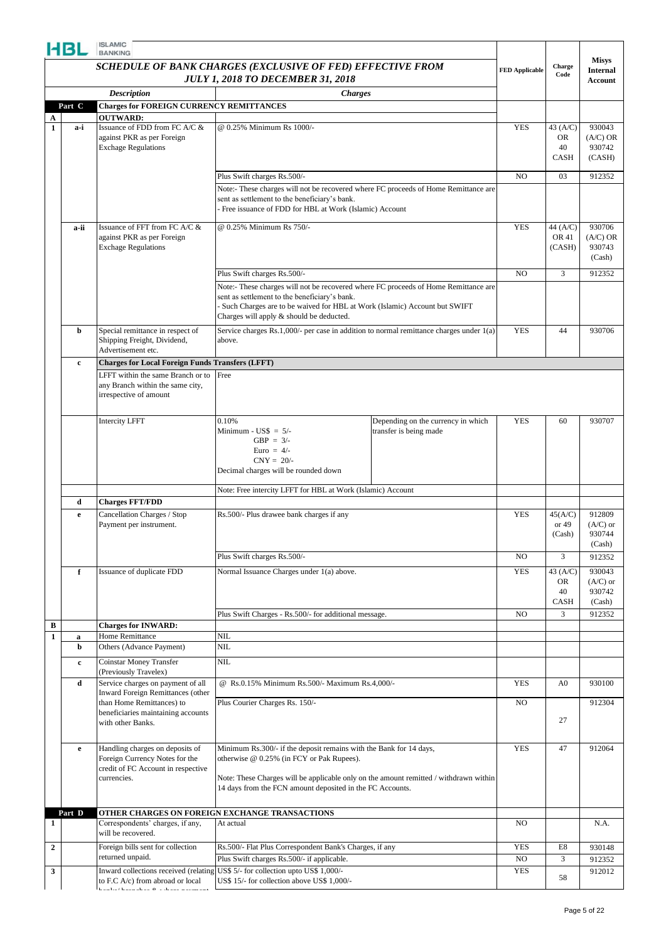|                   | HBL          | <b>ISLAMIC</b><br><b>BANKING</b>                                                             |                                                                                                                                      |                       |                   |                            |
|-------------------|--------------|----------------------------------------------------------------------------------------------|--------------------------------------------------------------------------------------------------------------------------------------|-----------------------|-------------------|----------------------------|
|                   |              |                                                                                              | SCHEDULE OF BANK CHARGES (EXCLUSIVE OF FED) EFFECTIVE FROM                                                                           |                       | Charge            | <b>Misys</b>               |
|                   |              |                                                                                              | <b>JULY 1, 2018 TO DECEMBER 31, 2018</b>                                                                                             | <b>FED Applicable</b> | Code              | <b>Internal</b><br>Account |
|                   |              | <b>Description</b>                                                                           | <b>Charges</b>                                                                                                                       |                       |                   |                            |
|                   | Part C       | <b>Charges for FOREIGN CURRENCY REMITTANCES</b>                                              |                                                                                                                                      |                       |                   |                            |
| A<br>$\mathbf{1}$ | a-i          | <b>OUTWARD:</b><br>Issuance of FDD from FC A/C &                                             | @ 0.25% Minimum Rs 1000/-                                                                                                            | <b>YES</b>            | 43 (A/C)          | 930043                     |
|                   |              | against PKR as per Foreign                                                                   |                                                                                                                                      |                       | OR.               | $(A/C)$ OR                 |
|                   |              | <b>Exchage Regulations</b>                                                                   |                                                                                                                                      |                       | 40<br><b>CASH</b> | 930742<br>(CASH)           |
|                   |              |                                                                                              |                                                                                                                                      | N <sub>O</sub>        | 03                | 912352                     |
|                   |              |                                                                                              | Plus Swift charges Rs.500/-<br>Note:- These charges will not be recovered where FC proceeds of Home Remittance are                   |                       |                   |                            |
|                   |              |                                                                                              | sent as settlement to the beneficiary's bank.                                                                                        |                       |                   |                            |
|                   |              |                                                                                              | Free issuance of FDD for HBL at Work (Islamic) Account                                                                               |                       |                   |                            |
|                   | a-ii         | Issuance of FFT from FC A/C &<br>against PKR as per Foreign                                  | @ 0.25% Minimum Rs 750/-                                                                                                             | <b>YES</b>            | 44 (A/C)<br>OR 41 | 930706<br>$(A/C)$ OR       |
|                   |              | <b>Exchage Regulations</b>                                                                   |                                                                                                                                      |                       | (CASH)            | 930743                     |
|                   |              |                                                                                              |                                                                                                                                      |                       |                   | (Cash)                     |
|                   |              |                                                                                              | Plus Swift charges Rs.500/-                                                                                                          | N <sub>O</sub>        | 3                 | 912352                     |
|                   |              |                                                                                              | Note:- These charges will not be recovered where FC proceeds of Home Remittance are<br>sent as settlement to the beneficiary's bank. |                       |                   |                            |
|                   |              |                                                                                              | Such Charges are to be waived for HBL at Work (Islamic) Account but SWIFT<br>Charges will apply & should be deducted.                |                       |                   |                            |
|                   |              |                                                                                              |                                                                                                                                      |                       |                   |                            |
|                   | b            | Special remittance in respect of<br>Shipping Freight, Dividend,                              | Service charges Rs.1,000/- per case in addition to normal remittance charges under 1(a)<br>above.                                    | <b>YES</b>            | 44                | 930706                     |
|                   |              | Advertisement etc.                                                                           |                                                                                                                                      |                       |                   |                            |
|                   | $\mathbf{c}$ | <b>Charges for Local Foreign Funds Transfers (LFFT)</b><br>LFFT within the same Branch or to | Free                                                                                                                                 |                       |                   |                            |
|                   |              | any Branch within the same city,                                                             |                                                                                                                                      |                       |                   |                            |
|                   |              | irrespective of amount                                                                       |                                                                                                                                      |                       |                   |                            |
|                   |              | <b>Intercity LFFT</b>                                                                        | 0.10%<br>Depending on the currency in which                                                                                          | <b>YES</b>            | 60                | 930707                     |
|                   |              |                                                                                              | Minimum - $\text{USS} = 5$ /-<br>transfer is being made                                                                              |                       |                   |                            |
|                   |              |                                                                                              | GBP = $3/-$<br>Euro = $4/-$                                                                                                          |                       |                   |                            |
|                   |              |                                                                                              | $CNY = 20/$ -                                                                                                                        |                       |                   |                            |
|                   |              |                                                                                              | Decimal charges will be rounded down                                                                                                 |                       |                   |                            |
|                   |              |                                                                                              | Note: Free intercity LFFT for HBL at Work (Islamic) Account                                                                          |                       |                   |                            |
|                   | d<br>e       | <b>Charges FFT/FDD</b><br>Cancellation Charges / Stop                                        | Rs.500/- Plus drawee bank charges if any                                                                                             | <b>YES</b>            | 45(A/C)           | 912809                     |
|                   |              | Payment per instrument.                                                                      |                                                                                                                                      |                       | or $49$           | $(A/C)$ or                 |
|                   |              |                                                                                              |                                                                                                                                      |                       | (Cash)            | 930744<br>(Cash)           |
|                   |              |                                                                                              | Plus Swift charges Rs.500/-                                                                                                          | N <sub>O</sub>        | 3                 | 912352                     |
|                   | f            | Issuance of duplicate FDD                                                                    | Normal Issuance Charges under 1(a) above.                                                                                            | <b>YES</b>            | 43 (A/C)          | 930043                     |
|                   |              |                                                                                              |                                                                                                                                      |                       | OR<br>40          | $(A/C)$ or<br>930742       |
|                   |              |                                                                                              |                                                                                                                                      |                       | CASH              | (Cash)                     |
|                   |              |                                                                                              | Plus Swift Charges - Rs.500/- for additional message.                                                                                | N <sub>O</sub>        | 3                 | 912352                     |
| B<br>1            | $\bf{a}$     | <b>Charges for INWARD:</b><br>Home Remittance                                                | NIL                                                                                                                                  |                       |                   |                            |
|                   | b            | Others (Advance Payment)                                                                     | NIL                                                                                                                                  |                       |                   |                            |
|                   | c            | Coinstar Money Transfer<br>(Previously Travelex)                                             | NIL                                                                                                                                  |                       |                   |                            |
|                   | d            | Service charges on payment of all                                                            | @ Rs.0.15% Minimum Rs.500/- Maximum Rs.4,000/-                                                                                       | <b>YES</b>            | A <sub>0</sub>    | 930100                     |
|                   |              | <b>Inward Foreign Remittances (other</b>                                                     |                                                                                                                                      |                       |                   |                            |
|                   |              | than Home Remittances) to<br>beneficiaries maintaining accounts                              | Plus Courier Charges Rs. 150/-                                                                                                       | NO                    |                   | 912304                     |
|                   |              | with other Banks.                                                                            |                                                                                                                                      |                       | 27                |                            |
|                   |              | Handling charges on deposits of                                                              | Minimum Rs.300/- if the deposit remains with the Bank for 14 days,                                                                   | <b>YES</b>            | 47                | 912064                     |
|                   | e            | Foreign Currency Notes for the                                                               | otherwise @ 0.25% (in FCY or Pak Rupees).                                                                                            |                       |                   |                            |
|                   |              | credit of FC Account in respective<br>currencies.                                            | Note: These Charges will be applicable only on the amount remitted / withdrawn within                                                |                       |                   |                            |
|                   |              |                                                                                              | 14 days from the FCN amount deposited in the FC Accounts.                                                                            |                       |                   |                            |
|                   |              |                                                                                              |                                                                                                                                      |                       |                   |                            |
| 1                 | Part D       | Correspondents' charges, if any,                                                             | OTHER CHARGES ON FOREIGN EXCHANGE TRANSACTIONS<br>At actual                                                                          | N <sub>O</sub>        |                   | N.A.                       |
|                   |              | will be recovered.                                                                           |                                                                                                                                      |                       |                   |                            |
| $\overline{2}$    |              | Foreign bills sent for collection                                                            | Rs.500/- Flat Plus Correspondent Bank's Charges, if any                                                                              | <b>YES</b>            | E8                | 930148                     |
| 3                 |              | returned unpaid.<br>Inward collections received (relating                                    | Plus Swift charges Rs.500/- if applicable.<br>US\$ 5/- for collection upto US\$ 1,000/-                                              | NO<br><b>YES</b>      | 3                 | 912352<br>912012           |
|                   |              | to F.C A/c) from abroad or local                                                             | US\$ 15/- for collection above US\$ 1,000/-                                                                                          |                       | 58                |                            |
|                   |              | $\mathbf{u} = \mathbf{v} \mathbf{u}$ .<br>$\alpha$                                           |                                                                                                                                      |                       |                   |                            |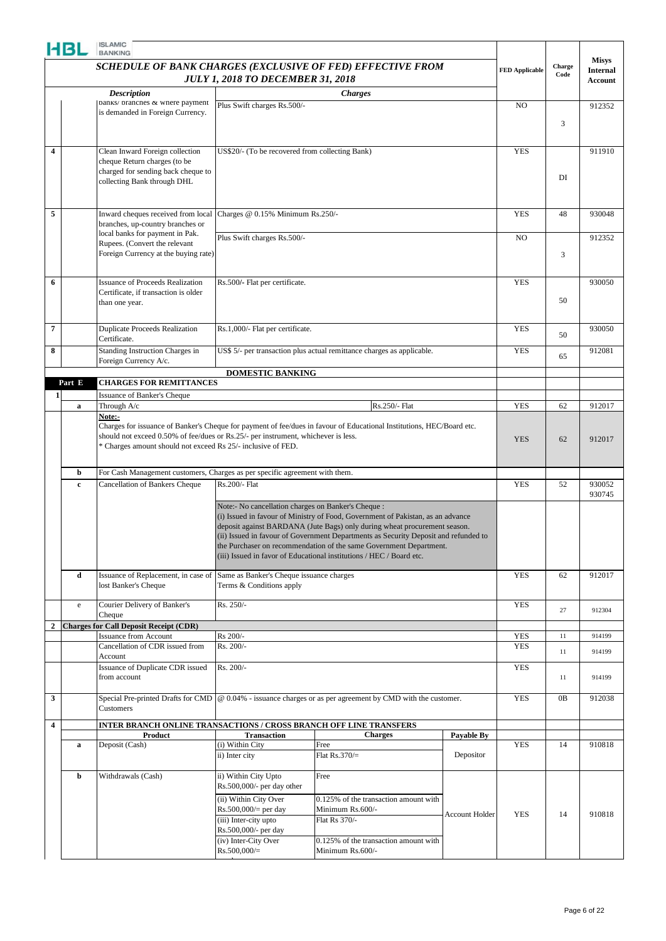|                         | HBL          | <b>ISLAMIC</b><br><b>BANKING</b>                                                  |                                                     |                                                                                                                                                           |                       |                       |        |                            |
|-------------------------|--------------|-----------------------------------------------------------------------------------|-----------------------------------------------------|-----------------------------------------------------------------------------------------------------------------------------------------------------------|-----------------------|-----------------------|--------|----------------------------|
|                         |              |                                                                                   |                                                     | SCHEDULE OF BANK CHARGES (EXCLUSIVE OF FED) EFFECTIVE FROM                                                                                                |                       |                       | Charge | <b>Misys</b>               |
|                         |              |                                                                                   | <b>JULY 1, 2018 TO DECEMBER 31, 2018</b>            |                                                                                                                                                           |                       | <b>FED Applicable</b> | Code   | <b>Internal</b><br>Account |
|                         |              | <b>Description</b>                                                                |                                                     | <b>Charges</b>                                                                                                                                            |                       |                       |        |                            |
|                         |              | banks/ brancnes & wnere payment                                                   | Plus Swift charges Rs.500/-                         |                                                                                                                                                           |                       | NO.                   |        | 912352                     |
|                         |              | is demanded in Foreign Currency.                                                  |                                                     |                                                                                                                                                           |                       |                       |        |                            |
|                         |              |                                                                                   |                                                     |                                                                                                                                                           |                       |                       | 3      |                            |
|                         |              |                                                                                   |                                                     |                                                                                                                                                           |                       |                       |        |                            |
| 4                       |              | Clean Inward Foreign collection                                                   | US\$20/- (To be recovered from collecting Bank)     |                                                                                                                                                           |                       | <b>YES</b>            |        | 911910                     |
|                         |              | cheque Return charges (to be<br>charged for sending back cheque to                |                                                     |                                                                                                                                                           |                       |                       |        |                            |
|                         |              | collecting Bank through DHL                                                       |                                                     |                                                                                                                                                           |                       |                       | DI     |                            |
|                         |              |                                                                                   |                                                     |                                                                                                                                                           |                       |                       |        |                            |
|                         |              |                                                                                   |                                                     |                                                                                                                                                           |                       |                       |        |                            |
| 5                       |              | Inward cheques received from local<br>branches, up-country branches or            | Charges @ 0.15% Minimum Rs.250/-                    |                                                                                                                                                           |                       | <b>YES</b>            | 48     | 930048                     |
|                         |              | local banks for payment in Pak.                                                   |                                                     |                                                                                                                                                           |                       |                       |        |                            |
|                         |              | Rupees. (Convert the relevant                                                     | Plus Swift charges Rs.500/-                         |                                                                                                                                                           |                       | N <sub>O</sub>        |        | 912352                     |
|                         |              | Foreign Currency at the buying rate)                                              |                                                     |                                                                                                                                                           |                       |                       | 3      |                            |
|                         |              |                                                                                   |                                                     |                                                                                                                                                           |                       |                       |        |                            |
| 6                       |              | <b>Issuance of Proceeds Realization</b>                                           | Rs.500/- Flat per certificate.                      |                                                                                                                                                           |                       | <b>YES</b>            |        | 930050                     |
|                         |              | Certificate, if transaction is older                                              |                                                     |                                                                                                                                                           |                       |                       | 50     |                            |
|                         |              | than one year.                                                                    |                                                     |                                                                                                                                                           |                       |                       |        |                            |
|                         |              |                                                                                   |                                                     |                                                                                                                                                           |                       |                       |        |                            |
| $\overline{7}$          |              | <b>Duplicate Proceeds Realization</b><br>Certificate.                             | Rs.1,000/- Flat per certificate.                    |                                                                                                                                                           |                       | <b>YES</b>            | 50     | 930050                     |
| 8                       |              | Standing Instruction Charges in                                                   |                                                     | US\$ 5/- per transaction plus actual remittance charges as applicable.                                                                                    |                       | <b>YES</b>            |        | 912081                     |
|                         |              | Foreign Currency A/c.                                                             |                                                     |                                                                                                                                                           |                       |                       | 65     |                            |
|                         |              |                                                                                   | <b>DOMESTIC BANKING</b>                             |                                                                                                                                                           |                       |                       |        |                            |
|                         | Part E       | <b>CHARGES FOR REMITTANCES</b>                                                    |                                                     |                                                                                                                                                           |                       |                       |        |                            |
| 1 <sup>1</sup>          |              | Issuance of Banker's Cheque                                                       |                                                     |                                                                                                                                                           |                       | <b>YES</b>            |        |                            |
|                         | $\mathbf a$  | Through A/c<br>Note:-                                                             |                                                     | Rs.250/- Flat                                                                                                                                             |                       |                       | 62     | 912017                     |
|                         |              |                                                                                   |                                                     | Charges for issuance of Banker's Cheque for payment of fee/dues in favour of Educational Institutions, HEC/Board etc.                                     |                       |                       |        |                            |
|                         |              | should not exceed 0.50% of fee/dues or Rs.25/- per instrument, whichever is less. |                                                     |                                                                                                                                                           |                       | <b>YES</b>            | 62     | 912017                     |
|                         |              | * Charges amount should not exceed Rs 25/- inclusive of FED.                      |                                                     |                                                                                                                                                           |                       |                       |        |                            |
|                         |              |                                                                                   |                                                     |                                                                                                                                                           |                       |                       |        |                            |
|                         | b            | For Cash Management customers, Charges as per specific agreement with them.       |                                                     |                                                                                                                                                           |                       |                       |        |                            |
|                         | $\mathbf c$  | Cancellation of Bankers Cheque                                                    | Rs.200/- Flat                                       |                                                                                                                                                           |                       | <b>YES</b>            | 52     | 930052<br>930745           |
|                         |              |                                                                                   | Note:- No cancellation charges on Banker's Cheque : |                                                                                                                                                           |                       |                       |        |                            |
|                         |              |                                                                                   |                                                     | (i) Issued in favour of Ministry of Food, Government of Pakistan, as an advance                                                                           |                       |                       |        |                            |
|                         |              |                                                                                   |                                                     | deposit against BARDANA (Jute Bags) only during wheat procurement season.                                                                                 |                       |                       |        |                            |
|                         |              |                                                                                   |                                                     | (ii) Issued in favour of Government Departments as Security Deposit and refunded to<br>the Purchaser on recommendation of the same Government Department. |                       |                       |        |                            |
|                         |              |                                                                                   |                                                     | (iii) Issued in favor of Educational institutions / HEC / Board etc.                                                                                      |                       |                       |        |                            |
|                         |              |                                                                                   |                                                     |                                                                                                                                                           |                       |                       |        |                            |
|                         | d            | Issuance of Replacement, in case of<br>lost Banker's Cheque                       | Same as Banker's Cheque issuance charges            |                                                                                                                                                           |                       | <b>YES</b>            | 62     | 912017                     |
|                         |              |                                                                                   | Terms & Conditions apply                            |                                                                                                                                                           |                       |                       |        |                            |
|                         | $\mathbf{e}$ | Courier Delivery of Banker's                                                      | Rs. 250/-                                           |                                                                                                                                                           |                       | <b>YES</b>            | 27     | 912304                     |
|                         |              | Cheque                                                                            |                                                     |                                                                                                                                                           |                       |                       |        |                            |
| $\mathbf{2}$            |              | <b>Charges for Call Deposit Receipt (CDR)</b><br>Issuance from Account            | Rs 200/-                                            |                                                                                                                                                           |                       | <b>YES</b>            | 11     | 914199                     |
|                         |              | Cancellation of CDR issued from                                                   | Rs. 200/-                                           |                                                                                                                                                           |                       | <b>YES</b>            |        |                            |
|                         |              | Account                                                                           |                                                     |                                                                                                                                                           |                       |                       | 11     | 914199                     |
|                         |              | Issuance of Duplicate CDR issued                                                  | $\overline{\text{Rs}}$ . 200/-                      |                                                                                                                                                           |                       | <b>YES</b>            |        |                            |
|                         |              | from account                                                                      |                                                     |                                                                                                                                                           |                       |                       | 11     | 914199                     |
| 3                       |              | Special Pre-printed Drafts for CMD                                                |                                                     | $@$ 0.04% - issuance charges or as per agreement by CMD with the customer.                                                                                |                       | <b>YES</b>            | 0B     | 912038                     |
|                         |              | Customers                                                                         |                                                     |                                                                                                                                                           |                       |                       |        |                            |
| $\overline{\mathbf{4}}$ |              | <b>INTER BRANCH ONLINE TRANSACTIONS / CROSS BRANCH OFF LINE TRANSFERS</b>         |                                                     |                                                                                                                                                           |                       |                       |        |                            |
|                         |              | Product                                                                           | <b>Transaction</b>                                  | <b>Charges</b>                                                                                                                                            | Payable By            |                       |        |                            |
|                         | $\mathbf a$  | Deposit (Cash)                                                                    | (i) Within City                                     | Free                                                                                                                                                      |                       | <b>YES</b>            | 14     | 910818                     |
|                         |              |                                                                                   | ii) Inter city                                      | Flat $Rs.370/=$                                                                                                                                           | Depositor             |                       |        |                            |
|                         | b            | Withdrawals (Cash)                                                                | ii) Within City Upto                                | Free                                                                                                                                                      |                       |                       |        |                            |
|                         |              |                                                                                   | Rs.500,000/- per day other                          |                                                                                                                                                           |                       |                       |        |                            |
|                         |              |                                                                                   | (ii) Within City Over                               | 0.125% of the transaction amount with                                                                                                                     |                       |                       |        |                            |
|                         |              |                                                                                   | $Rs.500,000/=$ per day                              | Minimum Rs.600/-                                                                                                                                          | <b>Account Holder</b> | <b>YES</b>            | 14     | 910818                     |
|                         |              |                                                                                   | (iii) Inter-city upto<br>Rs.500,000/- per day       | Flat Rs 370/-                                                                                                                                             |                       |                       |        |                            |
|                         |              |                                                                                   | (iv) Inter-City Over                                | 0.125% of the transaction amount with                                                                                                                     |                       |                       |        |                            |
|                         |              |                                                                                   | $Rs.500,000/=$                                      | Minimum Rs.600/-                                                                                                                                          |                       |                       |        |                            |
|                         |              |                                                                                   |                                                     |                                                                                                                                                           |                       |                       |        |                            |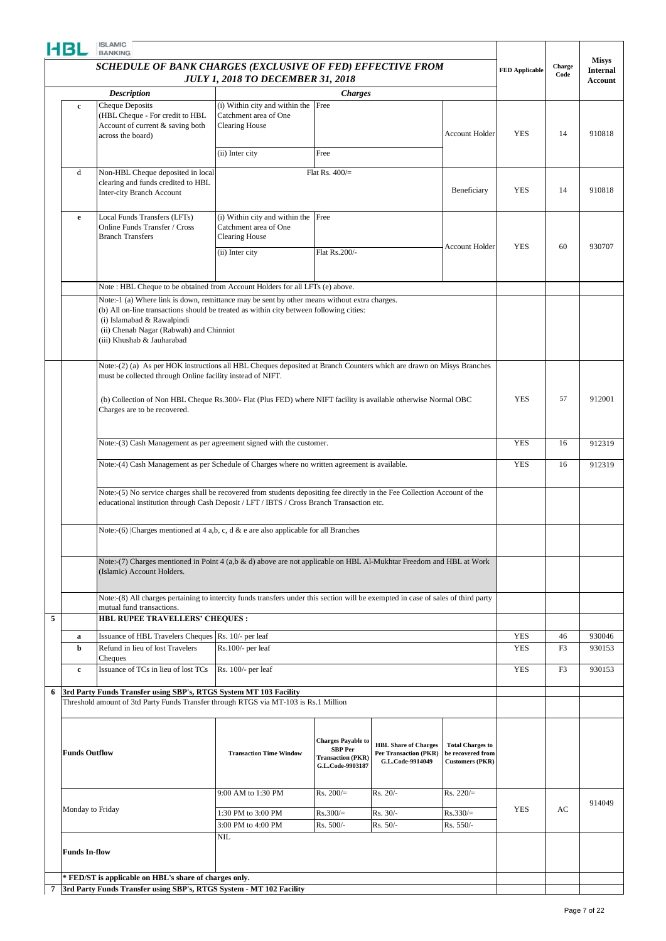|   | HBL                  | <b>ISLAMIC</b><br><b>BANKING</b>                                                                                                                                                                                                                                                                                                      |                                                                                               |                                                                                             |                                                                                 |                                                                        |                          |                |                                 |
|---|----------------------|---------------------------------------------------------------------------------------------------------------------------------------------------------------------------------------------------------------------------------------------------------------------------------------------------------------------------------------|-----------------------------------------------------------------------------------------------|---------------------------------------------------------------------------------------------|---------------------------------------------------------------------------------|------------------------------------------------------------------------|--------------------------|----------------|---------------------------------|
|   |                      | SCHEDULE OF BANK CHARGES (EXCLUSIVE OF FED) EFFECTIVE FROM<br><b>JULY 1, 2018 TO DECEMBER 31, 2018</b><br><b>Description</b><br><b>Charges</b>                                                                                                                                                                                        |                                                                                               |                                                                                             |                                                                                 |                                                                        |                          | Charge<br>Code | <b>Misys</b><br><b>Internal</b> |
|   |                      | Cheque Deposits<br>(i) Within city and within the Free<br>(HBL Cheque - For credit to HBL<br>Catchment area of One<br>Account of current & saving both<br><b>Clearing House</b>                                                                                                                                                       |                                                                                               |                                                                                             |                                                                                 |                                                                        |                          |                | Account                         |
|   | $\mathbf{c}$         |                                                                                                                                                                                                                                                                                                                                       |                                                                                               |                                                                                             |                                                                                 |                                                                        |                          |                |                                 |
|   |                      | across the board)                                                                                                                                                                                                                                                                                                                     |                                                                                               |                                                                                             |                                                                                 | <b>Account Holder</b>                                                  | <b>YES</b>               | 14             | 910818                          |
|   |                      |                                                                                                                                                                                                                                                                                                                                       | (ii) Inter city                                                                               | Free                                                                                        |                                                                                 |                                                                        |                          |                |                                 |
|   | d                    | Non-HBL Cheque deposited in local                                                                                                                                                                                                                                                                                                     |                                                                                               | Flat Rs. $400/$ =                                                                           |                                                                                 |                                                                        |                          |                |                                 |
|   |                      | clearing and funds credited to HBL<br>Inter-city Branch Account                                                                                                                                                                                                                                                                       |                                                                                               |                                                                                             |                                                                                 | Beneficiary                                                            | <b>YES</b>               | 14             | 910818                          |
|   | e                    | Local Funds Transfers (LFTs)<br>Online Funds Transfer / Cross<br><b>Branch Transfers</b>                                                                                                                                                                                                                                              | (i) Within city and within the<br>Catchment area of One<br><b>Clearing House</b>              | Free                                                                                        |                                                                                 | <b>Account Holder</b>                                                  | <b>YES</b>               | 60             | 930707                          |
|   |                      |                                                                                                                                                                                                                                                                                                                                       | (ii) Inter city                                                                               | Flat Rs.200/-                                                                               |                                                                                 |                                                                        |                          |                |                                 |
|   |                      | Note: HBL Cheque to be obtained from Account Holders for all LFTs (e) above.                                                                                                                                                                                                                                                          |                                                                                               |                                                                                             |                                                                                 |                                                                        |                          |                |                                 |
|   |                      | Note:-1 (a) Where link is down, remittance may be sent by other means without extra charges.<br>(b) All on-line transactions should be treated as within city between following cities:<br>(i) Islamabad & Rawalpindi<br>(ii) Chenab Nagar (Rabwah) and Chinniot<br>(iii) Khushab & Jauharabad                                        |                                                                                               |                                                                                             |                                                                                 |                                                                        |                          |                |                                 |
|   |                      | Note:-(2) (a) As per HOK instructions all HBL Cheques deposited at Branch Counters which are drawn on Misys Branches<br>must be collected through Online facility instead of NIFT.<br>(b) Collection of Non HBL Cheque Rs.300/- Flat (Plus FED) where NIFT facility is available otherwise Normal OBC<br>Charges are to be recovered. |                                                                                               |                                                                                             |                                                                                 |                                                                        | <b>YES</b>               | 57             | 912001                          |
|   |                      | Note:-(3) Cash Management as per agreement signed with the customer.                                                                                                                                                                                                                                                                  |                                                                                               |                                                                                             |                                                                                 |                                                                        | <b>YES</b>               | 16             | 912319                          |
|   |                      |                                                                                                                                                                                                                                                                                                                                       | Note:-(4) Cash Management as per Schedule of Charges where no written agreement is available. |                                                                                             |                                                                                 |                                                                        |                          |                |                                 |
|   |                      | Note:-(5) No service charges shall be recovered from students depositing fee directly in the Fee Collection Account of the<br>educational institution through Cash Deposit / LFT / IBTS / Cross Branch Transaction etc.                                                                                                               |                                                                                               |                                                                                             |                                                                                 |                                                                        |                          |                |                                 |
|   |                      |                                                                                                                                                                                                                                                                                                                                       | Note:-(6)  Charges mentioned at 4 a,b, c, d & e are also applicable for all Branches          |                                                                                             |                                                                                 |                                                                        |                          |                |                                 |
|   |                      | Note:-(7) Charges mentioned in Point 4 (a,b & d) above are not applicable on HBL Al-Mukhtar Freedom and HBL at Work<br>(Islamic) Account Holders.                                                                                                                                                                                     |                                                                                               |                                                                                             |                                                                                 |                                                                        |                          |                |                                 |
|   |                      | Note:-(8) All charges pertaining to intercity funds transfers under this section will be exempted in case of sales of third party<br>mutual fund transactions.                                                                                                                                                                        |                                                                                               |                                                                                             |                                                                                 |                                                                        |                          |                |                                 |
| 5 |                      | <b>HBL RUPEE TRAVELLERS' CHEQUES:</b>                                                                                                                                                                                                                                                                                                 |                                                                                               |                                                                                             |                                                                                 |                                                                        |                          |                |                                 |
|   | $\mathbf{a}$         | Issuance of HBL Travelers Cheques Rs. 10/- per leaf                                                                                                                                                                                                                                                                                   |                                                                                               |                                                                                             |                                                                                 |                                                                        | <b>YES</b>               | 46             | 930046                          |
|   | b<br>$\mathbf c$     | Refund in lieu of lost Travelers<br>Cheques<br>Issuance of TCs in lieu of lost TCs                                                                                                                                                                                                                                                    | $Rs.100/-$ per leaf<br>Rs. 100/- per leaf                                                     |                                                                                             |                                                                                 |                                                                        | <b>YES</b><br><b>YES</b> | F3<br>F3       | 930153<br>930153                |
|   |                      |                                                                                                                                                                                                                                                                                                                                       |                                                                                               |                                                                                             |                                                                                 |                                                                        |                          |                |                                 |
| 6 |                      | 3rd Party Funds Transfer using SBP's, RTGS System MT 103 Facility<br>Threshold amount of 3td Party Funds Transfer through RTGS via MT-103 is Rs.1 Million                                                                                                                                                                             |                                                                                               |                                                                                             |                                                                                 |                                                                        |                          |                |                                 |
|   | <b>Funds Outflow</b> |                                                                                                                                                                                                                                                                                                                                       | <b>Transaction Time Window</b>                                                                | <b>Charges Payable to</b><br><b>SBP</b> Per<br><b>Transaction</b> (PKR)<br>G.L.Code-9903187 | <b>HBL Share of Charges</b><br><b>Per Transaction (PKR)</b><br>G.L.Code-9914049 | <b>Total Charges to</b><br>be recovered from<br><b>Customers (PKR)</b> |                          |                |                                 |
|   |                      |                                                                                                                                                                                                                                                                                                                                       | 9:00 AM to 1:30 PM                                                                            | $Rs. 200/=$                                                                                 | Rs. 20/-                                                                        | $Rs. 220 =$                                                            |                          |                | 914049                          |
|   | Monday to Friday     |                                                                                                                                                                                                                                                                                                                                       | 1:30 PM to 3:00 PM                                                                            | $Rs.300/=$                                                                                  | Rs. 30/-                                                                        | $Rs.330/=$                                                             | <b>YES</b>               | AC             |                                 |
|   |                      |                                                                                                                                                                                                                                                                                                                                       | 3:00 PM to 4:00 PM<br>NIL                                                                     | Rs. 500/-                                                                                   | Rs. 50/-                                                                        | Rs. 550/-                                                              |                          |                |                                 |
|   | <b>Funds In-flow</b> |                                                                                                                                                                                                                                                                                                                                       |                                                                                               |                                                                                             |                                                                                 |                                                                        |                          |                |                                 |
|   |                      | * FED/ST is applicable on HBL's share of charges only.                                                                                                                                                                                                                                                                                |                                                                                               |                                                                                             |                                                                                 |                                                                        |                          |                |                                 |
| 7 |                      | 3rd Party Funds Transfer using SBP's, RTGS System - MT 102 Facility                                                                                                                                                                                                                                                                   |                                                                                               |                                                                                             |                                                                                 |                                                                        |                          |                |                                 |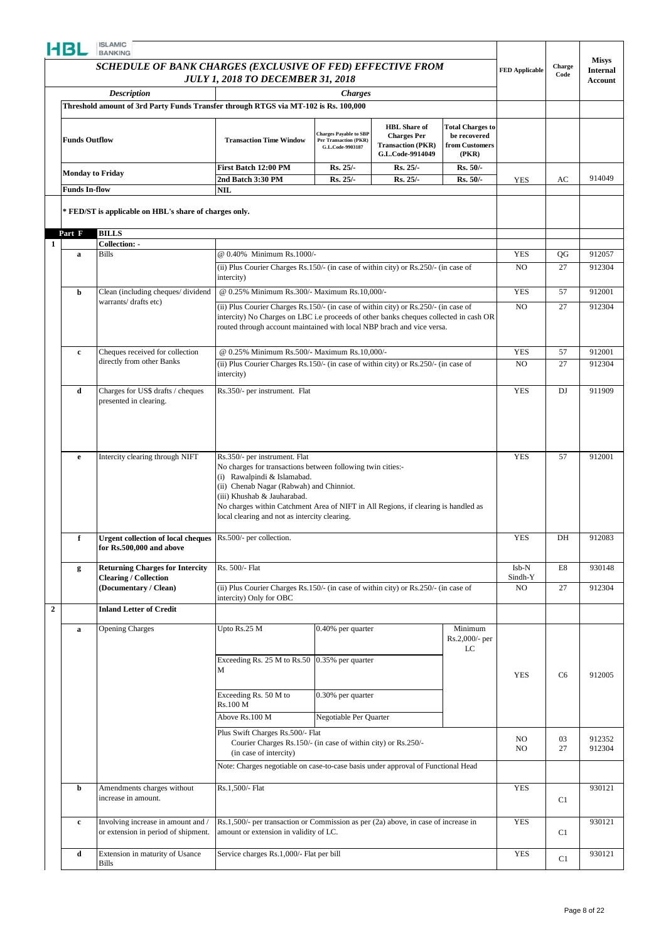|                      | SCHEDULE OF BANK CHARGES (EXCLUSIVE OF FED) EFFECTIVE FROM                                                |                                                                                                                                                                                                                                                                                                                                               | <b>FED Applicable</b>                                                             | Charge<br>Code                                                                            | <b>Misys</b><br><b>Internal</b>                                    |                              |                |                  |
|----------------------|-----------------------------------------------------------------------------------------------------------|-----------------------------------------------------------------------------------------------------------------------------------------------------------------------------------------------------------------------------------------------------------------------------------------------------------------------------------------------|-----------------------------------------------------------------------------------|-------------------------------------------------------------------------------------------|--------------------------------------------------------------------|------------------------------|----------------|------------------|
|                      |                                                                                                           | <b>JULY 1, 2018 TO DECEMBER 31, 2018</b>                                                                                                                                                                                                                                                                                                      |                                                                                   |                                                                                           |                                                                    |                              |                | Account          |
|                      | <b>Description</b><br>Threshold amount of 3rd Party Funds Transfer through RTGS via MT-102 is Rs. 100,000 |                                                                                                                                                                                                                                                                                                                                               | <b>Charges</b>                                                                    |                                                                                           |                                                                    |                              |                |                  |
|                      |                                                                                                           |                                                                                                                                                                                                                                                                                                                                               |                                                                                   |                                                                                           |                                                                    |                              |                |                  |
| <b>Funds Outflow</b> |                                                                                                           | <b>Transaction Time Window</b>                                                                                                                                                                                                                                                                                                                | <b>Charges Payable to SBP</b><br><b>Per Transaction (PKR)</b><br>G.L.Code-9903187 | <b>HBL</b> Share of<br><b>Charges Per</b><br><b>Transaction (PKR)</b><br>G.L.Code-9914049 | <b>Total Charges to</b><br>be recovered<br>from Customers<br>(PKR) |                              |                |                  |
|                      | <b>Monday to Friday</b>                                                                                   | First Batch 12:00 PM                                                                                                                                                                                                                                                                                                                          | Rs. 25/-                                                                          | Rs. 25/-                                                                                  | Rs. 50/-                                                           |                              |                |                  |
| <b>Funds In-flow</b> |                                                                                                           | 2nd Batch 3:30 PM<br>NIL                                                                                                                                                                                                                                                                                                                      | Rs. 25/-                                                                          | Rs. 25/-                                                                                  | Rs. 50/-                                                           | <b>YES</b>                   | AC             | 914049           |
|                      | * FED/ST is applicable on HBL's share of charges only.                                                    |                                                                                                                                                                                                                                                                                                                                               |                                                                                   |                                                                                           |                                                                    |                              |                |                  |
| Part F               | <b>BILLS</b>                                                                                              |                                                                                                                                                                                                                                                                                                                                               |                                                                                   |                                                                                           |                                                                    |                              |                |                  |
|                      | Collection: -                                                                                             |                                                                                                                                                                                                                                                                                                                                               |                                                                                   |                                                                                           |                                                                    |                              |                |                  |
| a                    | <b>Bills</b>                                                                                              | @ 0.40% Minimum Rs.1000/-<br>(ii) Plus Courier Charges Rs.150/- (in case of within city) or Rs.250/- (in case of                                                                                                                                                                                                                              |                                                                                   |                                                                                           |                                                                    | <b>YES</b><br>N <sub>O</sub> | QG<br>27       | 912057<br>912304 |
|                      |                                                                                                           | intercity)                                                                                                                                                                                                                                                                                                                                    |                                                                                   |                                                                                           |                                                                    |                              |                |                  |
| b                    | Clean (including cheques/dividend                                                                         | @ 0.25% Minimum Rs.300/- Maximum Rs.10,000/-                                                                                                                                                                                                                                                                                                  |                                                                                   |                                                                                           |                                                                    | <b>YES</b>                   | 57             | 912001           |
|                      | warrants/drafts etc)                                                                                      | (ii) Plus Courier Charges Rs.150/- (in case of within city) or Rs.250/- (in case of                                                                                                                                                                                                                                                           |                                                                                   |                                                                                           |                                                                    | N <sub>O</sub>               | 27             | 912304           |
|                      |                                                                                                           | intercity) No Charges on LBC i.e proceeds of other banks cheques collected in cash OR<br>routed through account maintained with local NBP brach and vice versa.                                                                                                                                                                               |                                                                                   |                                                                                           |                                                                    |                              |                |                  |
| $\mathbf c$          | Cheques received for collection                                                                           | @ 0.25% Minimum Rs.500/- Maximum Rs.10.000/-                                                                                                                                                                                                                                                                                                  |                                                                                   |                                                                                           |                                                                    | <b>YES</b>                   | 57             | 912001           |
|                      | directly from other Banks                                                                                 | (ii) Plus Courier Charges Rs.150/- (in case of within city) or Rs.250/- (in case of                                                                                                                                                                                                                                                           |                                                                                   |                                                                                           |                                                                    | N <sub>O</sub>               | 27             | 912304           |
|                      |                                                                                                           | intercity)                                                                                                                                                                                                                                                                                                                                    |                                                                                   |                                                                                           |                                                                    |                              |                |                  |
| d                    | Charges for US\$ drafts / cheques<br>presented in clearing.                                               | Rs.350/- per instrument. Flat                                                                                                                                                                                                                                                                                                                 |                                                                                   |                                                                                           |                                                                    | <b>YES</b>                   | DJ             | 911909           |
| e                    | Intercity clearing through NIFT                                                                           | Rs.350/- per instrument. Flat<br>No charges for transactions between following twin cities:-<br>(i) Rawalpindi & Islamabad.<br>(ii) Chenab Nagar (Rabwah) and Chinniot.<br>(iii) Khushab & Jauharabad.<br>No charges within Catchment Area of NIFT in All Regions, if clearing is handled as<br>local clearing and not as intercity clearing. |                                                                                   |                                                                                           |                                                                    | <b>YES</b>                   | 57             | 912001           |
| f                    | Urgent collection of local cheques Rs.500/- per collection.<br>for Rs.500,000 and above                   |                                                                                                                                                                                                                                                                                                                                               |                                                                                   |                                                                                           |                                                                    | <b>YES</b>                   | DH             | 912083           |
| g                    | <b>Returning Charges for Intercity</b>                                                                    | Rs. 500/- Flat                                                                                                                                                                                                                                                                                                                                |                                                                                   |                                                                                           |                                                                    | Isb-N                        | E8             | 930148           |
|                      | <b>Clearing / Collection</b><br>(Documentary / Clean)                                                     | (ii) Plus Courier Charges Rs.150/- (in case of within city) or Rs.250/- (in case of                                                                                                                                                                                                                                                           |                                                                                   |                                                                                           |                                                                    | Sindh-Y<br>N <sub>O</sub>    | 27             | 912304           |
|                      |                                                                                                           | intercity) Only for OBC                                                                                                                                                                                                                                                                                                                       |                                                                                   |                                                                                           |                                                                    |                              |                |                  |
|                      | <b>Inland Letter of Credit</b>                                                                            |                                                                                                                                                                                                                                                                                                                                               |                                                                                   |                                                                                           |                                                                    |                              |                |                  |
| $\bf{a}$             | <b>Opening Charges</b>                                                                                    | Upto Rs.25 M                                                                                                                                                                                                                                                                                                                                  | 0.40% per quarter                                                                 |                                                                                           | Minimum<br>Rs.2,000/- per<br>LC                                    |                              |                |                  |
|                      |                                                                                                           | Exceeding Rs. 25 M to Rs.50 $(0.35\%$ per quarter<br>М                                                                                                                                                                                                                                                                                        |                                                                                   |                                                                                           |                                                                    | <b>YES</b>                   | C6             | 912005           |
|                      |                                                                                                           | Exceeding Rs. 50 M to<br>Rs.100 M                                                                                                                                                                                                                                                                                                             | 0.30% per quarter                                                                 |                                                                                           |                                                                    |                              |                |                  |
|                      |                                                                                                           | Above Rs.100 M                                                                                                                                                                                                                                                                                                                                | Negotiable Per Quarter                                                            |                                                                                           |                                                                    |                              |                |                  |
|                      |                                                                                                           | Plus Swift Charges Rs.500/- Flat<br>Courier Charges Rs.150/- (in case of within city) or Rs.250/-<br>(in case of intercity)                                                                                                                                                                                                                   |                                                                                   |                                                                                           |                                                                    | NO.<br>NO.                   | 03<br>27       | 912352<br>912304 |
|                      |                                                                                                           | Note: Charges negotiable on case-to-case basis under approval of Functional Head                                                                                                                                                                                                                                                              |                                                                                   |                                                                                           |                                                                    |                              |                |                  |
| þ                    | Amendments charges without                                                                                | Rs.1,500/- Flat                                                                                                                                                                                                                                                                                                                               |                                                                                   |                                                                                           |                                                                    | <b>YES</b>                   |                | 930121           |
|                      | increase in amount.                                                                                       |                                                                                                                                                                                                                                                                                                                                               |                                                                                   |                                                                                           |                                                                    |                              | C1             |                  |
| c                    | Involving increase in amount and /<br>or extension in period of shipment.                                 | Rs.1,500/- per transaction or Commission as per (2a) above, in case of increase in<br>amount or extension in validity of LC.                                                                                                                                                                                                                  |                                                                                   |                                                                                           |                                                                    | <b>YES</b>                   | C1             | 930121           |
| d                    | Extension in maturity of Usance                                                                           | Service charges Rs.1,000/- Flat per bill                                                                                                                                                                                                                                                                                                      |                                                                                   |                                                                                           |                                                                    | YES                          | C <sub>1</sub> | 930121           |
|                      | Bills                                                                                                     |                                                                                                                                                                                                                                                                                                                                               |                                                                                   |                                                                                           |                                                                    |                              |                |                  |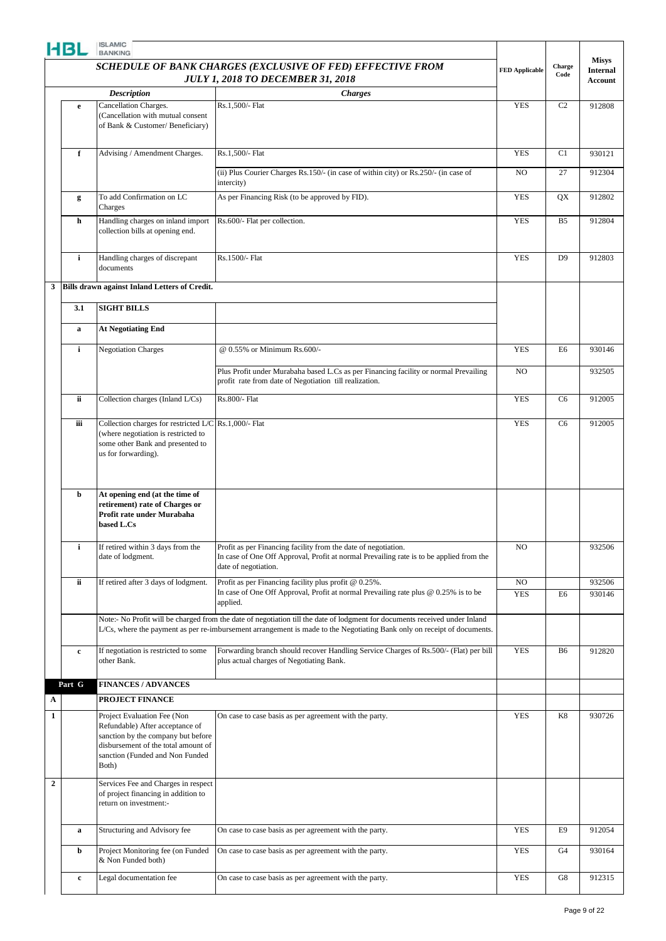|                  | HBL         | <b>ISLAMIC</b><br><b>BANKING</b>                                                                                                                                                        |                                                                                                                                                                                                                                                        |                              |                |                                 |
|------------------|-------------|-----------------------------------------------------------------------------------------------------------------------------------------------------------------------------------------|--------------------------------------------------------------------------------------------------------------------------------------------------------------------------------------------------------------------------------------------------------|------------------------------|----------------|---------------------------------|
|                  |             |                                                                                                                                                                                         | SCHEDULE OF BANK CHARGES (EXCLUSIVE OF FED) EFFECTIVE FROM                                                                                                                                                                                             | <b>FED Applicable</b>        | Charge         | <b>Misys</b><br><b>Internal</b> |
|                  |             | <b>JULY 1, 2018 TO DECEMBER 31, 2018</b><br><b>Description</b><br><b>Charges</b><br>Cancellation Charges.<br>Rs.1.500/- Flat<br>e<br>(Cancellation with mutual consent                  |                                                                                                                                                                                                                                                        | Code                         | <b>Account</b> |                                 |
|                  |             |                                                                                                                                                                                         |                                                                                                                                                                                                                                                        | <b>YES</b>                   | C <sub>2</sub> | 912808                          |
|                  |             | of Bank & Customer/Beneficiary)                                                                                                                                                         |                                                                                                                                                                                                                                                        |                              |                |                                 |
|                  | $\mathbf f$ | Advising / Amendment Charges.                                                                                                                                                           | Rs.1,500/- Flat                                                                                                                                                                                                                                        | <b>YES</b>                   | C1             | 930121                          |
|                  |             |                                                                                                                                                                                         | (ii) Plus Courier Charges Rs.150/- (in case of within city) or Rs.250/- (in case of<br>intercity)                                                                                                                                                      | N <sub>O</sub>               | 27             | 912304                          |
|                  | g           | To add Confirmation on LC<br>Charges                                                                                                                                                    | As per Financing Risk (to be approved by FID).                                                                                                                                                                                                         | <b>YES</b>                   | QX             | 912802                          |
|                  | h           | Handling charges on inland import<br>collection bills at opening end.                                                                                                                   | Rs.600/- Flat per collection.                                                                                                                                                                                                                          | <b>YES</b>                   | B <sub>5</sub> | 912804                          |
|                  | i           | Handling charges of discrepant<br>documents                                                                                                                                             | Rs.1500/- Flat                                                                                                                                                                                                                                         | <b>YES</b>                   | D <sub>9</sub> | 912803                          |
| 3                |             | <b>Bills drawn against Inland Letters of Credit.</b>                                                                                                                                    |                                                                                                                                                                                                                                                        |                              |                |                                 |
|                  | 3.1         | <b>SIGHT BILLS</b>                                                                                                                                                                      |                                                                                                                                                                                                                                                        |                              |                |                                 |
|                  | $\mathbf a$ | <b>At Negotiating End</b>                                                                                                                                                               |                                                                                                                                                                                                                                                        |                              |                |                                 |
|                  | i           | <b>Negotiation Charges</b>                                                                                                                                                              | @ 0.55% or Minimum Rs.600/-                                                                                                                                                                                                                            | <b>YES</b>                   | E <sub>6</sub> | 930146                          |
|                  |             |                                                                                                                                                                                         | Plus Profit under Murabaha based L.Cs as per Financing facility or normal Prevailing<br>profit rate from date of Negotiation till realization.                                                                                                         | N <sub>O</sub>               |                | 932505                          |
|                  | ii          | Collection charges (Inland L/Cs)                                                                                                                                                        | Rs.800/- Flat                                                                                                                                                                                                                                          | <b>YES</b>                   | C6             | 912005                          |
|                  | iii         | Collection charges for restricted L/C Rs.1,000/- Flat<br>(where negotiation is restricted to<br>some other Bank and presented to<br>us for forwarding).                                 |                                                                                                                                                                                                                                                        | <b>YES</b>                   | C <sub>6</sub> | 912005                          |
|                  | b           | At opening end (at the time of<br>retirement) rate of Charges or<br>Profit rate under Murabaha<br>based L.Cs                                                                            |                                                                                                                                                                                                                                                        |                              |                |                                 |
|                  | i           | If retired within 3 days from the<br>date of lodgment.                                                                                                                                  | Profit as per Financing facility from the date of negotiation.<br>In case of One Off Approval, Profit at normal Prevailing rate is to be applied from the<br>date of negotiation.                                                                      | NO.                          |                | 932506                          |
|                  | ii          | If retired after 3 days of lodgment.                                                                                                                                                    | Profit as per Financing facility plus profit @ 0.25%.<br>In case of One Off Approval, Profit at normal Prevailing rate plus $@$ 0.25% is to be<br>applied.                                                                                             | N <sub>O</sub><br><b>YES</b> | E6             | 932506<br>930146                |
|                  |             |                                                                                                                                                                                         | Note:- No Profit will be charged from the date of negotiation till the date of lodgment for documents received under Inland<br>L/Cs, where the payment as per re-imbursement arrangement is made to the Negotiating Bank only on receipt of documents. |                              |                |                                 |
|                  | $\mathbf c$ | If negotiation is restricted to some<br>other Bank.                                                                                                                                     | Forwarding branch should recover Handling Service Charges of Rs.500/- (Flat) per bill<br>plus actual charges of Negotiating Bank.                                                                                                                      | <b>YES</b>                   | B <sub>6</sub> | 912820                          |
|                  | Part G      | <b>FINANCES / ADVANCES</b>                                                                                                                                                              |                                                                                                                                                                                                                                                        |                              |                |                                 |
| A                |             | PROJECT FINANCE                                                                                                                                                                         |                                                                                                                                                                                                                                                        |                              |                |                                 |
| $\mathbf{1}$     |             | Project Evaluation Fee (Non<br>Refundable) After acceptance of<br>sanction by the company but before<br>disbursement of the total amount of<br>sanction (Funded and Non Funded<br>Both) | On case to case basis as per agreement with the party.                                                                                                                                                                                                 | <b>YES</b>                   | K8             | 930726                          |
| $\boldsymbol{2}$ |             | Services Fee and Charges in respect<br>of project financing in addition to<br>return on investment:-                                                                                    |                                                                                                                                                                                                                                                        |                              |                |                                 |
|                  | a           | Structuring and Advisory fee                                                                                                                                                            | On case to case basis as per agreement with the party.                                                                                                                                                                                                 | <b>YES</b>                   | E9             | 912054                          |
|                  | b           | Project Monitoring fee (on Funded<br>& Non Funded both)                                                                                                                                 | On case to case basis as per agreement with the party.                                                                                                                                                                                                 | <b>YES</b>                   | G4             | 930164                          |
|                  | $\mathbf c$ | Legal documentation fee                                                                                                                                                                 | On case to case basis as per agreement with the party.                                                                                                                                                                                                 | <b>YES</b>                   | G8             | 912315                          |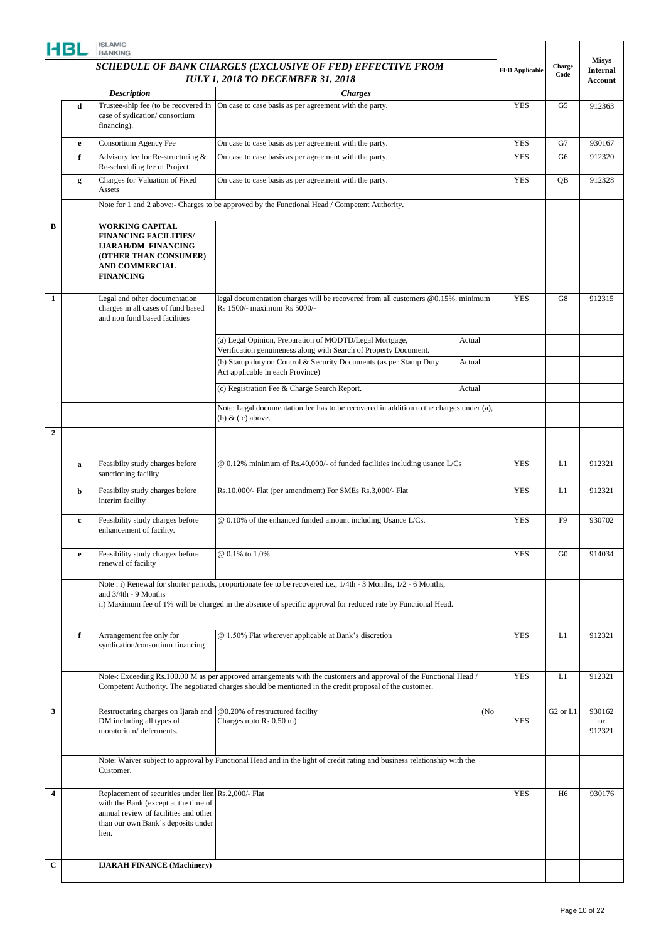|                         | HBL          | <b>BANKING</b><br>SCHEDULE OF BANK CHARGES (EXCLUSIVE OF FED) EFFECTIVE FROM                                                                                                         |                                                                                                                                                                                                                                         | <b>FED Applicable</b> | Charge<br>Code | <b>Misys</b><br><b>Internal</b><br>Account |                               |
|-------------------------|--------------|--------------------------------------------------------------------------------------------------------------------------------------------------------------------------------------|-----------------------------------------------------------------------------------------------------------------------------------------------------------------------------------------------------------------------------------------|-----------------------|----------------|--------------------------------------------|-------------------------------|
|                         |              | <b>Description</b>                                                                                                                                                                   | <b>JULY 1, 2018 TO DECEMBER 31, 2018</b><br><b>Charges</b>                                                                                                                                                                              |                       |                |                                            |                               |
|                         | d            | Trustee-ship fee (to be recovered in<br>case of sydication/consortium<br>financing).                                                                                                 | On case to case basis as per agreement with the party.                                                                                                                                                                                  |                       | <b>YES</b>     | G5                                         | 912363                        |
|                         | $\mathbf{e}$ | Consortium Agency Fee                                                                                                                                                                | On case to case basis as per agreement with the party.                                                                                                                                                                                  |                       | <b>YES</b>     | G7                                         | 930167                        |
|                         | f            | Advisory fee for Re-structuring &<br>Re-scheduling fee of Project                                                                                                                    | On case to case basis as per agreement with the party.                                                                                                                                                                                  |                       | <b>YES</b>     | G6                                         | 912320                        |
|                         | g            | Charges for Valuation of Fixed<br>Assets                                                                                                                                             | On case to case basis as per agreement with the party.                                                                                                                                                                                  |                       | <b>YES</b>     | QB                                         | 912328                        |
|                         |              |                                                                                                                                                                                      | Note for 1 and 2 above:- Charges to be approved by the Functional Head / Competent Authority.                                                                                                                                           |                       |                |                                            |                               |
| B                       |              | <b>WORKING CAPITAL</b><br><b>FINANCING FACILITIES/</b><br><b>IJARAH/DM FINANCING</b><br>(OTHER THAN CONSUMER)<br><b>AND COMMERCIAL</b><br><b>FINANCING</b>                           |                                                                                                                                                                                                                                         |                       |                |                                            |                               |
| 1                       |              | Legal and other documentation<br>charges in all cases of fund based<br>and non fund based facilities                                                                                 | legal documentation charges will be recovered from all customers @0.15%. minimum<br>Rs 1500/- maximum Rs 5000/-                                                                                                                         |                       | <b>YES</b>     | G8                                         | 912315                        |
|                         |              |                                                                                                                                                                                      | (a) Legal Opinion, Preparation of MODTD/Legal Mortgage,<br>Verification genuineness along with Search of Property Document.                                                                                                             | Actual                |                |                                            |                               |
|                         |              |                                                                                                                                                                                      | (b) Stamp duty on Control & Security Documents (as per Stamp Duty<br>Act applicable in each Province)                                                                                                                                   | Actual                |                |                                            |                               |
|                         |              |                                                                                                                                                                                      | (c) Registration Fee & Charge Search Report.                                                                                                                                                                                            | Actual                |                |                                            |                               |
|                         |              |                                                                                                                                                                                      | Note: Legal documentation fee has to be recovered in addition to the charges under (a),<br>(b) $\&$ (c) above.                                                                                                                          |                       |                |                                            |                               |
| $\overline{2}$          |              |                                                                                                                                                                                      |                                                                                                                                                                                                                                         |                       |                |                                            |                               |
|                         | a            | Feasibilty study charges before<br>sanctioning facility                                                                                                                              | @ 0.12% minimum of Rs.40,000/- of funded facilities including usance L/Cs                                                                                                                                                               |                       | <b>YES</b>     | L1                                         | 912321                        |
|                         | b            | Feasibilty study charges before<br>interim facility                                                                                                                                  | Rs.10,000/- Flat (per amendment) For SMEs Rs.3,000/- Flat                                                                                                                                                                               |                       | <b>YES</b>     | L1                                         | 912321                        |
|                         | $\mathbf c$  | Feasibility study charges before<br>enhancement of facility.                                                                                                                         | @ 0.10% of the enhanced funded amount including Usance L/Cs.                                                                                                                                                                            |                       | <b>YES</b>     | F <sub>9</sub>                             | 930702                        |
|                         | e            | Feasibility study charges before<br>renewal of facility                                                                                                                              | @ 0.1% to 1.0%                                                                                                                                                                                                                          |                       | <b>YES</b>     | G <sub>0</sub>                             | 914034                        |
|                         |              | and $3/4th - 9$ Months                                                                                                                                                               | Note : i) Renewal for shorter periods, proportionate fee to be recovered i.e., $1/4$ th - 3 Months, $1/2$ - 6 Months,<br>ii) Maximum fee of 1% will be charged in the absence of specific approval for reduced rate by Functional Head. |                       |                |                                            |                               |
|                         | f            | Arrangement fee only for<br>syndication/consortium financing                                                                                                                         | @ 1.50% Flat wherever applicable at Bank's discretion                                                                                                                                                                                   |                       | <b>YES</b>     | L1                                         | 912321                        |
|                         |              |                                                                                                                                                                                      | Note-: Exceeding Rs.100.00 M as per approved arrangements with the customers and approval of the Functional Head /<br>Competent Authority. The negotiated charges should be mentioned in the credit proposal of the customer.           |                       | <b>YES</b>     | L1                                         | 912321                        |
| 3                       |              | Restructuring charges on Ijarah and<br>DM including all types of<br>moratorium/deferments.                                                                                           | @0.20% of restructured facility<br>Charges upto Rs 0.50 m)                                                                                                                                                                              | (No)                  | <b>YES</b>     | G <sub>2</sub> or L <sub>1</sub>           | 930162<br><b>or</b><br>912321 |
|                         |              | Customer.                                                                                                                                                                            | Note: Waiver subject to approval by Functional Head and in the light of credit rating and business relationship with the                                                                                                                |                       |                |                                            |                               |
| $\overline{\mathbf{4}}$ |              | Replacement of securities under lien Rs.2,000/- Flat<br>with the Bank (except at the time of<br>annual review of facilities and other<br>than our own Bank's deposits under<br>lien. |                                                                                                                                                                                                                                         |                       | <b>YES</b>     | H <sub>6</sub>                             | 930176                        |
| C                       |              | <b>IJARAH FINANCE (Machinery)</b>                                                                                                                                                    |                                                                                                                                                                                                                                         |                       |                |                                            |                               |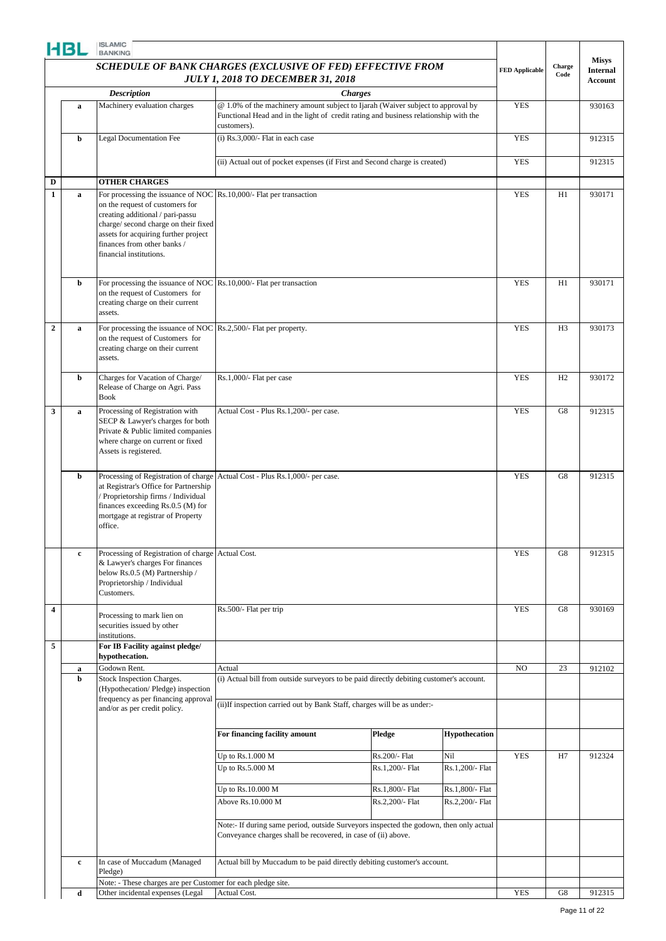|                         | HBL          | <b>ISLAMIC</b><br><b>BANKING</b>                                                                                                                                                                                                                                                    |                                                                                                                                                                                        |                 |                      |                       |                |                                   |
|-------------------------|--------------|-------------------------------------------------------------------------------------------------------------------------------------------------------------------------------------------------------------------------------------------------------------------------------------|----------------------------------------------------------------------------------------------------------------------------------------------------------------------------------------|-----------------|----------------------|-----------------------|----------------|-----------------------------------|
|                         |              |                                                                                                                                                                                                                                                                                     | <b>SCHEDULE OF BANK CHARGES (EXCLUSIVE OF FED) EFFECTIVE FROM</b>                                                                                                                      |                 |                      |                       | Charge         | <b>Misys</b>                      |
|                         |              |                                                                                                                                                                                                                                                                                     | <b>JULY 1, 2018 TO DECEMBER 31, 2018</b>                                                                                                                                               |                 |                      | <b>FED Applicable</b> | Code           | <b>Internal</b><br><b>Account</b> |
|                         |              | <b>Description</b>                                                                                                                                                                                                                                                                  |                                                                                                                                                                                        | <b>Charges</b>  |                      |                       |                |                                   |
|                         | a            | Machinery evaluation charges                                                                                                                                                                                                                                                        | @ 1.0% of the machinery amount subject to Ijarah (Waiver subject to approval by<br>Functional Head and in the light of credit rating and business relationship with the<br>customers). |                 |                      | <b>YES</b>            |                | 930163                            |
|                         | b            | <b>Legal Documentation Fee</b>                                                                                                                                                                                                                                                      | $(i)$ Rs.3,000/- Flat in each case                                                                                                                                                     |                 |                      | <b>YES</b>            |                | 912315                            |
|                         |              |                                                                                                                                                                                                                                                                                     | (ii) Actual out of pocket expenses (if First and Second charge is created)                                                                                                             |                 |                      | <b>YES</b>            |                | 912315                            |
| $\mathbf D$             |              | <b>OTHER CHARGES</b>                                                                                                                                                                                                                                                                |                                                                                                                                                                                        |                 |                      |                       |                |                                   |
| $\mathbf{1}$            | $\mathbf a$  | For processing the issuance of NOC Rs.10,000/- Flat per transaction<br>on the request of customers for<br>creating additional / pari-passu<br>charge/second charge on their fixed<br>assets for acquiring further project<br>finances from other banks /<br>financial institutions. |                                                                                                                                                                                        |                 |                      | <b>YES</b>            | H1             | 930171                            |
|                         | b            | For processing the issuance of NOC $\vert$ Rs. 10,000/- Flat per transaction<br>on the request of Customers for<br>creating charge on their current<br>assets.                                                                                                                      |                                                                                                                                                                                        |                 |                      | <b>YES</b>            | H1             | 930171                            |
| $\overline{2}$          | a            | For processing the issuance of NOC Rs.2,500/- Flat per property.<br>on the request of Customers for<br>creating charge on their current<br>assets.                                                                                                                                  |                                                                                                                                                                                        |                 |                      | <b>YES</b>            | H <sub>3</sub> | 930173                            |
|                         | b            | Charges for Vacation of Charge/<br>Release of Charge on Agri. Pass<br><b>Book</b>                                                                                                                                                                                                   | Rs.1,000/- Flat per case                                                                                                                                                               |                 |                      |                       |                | 930172                            |
| 3                       | a            | Processing of Registration with<br>SECP & Lawyer's charges for both<br>Private & Public limited companies<br>where charge on current or fixed<br>Assets is registered.                                                                                                              | Actual Cost - Plus Rs.1,200/- per case.                                                                                                                                                |                 |                      | <b>YES</b>            | G8             | 912315                            |
|                         | b            | Processing of Registration of charge<br>at Registrar's Office for Partnership<br>/ Proprietorship firms / Individual<br>finances exceeding Rs.0.5 (M) for<br>mortgage at registrar of Property<br>office.                                                                           | Actual Cost - Plus Rs.1,000/- per case.                                                                                                                                                |                 |                      | <b>YES</b>            | G8             | 912315                            |
|                         | $\mathbf{c}$ | Processing of Registration of charge Actual Cost.<br>& Lawyer's charges For finances<br>below Rs.0.5 (M) Partnership /<br>Proprietorship / Individual<br>Customers.                                                                                                                 |                                                                                                                                                                                        |                 |                      | <b>YES</b>            | G8             | 912315                            |
| $\overline{\mathbf{4}}$ |              | Processing to mark lien on<br>securities issued by other<br>institutions.                                                                                                                                                                                                           | Rs.500/- Flat per trip                                                                                                                                                                 |                 |                      | <b>YES</b>            | G8             | 930169                            |
| 5                       |              | For IB Facility against pledge/<br>hypothecation.                                                                                                                                                                                                                                   |                                                                                                                                                                                        |                 |                      |                       |                |                                   |
|                         | a            | Godown Rent.                                                                                                                                                                                                                                                                        | Actual                                                                                                                                                                                 |                 |                      | NO                    | 23             | 912102                            |
|                         | b            | Stock Inspection Charges.<br>(Hypothecation/Pledge) inspection<br>frequency as per financing approval                                                                                                                                                                               | (i) Actual bill from outside surveyors to be paid directly debiting customer's account.                                                                                                |                 |                      |                       |                |                                   |
|                         |              | and/or as per credit policy.                                                                                                                                                                                                                                                        | (ii) If inspection carried out by Bank Staff, charges will be as under:-                                                                                                               |                 |                      |                       |                |                                   |
|                         |              |                                                                                                                                                                                                                                                                                     | For financing facility amount                                                                                                                                                          | Pledge          | <b>Hypothecation</b> |                       |                |                                   |
|                         |              |                                                                                                                                                                                                                                                                                     | Up to Rs.1.000 M                                                                                                                                                                       | Rs.200/- Flat   | Nil                  | <b>YES</b>            | H7             | 912324                            |
|                         |              |                                                                                                                                                                                                                                                                                     | Up to $Rs.5.000 M$                                                                                                                                                                     | Rs.1,200/- Flat | Rs.1,200/- Flat      |                       |                |                                   |
|                         |              |                                                                                                                                                                                                                                                                                     | Up to Rs.10.000 M                                                                                                                                                                      | Rs.1,800/- Flat | Rs.1,800/- Flat      |                       |                |                                   |
|                         |              |                                                                                                                                                                                                                                                                                     | Above Rs.10.000 M                                                                                                                                                                      | Rs.2,200/- Flat | Rs.2,200/- Flat      |                       |                |                                   |
|                         |              |                                                                                                                                                                                                                                                                                     | Note:- If during same period, outside Surveyors inspected the godown, then only actual<br>Conveyance charges shall be recovered, in case of (ii) above.                                |                 |                      |                       |                |                                   |
|                         | $\mathbf c$  | In case of Muccadum (Managed                                                                                                                                                                                                                                                        | Actual bill by Muccadum to be paid directly debiting customer's account.                                                                                                               |                 |                      |                       |                |                                   |
|                         |              | Pledge)<br>Note: - These charges are per Customer for each pledge site.                                                                                                                                                                                                             |                                                                                                                                                                                        |                 |                      |                       |                |                                   |
|                         | d            | Other incidental expenses (Legal                                                                                                                                                                                                                                                    | Actual Cost.                                                                                                                                                                           |                 |                      | <b>YES</b>            | G8             | 912315                            |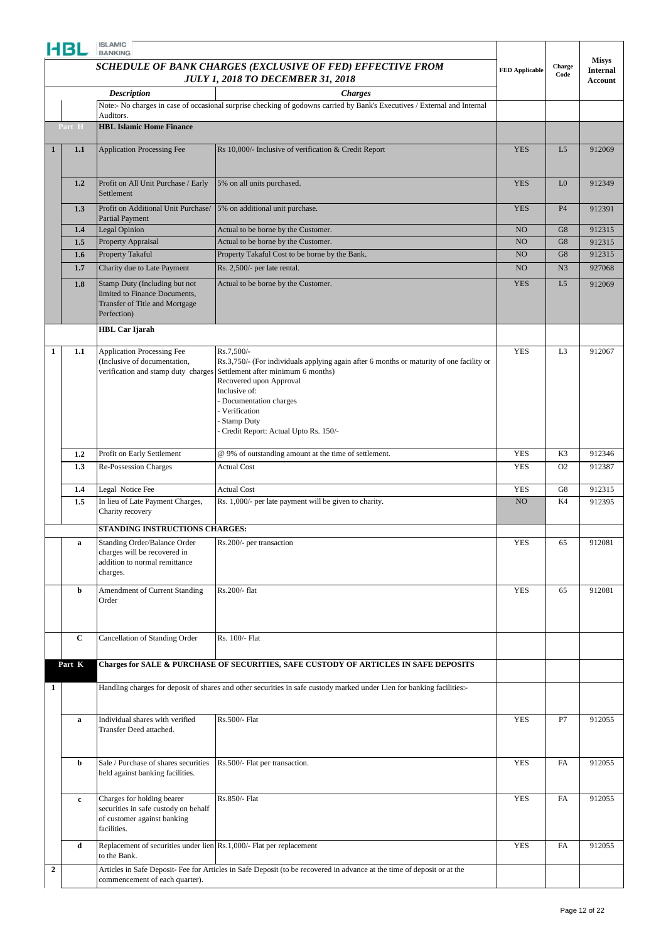|                  | HBL         | <b>ISLAMIC</b><br><b>BANKING</b>                                                                                 |                                                                                                                                                                                                                                                                                                |                       |                |                            |
|------------------|-------------|------------------------------------------------------------------------------------------------------------------|------------------------------------------------------------------------------------------------------------------------------------------------------------------------------------------------------------------------------------------------------------------------------------------------|-----------------------|----------------|----------------------------|
|                  |             |                                                                                                                  |                                                                                                                                                                                                                                                                                                |                       |                | <b>Misys</b>               |
|                  |             |                                                                                                                  | SCHEDULE OF BANK CHARGES (EXCLUSIVE OF FED) EFFECTIVE FROM<br><b>JULY 1, 2018 TO DECEMBER 31, 2018</b>                                                                                                                                                                                         | <b>FED Applicable</b> | Charge<br>Code | <b>Internal</b><br>Account |
|                  |             | <b>Description</b>                                                                                               | <b>Charges</b>                                                                                                                                                                                                                                                                                 |                       |                |                            |
|                  |             |                                                                                                                  | Note:- No charges in case of occasional surprise checking of godowns carried by Bank's Executives / External and Internal                                                                                                                                                                      |                       |                |                            |
|                  | Part H      | Auditors.<br><b>HBL Islamic Home Finance</b>                                                                     |                                                                                                                                                                                                                                                                                                |                       |                |                            |
| 1                | 1.1         | <b>Application Processing Fee</b>                                                                                | Rs 10,000/- Inclusive of verification & Credit Report                                                                                                                                                                                                                                          | <b>YES</b>            | L5             | 912069                     |
|                  |             |                                                                                                                  |                                                                                                                                                                                                                                                                                                |                       |                |                            |
|                  | 1.2         | Profit on All Unit Purchase / Early<br>Settlement                                                                | 5% on all units purchased.                                                                                                                                                                                                                                                                     | <b>YES</b>            | L <sub>0</sub> | 912349                     |
|                  | 1.3         | Profit on Additional Unit Purchase/<br><b>Partial Payment</b>                                                    | 5% on additional unit purchase.                                                                                                                                                                                                                                                                | <b>YES</b>            | <b>P4</b>      | 912391                     |
|                  | 1.4         | <b>Legal Opinion</b>                                                                                             | Actual to be borne by the Customer.                                                                                                                                                                                                                                                            | NO                    | G8             | 912315                     |
|                  | 1.5         | Property Appraisal                                                                                               | Actual to be borne by the Customer.                                                                                                                                                                                                                                                            | NO                    | G8             | 912315                     |
|                  | 1.6         | Property Takaful                                                                                                 | Property Takaful Cost to be borne by the Bank.                                                                                                                                                                                                                                                 | NO                    | G8             | 912315                     |
|                  | 1.7         | Charity due to Late Payment                                                                                      | Rs. 2,500/- per late rental.                                                                                                                                                                                                                                                                   | NO                    | N <sub>3</sub> | 927068                     |
|                  | 1.8         | Stamp Duty (Including but not<br>limited to Finance Documents,<br>Transfer of Title and Mortgage<br>Perfection)  | Actual to be borne by the Customer.                                                                                                                                                                                                                                                            | <b>YES</b>            | L5             | 912069                     |
|                  |             | <b>HBL</b> Car Ijarah                                                                                            |                                                                                                                                                                                                                                                                                                |                       |                |                            |
| 1                | 1.1         | <b>Application Processing Fee</b><br>(Inclusive of documentation,<br>verification and stamp duty charges         | Rs.7,500/-<br>Rs.3,750/- (For individuals applying again after 6 months or maturity of one facility or<br>Settlement after minimum 6 months)<br>Recovered upon Approval<br>Inclusive of:<br>Documentation charges<br>Verification<br><b>Stamp Duty</b><br>Credit Report: Actual Upto Rs. 150/- | <b>YES</b>            | L <sub>3</sub> | 912067                     |
|                  | 1.2         | Profit on Early Settlement                                                                                       | @ 9% of outstanding amount at the time of settlement.                                                                                                                                                                                                                                          | <b>YES</b>            | K3             | 912346                     |
|                  | 1.3         | Re-Possession Charges                                                                                            | <b>Actual Cost</b>                                                                                                                                                                                                                                                                             | <b>YES</b>            | O <sub>2</sub> | 912387                     |
|                  | 1.4         | Legal Notice Fee                                                                                                 | <b>Actual Cost</b>                                                                                                                                                                                                                                                                             | <b>YES</b>            | G8             | 912315                     |
|                  | 1.5         | In lieu of Late Payment Charges,<br>Charity recovery                                                             | Rs. 1,000/- per late payment will be given to charity.                                                                                                                                                                                                                                         | NO                    | K4             | 912395                     |
|                  |             | STANDING INSTRUCTIONS CHARGES:                                                                                   |                                                                                                                                                                                                                                                                                                |                       |                |                            |
|                  | $\bf a$     | Standing Order/Balance Order<br>charges will be recovered in<br>addition to normal remittance<br>charges.        | Rs.200/- per transaction                                                                                                                                                                                                                                                                       | YES                   | 65             | 912081                     |
|                  | b           | Amendment of Current Standing<br>Order                                                                           | Rs.200/- flat                                                                                                                                                                                                                                                                                  | <b>YES</b>            | 65             | 912081                     |
|                  | $\mathbf C$ | Cancellation of Standing Order                                                                                   | Rs. 100/- Flat                                                                                                                                                                                                                                                                                 |                       |                |                            |
|                  | Part K      |                                                                                                                  | Charges for SALE & PURCHASE OF SECURITIES, SAFE CUSTODY OF ARTICLES IN SAFE DEPOSITS                                                                                                                                                                                                           |                       |                |                            |
| 1                |             |                                                                                                                  | Handling charges for deposit of shares and other securities in safe custody marked under Lien for banking facilities:-                                                                                                                                                                         |                       |                |                            |
|                  |             | Individual shares with verified                                                                                  | Rs.500/- Flat                                                                                                                                                                                                                                                                                  | <b>YES</b>            | P7             |                            |
|                  | a           | Transfer Deed attached.                                                                                          |                                                                                                                                                                                                                                                                                                |                       |                | 912055                     |
|                  | b           | Sale / Purchase of shares securities<br>held against banking facilities.                                         | Rs.500/- Flat per transaction.                                                                                                                                                                                                                                                                 | <b>YES</b>            | FA             | 912055                     |
|                  | $\mathbf c$ | Charges for holding bearer<br>securities in safe custody on behalf<br>of customer against banking<br>facilities. | Rs.850/- Flat                                                                                                                                                                                                                                                                                  | <b>YES</b>            | FA             | 912055                     |
|                  | d           | Replacement of securities under lien Rs.1,000/- Flat per replacement<br>to the Bank.                             |                                                                                                                                                                                                                                                                                                | <b>YES</b>            | <b>FA</b>      | 912055                     |
| $\boldsymbol{2}$ |             | commencement of each quarter).                                                                                   | Articles in Safe Deposit- Fee for Articles in Safe Deposit (to be recovered in advance at the time of deposit or at the                                                                                                                                                                        |                       |                |                            |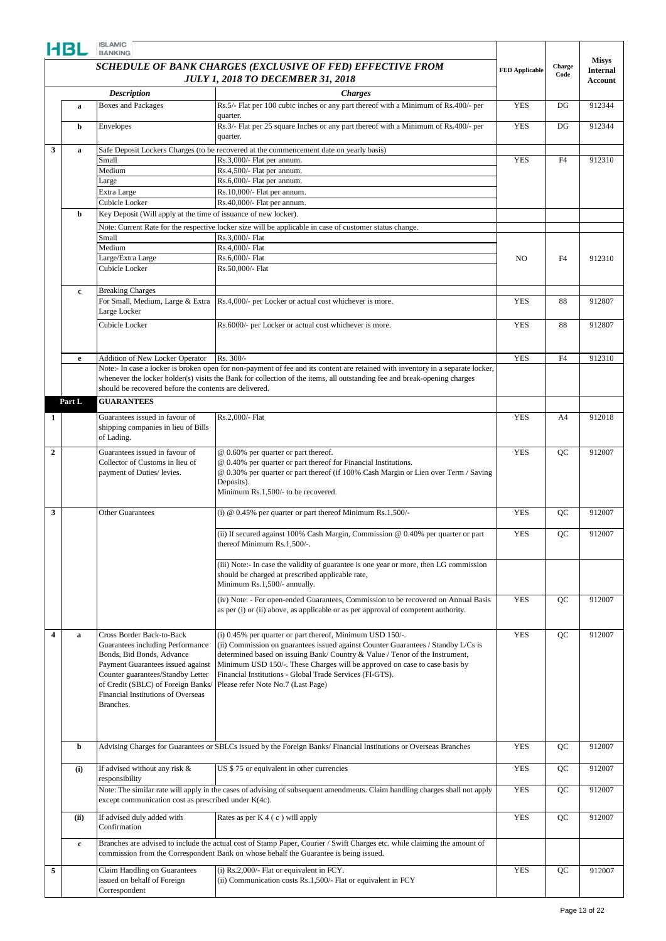|                         | HBL         | <b>ISLAMIC</b><br><b>BANKING</b>                                                                                                                                                                                                                              |                                                                                                                                                                                                                                                                                                                                                                                                               |                       |                |                                 |
|-------------------------|-------------|---------------------------------------------------------------------------------------------------------------------------------------------------------------------------------------------------------------------------------------------------------------|---------------------------------------------------------------------------------------------------------------------------------------------------------------------------------------------------------------------------------------------------------------------------------------------------------------------------------------------------------------------------------------------------------------|-----------------------|----------------|---------------------------------|
|                         |             |                                                                                                                                                                                                                                                               | SCHEDULE OF BANK CHARGES (EXCLUSIVE OF FED) EFFECTIVE FROM                                                                                                                                                                                                                                                                                                                                                    | <b>FED Applicable</b> | Charge<br>Code | <b>Misys</b><br><b>Internal</b> |
|                         |             |                                                                                                                                                                                                                                                               | <b>JULY 1, 2018 TO DECEMBER 31, 2018</b>                                                                                                                                                                                                                                                                                                                                                                      |                       |                | Account                         |
|                         |             | <b>Description</b>                                                                                                                                                                                                                                            | <b>Charges</b>                                                                                                                                                                                                                                                                                                                                                                                                |                       |                |                                 |
|                         | $\mathbf a$ | <b>Boxes and Packages</b>                                                                                                                                                                                                                                     | Rs.5/- Flat per 100 cubic inches or any part thereof with a Minimum of Rs.400/- per                                                                                                                                                                                                                                                                                                                           | <b>YES</b>            | DG             | 912344                          |
|                         | b           | Envelopes                                                                                                                                                                                                                                                     | quarter.<br>Rs.3/- Flat per 25 square Inches or any part thereof with a Minimum of Rs.400/- per                                                                                                                                                                                                                                                                                                               | <b>YES</b>            | DG             | 912344                          |
|                         |             |                                                                                                                                                                                                                                                               | quarter.                                                                                                                                                                                                                                                                                                                                                                                                      |                       |                |                                 |
| 3                       | a           | Small                                                                                                                                                                                                                                                         | Safe Deposit Lockers Charges (to be recovered at the commencement date on yearly basis)<br>Rs.3,000/- Flat per annum.                                                                                                                                                                                                                                                                                         | <b>YES</b>            | F4             | 912310                          |
|                         |             | Medium                                                                                                                                                                                                                                                        | Rs.4,500/- Flat per annum.                                                                                                                                                                                                                                                                                                                                                                                    |                       |                |                                 |
|                         |             | Large                                                                                                                                                                                                                                                         | Rs.6,000/- Flat per annum.                                                                                                                                                                                                                                                                                                                                                                                    |                       |                |                                 |
|                         |             | Extra Large                                                                                                                                                                                                                                                   | Rs.10,000/- Flat per annum.                                                                                                                                                                                                                                                                                                                                                                                   |                       |                |                                 |
|                         |             | Cubicle Locker                                                                                                                                                                                                                                                | Rs.40,000/- Flat per annum.                                                                                                                                                                                                                                                                                                                                                                                   |                       |                |                                 |
|                         | b           | Key Deposit (Will apply at the time of issuance of new locker).                                                                                                                                                                                               |                                                                                                                                                                                                                                                                                                                                                                                                               |                       |                |                                 |
|                         |             |                                                                                                                                                                                                                                                               | Note: Current Rate for the respective locker size will be applicable in case of customer status change.                                                                                                                                                                                                                                                                                                       |                       |                |                                 |
|                         |             | Small                                                                                                                                                                                                                                                         | Rs.3,000/- Flat                                                                                                                                                                                                                                                                                                                                                                                               |                       |                |                                 |
|                         |             | Medium                                                                                                                                                                                                                                                        | Rs.4,000/- Flat                                                                                                                                                                                                                                                                                                                                                                                               |                       |                |                                 |
|                         |             | Large/Extra Large                                                                                                                                                                                                                                             | Rs.6,000/- Flat                                                                                                                                                                                                                                                                                                                                                                                               | N <sub>O</sub>        | F4             | 912310                          |
|                         |             | Cubicle Locker                                                                                                                                                                                                                                                | Rs.50,000/- Flat                                                                                                                                                                                                                                                                                                                                                                                              |                       | 88             |                                 |
|                         | c           | <b>Breaking Charges</b>                                                                                                                                                                                                                                       |                                                                                                                                                                                                                                                                                                                                                                                                               |                       |                |                                 |
|                         |             | For Small, Medium, Large & Extra                                                                                                                                                                                                                              | Rs.4,000/- per Locker or actual cost whichever is more.                                                                                                                                                                                                                                                                                                                                                       | <b>YES</b>            |                | 912807                          |
|                         |             | Large Locker<br>Cubicle Locker                                                                                                                                                                                                                                | Rs.6000/- per Locker or actual cost whichever is more.                                                                                                                                                                                                                                                                                                                                                        | <b>YES</b>            | 88             | 912807                          |
|                         |             |                                                                                                                                                                                                                                                               |                                                                                                                                                                                                                                                                                                                                                                                                               |                       |                |                                 |
|                         |             | <b>Addition of New Locker Operator</b>                                                                                                                                                                                                                        | Rs. 300/-                                                                                                                                                                                                                                                                                                                                                                                                     | <b>YES</b>            | F4             | 912310                          |
|                         | e           |                                                                                                                                                                                                                                                               | Note:- In case a locker is broken open for non-payment of fee and its content are retained with inventory in a separate locker,                                                                                                                                                                                                                                                                               |                       |                |                                 |
|                         |             | should be recovered before the contents are delivered.                                                                                                                                                                                                        | whenever the locker holder(s) visits the Bank for collection of the items, all outstanding fee and break-opening charges                                                                                                                                                                                                                                                                                      |                       |                |                                 |
|                         | Part L      | <b>GUARANTEES</b>                                                                                                                                                                                                                                             |                                                                                                                                                                                                                                                                                                                                                                                                               |                       |                |                                 |
| 1                       |             | Guarantees issued in favour of<br>shipping companies in lieu of Bills<br>of Lading.                                                                                                                                                                           | Rs.2,000/- Flat                                                                                                                                                                                                                                                                                                                                                                                               | <b>YES</b>            | A4             | 912018                          |
| $\mathbf{2}$            |             | Guarantees issued in favour of<br>Collector of Customs in lieu of<br>payment of Duties/ levies.                                                                                                                                                               | @ 0.60% per quarter or part thereof.<br>@ 0.40% per quarter or part thereof for Financial Institutions.<br>@ 0.30% per quarter or part thereof (if 100% Cash Margin or Lien over Term / Saving<br>Deposits).<br>Minimum Rs.1,500/- to be recovered.                                                                                                                                                           | <b>YES</b>            | QC             | 912007                          |
|                         |             |                                                                                                                                                                                                                                                               |                                                                                                                                                                                                                                                                                                                                                                                                               |                       |                |                                 |
| 3                       |             | <b>Other Guarantees</b>                                                                                                                                                                                                                                       | (i) $@$ 0.45% per quarter or part thereof Minimum Rs.1,500/-                                                                                                                                                                                                                                                                                                                                                  | <b>YES</b>            | QC             | 912007                          |
|                         |             |                                                                                                                                                                                                                                                               | (ii) If secured against 100% Cash Margin, Commission @ 0.40% per quarter or part<br>thereof Minimum Rs.1,500/-.                                                                                                                                                                                                                                                                                               | <b>YES</b>            | QC             | 912007                          |
|                         |             |                                                                                                                                                                                                                                                               | (iii) Note:- In case the validity of guarantee is one year or more, then LG commission<br>should be charged at prescribed applicable rate,<br>Minimum Rs.1,500/- annually.                                                                                                                                                                                                                                    |                       |                |                                 |
|                         |             |                                                                                                                                                                                                                                                               | (iv) Note: - For open-ended Guarantees, Commission to be recovered on Annual Basis<br>as per (i) or (ii) above, as applicable or as per approval of competent authority.                                                                                                                                                                                                                                      | <b>YES</b>            | QC             | 912007                          |
| $\overline{\mathbf{4}}$ | $\mathbf a$ | Cross Border Back-to-Back<br>Guarantees including Performance<br>Bonds, Bid Bonds, Advance<br>Payment Guarantees issued against<br>Counter guarantees/Standby Letter<br>of Credit (SBLC) of Foreign Banks/<br>Financial Institutions of Overseas<br>Branches. | (i) 0.45% per quarter or part thereof, Minimum USD 150/-.<br>(ii) Commission on guarantees issued against Counter Guarantees / Standby L/Cs is<br>determined based on issuing Bank/Country & Value / Tenor of the Instrument,<br>Minimum USD 150/-. These Charges will be approved on case to case basis by<br>Financial Institutions - Global Trade Services (FI-GTS).<br>Please refer Note No.7 (Last Page) | <b>YES</b>            | QC             | 912007                          |
|                         | b           |                                                                                                                                                                                                                                                               | Advising Charges for Guarantees or SBLCs issued by the Foreign Banks/Financial Institutions or Overseas Branches                                                                                                                                                                                                                                                                                              | <b>YES</b>            | QC             | 912007                          |
|                         | (i)         | If advised without any risk $\&$<br>responsibility                                                                                                                                                                                                            | US \$75 or equivalent in other currencies                                                                                                                                                                                                                                                                                                                                                                     | <b>YES</b>            | QC             | 912007                          |
|                         |             | except communication cost as prescribed under K(4c).                                                                                                                                                                                                          | Note: The similar rate will apply in the cases of advising of subsequent amendments. Claim handling charges shall not apply                                                                                                                                                                                                                                                                                   | <b>YES</b>            | QC             | 912007                          |
|                         | (ii)        | If advised duly added with<br>Confirmation                                                                                                                                                                                                                    | Rates as per $K\overline{4(c)}$ will apply                                                                                                                                                                                                                                                                                                                                                                    | <b>YES</b>            | QC             | 912007                          |
|                         | $\mathbf c$ |                                                                                                                                                                                                                                                               | Branches are advised to include the actual cost of Stamp Paper, Courier / Swift Charges etc. while claiming the amount of<br>commission from the Correspondent Bank on whose behalf the Guarantee is being issued.                                                                                                                                                                                            |                       |                |                                 |
| 5                       |             | Claim Handling on Guarantees<br>issued on behalf of Foreign<br>Correspondent                                                                                                                                                                                  | (i) Rs.2,000/- Flat or equivalent in FCY.<br>(ii) Communication costs Rs.1,500/- Flat or equivalent in FCY                                                                                                                                                                                                                                                                                                    | <b>YES</b>            | QC             | 912007                          |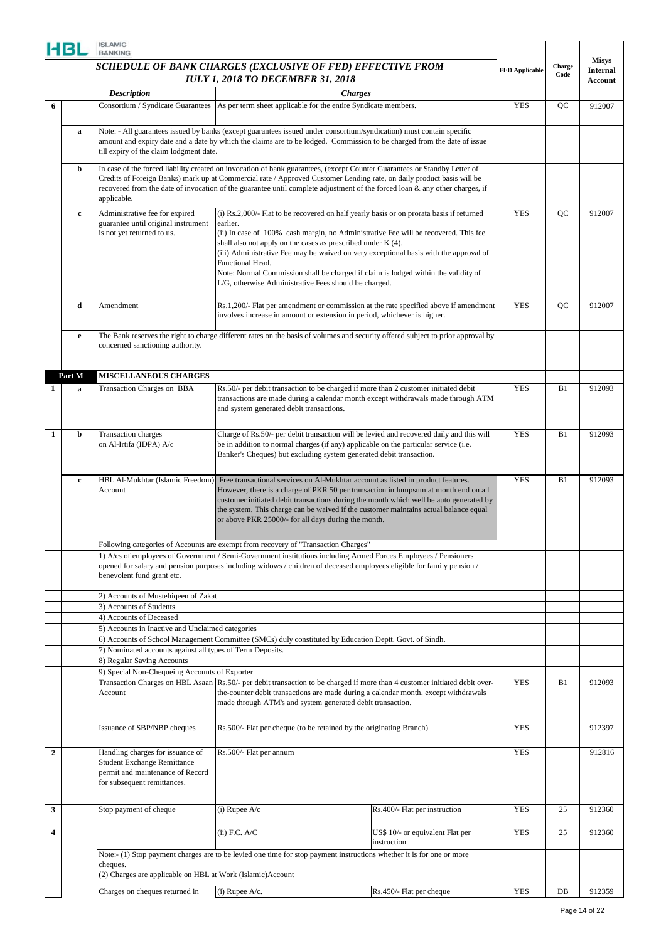|              | HBL         | <b>ISLAMIC</b><br><b>BANKING</b>                                                        |                                                                                                                                                                                                                                                    |                                  |                       |                |                            |
|--------------|-------------|-----------------------------------------------------------------------------------------|----------------------------------------------------------------------------------------------------------------------------------------------------------------------------------------------------------------------------------------------------|----------------------------------|-----------------------|----------------|----------------------------|
|              |             |                                                                                         | SCHEDULE OF BANK CHARGES (EXCLUSIVE OF FED) EFFECTIVE FROM                                                                                                                                                                                         |                                  |                       | Charge<br>Code | <b>Misys</b>               |
|              |             |                                                                                         | <b>JULY 1, 2018 TO DECEMBER 31, 2018</b>                                                                                                                                                                                                           |                                  | <b>FED Applicable</b> |                | <b>Internal</b><br>Account |
|              |             | <b>Description</b>                                                                      | <b>Charges</b>                                                                                                                                                                                                                                     |                                  |                       |                |                            |
| 6            |             |                                                                                         | Consortium / Syndicate Guarantees   As per term sheet applicable for the entire Syndicate members.                                                                                                                                                 |                                  | <b>YES</b>            | QC             | 912007                     |
|              |             |                                                                                         |                                                                                                                                                                                                                                                    |                                  |                       |                |                            |
|              | a           |                                                                                         | Note: - All guarantees issued by banks (except guarantees issued under consortium/syndication) must contain specific                                                                                                                               |                                  |                       |                |                            |
|              |             | till expiry of the claim lodgment date.                                                 | amount and expiry date and a date by which the claims are to be lodged. Commission to be charged from the date of issue                                                                                                                            |                                  |                       |                |                            |
|              |             |                                                                                         |                                                                                                                                                                                                                                                    |                                  |                       |                |                            |
|              | b           |                                                                                         | In case of the forced liability created on invocation of bank guarantees, (except Counter Guarantees or Standby Letter of<br>Credits of Foreign Banks) mark up at Commercial rate / Approved Customer Lending rate, on daily product basis will be |                                  |                       |                |                            |
|              |             |                                                                                         | recovered from the date of invocation of the guarantee until complete adjustment of the forced loan & any other charges, if                                                                                                                        |                                  |                       |                |                            |
|              |             | applicable.                                                                             |                                                                                                                                                                                                                                                    |                                  |                       |                |                            |
|              | $\mathbf c$ | Administrative fee for expired                                                          | (i) Rs.2,000/- Flat to be recovered on half yearly basis or on prorata basis if returned                                                                                                                                                           |                                  | <b>YES</b>            | QC             | 912007                     |
|              |             | guarantee until original instrument                                                     | earlier.                                                                                                                                                                                                                                           |                                  |                       |                |                            |
|              |             | is not yet returned to us.                                                              | (ii) In case of 100% cash margin, no Administrative Fee will be recovered. This fee<br>shall also not apply on the cases as prescribed under K (4).                                                                                                |                                  |                       |                |                            |
|              |             |                                                                                         | (iii) Administrative Fee may be waived on very exceptional basis with the approval of                                                                                                                                                              |                                  |                       |                |                            |
|              |             |                                                                                         | Functional Head.                                                                                                                                                                                                                                   |                                  |                       |                |                            |
|              |             |                                                                                         | Note: Normal Commission shall be charged if claim is lodged within the validity of<br>L/G, otherwise Administrative Fees should be charged.                                                                                                        |                                  |                       |                |                            |
|              |             |                                                                                         |                                                                                                                                                                                                                                                    |                                  |                       |                |                            |
|              | d           | Amendment                                                                               | Rs.1,200/- Flat per amendment or commission at the rate specified above if amendment                                                                                                                                                               |                                  | <b>YES</b>            | QC             | 912007                     |
|              |             |                                                                                         | involves increase in amount or extension in period, whichever is higher.                                                                                                                                                                           |                                  |                       |                |                            |
|              | e           |                                                                                         | The Bank reserves the right to charge different rates on the basis of volumes and security offered subject to prior approval by                                                                                                                    |                                  |                       |                |                            |
|              |             | concerned sanctioning authority.                                                        |                                                                                                                                                                                                                                                    |                                  |                       |                |                            |
|              |             |                                                                                         |                                                                                                                                                                                                                                                    |                                  |                       |                |                            |
|              | Part M      | <b>MISCELLANEOUS CHARGES</b>                                                            |                                                                                                                                                                                                                                                    |                                  |                       |                |                            |
|              |             |                                                                                         | Rs.50/- per debit transaction to be charged if more than 2 customer initiated debit                                                                                                                                                                |                                  | <b>YES</b>            | B1             | 912093                     |
| 1            | a           | Transaction Charges on BBA                                                              | transactions are made during a calendar month except withdrawals made through ATM                                                                                                                                                                  |                                  |                       |                |                            |
|              |             |                                                                                         | and system generated debit transactions.                                                                                                                                                                                                           |                                  |                       |                |                            |
|              |             |                                                                                         |                                                                                                                                                                                                                                                    |                                  |                       |                |                            |
| 1            | b           | Transaction charges                                                                     | Charge of Rs.50/- per debit transaction will be levied and recovered daily and this will                                                                                                                                                           |                                  | <b>YES</b>            | B1             | 912093                     |
|              |             | on Al-Irtifa (IDPA) A/c                                                                 | be in addition to normal charges (if any) applicable on the particular service (i.e.                                                                                                                                                               |                                  |                       |                |                            |
|              |             |                                                                                         | Banker's Cheques) but excluding system generated debit transaction.                                                                                                                                                                                |                                  |                       |                |                            |
|              |             |                                                                                         |                                                                                                                                                                                                                                                    |                                  |                       |                |                            |
|              | $\mathbf c$ | HBL Al-Mukhtar (Islamic Freedom)<br>Account                                             | Free transactional services on Al-Mukhtar account as listed in product features.<br>However, there is a charge of PKR 50 per transaction in lumpsum at month end on all                                                                            |                                  | <b>YES</b>            | B1             | 912093                     |
|              |             |                                                                                         | customer initiated debit transactions during the month which well be auto generated by                                                                                                                                                             |                                  |                       |                |                            |
|              |             |                                                                                         | the system. This charge can be waived if the customer maintains actual balance equal                                                                                                                                                               |                                  |                       |                |                            |
|              |             |                                                                                         | or above PKR 25000/- for all days during the month.                                                                                                                                                                                                |                                  |                       |                |                            |
|              |             |                                                                                         |                                                                                                                                                                                                                                                    |                                  |                       |                |                            |
|              |             |                                                                                         | Following categories of Accounts are exempt from recovery of "Transaction Charges"<br>1) A/cs of employees of Government / Semi-Government institutions including Armed Forces Employees / Pensioners                                              |                                  |                       |                |                            |
|              |             |                                                                                         | opened for salary and pension purposes including widows / children of deceased employees eligible for family pension /                                                                                                                             |                                  |                       |                |                            |
|              |             | benevolent fund grant etc.                                                              |                                                                                                                                                                                                                                                    |                                  |                       |                |                            |
|              |             | 2) Accounts of Mustehiqeen of Zakat                                                     |                                                                                                                                                                                                                                                    |                                  |                       |                |                            |
|              |             | 3) Accounts of Students                                                                 |                                                                                                                                                                                                                                                    |                                  |                       |                |                            |
|              |             | 4) Accounts of Deceased                                                                 |                                                                                                                                                                                                                                                    |                                  |                       |                |                            |
|              |             | 5) Accounts in Inactive and Unclaimed categories                                        |                                                                                                                                                                                                                                                    |                                  |                       |                |                            |
|              |             |                                                                                         | 6) Accounts of School Management Committee (SMCs) duly constituted by Education Deptt. Govt. of Sindh.                                                                                                                                             |                                  |                       |                |                            |
|              |             | 7) Nominated accounts against all types of Term Deposits.<br>8) Regular Saving Accounts |                                                                                                                                                                                                                                                    |                                  |                       |                |                            |
|              |             | 9) Special Non-Chequeing Accounts of Exporter                                           |                                                                                                                                                                                                                                                    |                                  |                       |                |                            |
|              |             |                                                                                         | Transaction Charges on HBL Asaan Rs.50/- per debit transaction to be charged if more than 4 customer initiated debit over-                                                                                                                         |                                  | <b>YES</b>            | B1             | 912093                     |
|              |             | Account                                                                                 | the-counter debit transactions are made during a calendar month, except withdrawals                                                                                                                                                                |                                  |                       |                |                            |
|              |             |                                                                                         | made through ATM's and system generated debit transaction.                                                                                                                                                                                         |                                  |                       |                |                            |
|              |             | Issuance of SBP/NBP cheques                                                             | Rs.500/- Flat per cheque (to be retained by the originating Branch)                                                                                                                                                                                |                                  | <b>YES</b>            |                | 912397                     |
|              |             |                                                                                         |                                                                                                                                                                                                                                                    |                                  |                       |                |                            |
| $\mathbf{2}$ |             | Handling charges for issuance of                                                        | Rs.500/- Flat per annum                                                                                                                                                                                                                            |                                  | <b>YES</b>            |                | 912816                     |
|              |             | <b>Student Exchange Remittance</b>                                                      |                                                                                                                                                                                                                                                    |                                  |                       |                |                            |
|              |             | permit and maintenance of Record                                                        |                                                                                                                                                                                                                                                    |                                  |                       |                |                            |
|              |             | for subsequent remittances.                                                             |                                                                                                                                                                                                                                                    |                                  |                       |                |                            |
|              |             |                                                                                         |                                                                                                                                                                                                                                                    |                                  |                       |                |                            |
| 3            |             | Stop payment of cheque                                                                  | $(i)$ Rupee $A/c$                                                                                                                                                                                                                                  | Rs.400/- Flat per instruction    | <b>YES</b>            | 25             | 912360                     |
| 4            |             |                                                                                         | $(ii)$ F.C. A/C                                                                                                                                                                                                                                    | US\$ 10/- or equivalent Flat per | <b>YES</b>            | 25             | 912360                     |
|              |             |                                                                                         |                                                                                                                                                                                                                                                    | instruction                      |                       |                |                            |
|              |             |                                                                                         | Note:- (1) Stop payment charges are to be levied one time for stop payment instructions whether it is for one or more                                                                                                                              |                                  |                       |                |                            |
|              |             | cheques.                                                                                |                                                                                                                                                                                                                                                    |                                  |                       |                |                            |
|              |             | (2) Charges are applicable on HBL at Work (Islamic)Account                              |                                                                                                                                                                                                                                                    |                                  |                       |                |                            |
|              |             | Charges on cheques returned in                                                          | $(i)$ Rupee A/c.                                                                                                                                                                                                                                   | Rs.450/- Flat per cheque         | <b>YES</b>            | DB             | 912359                     |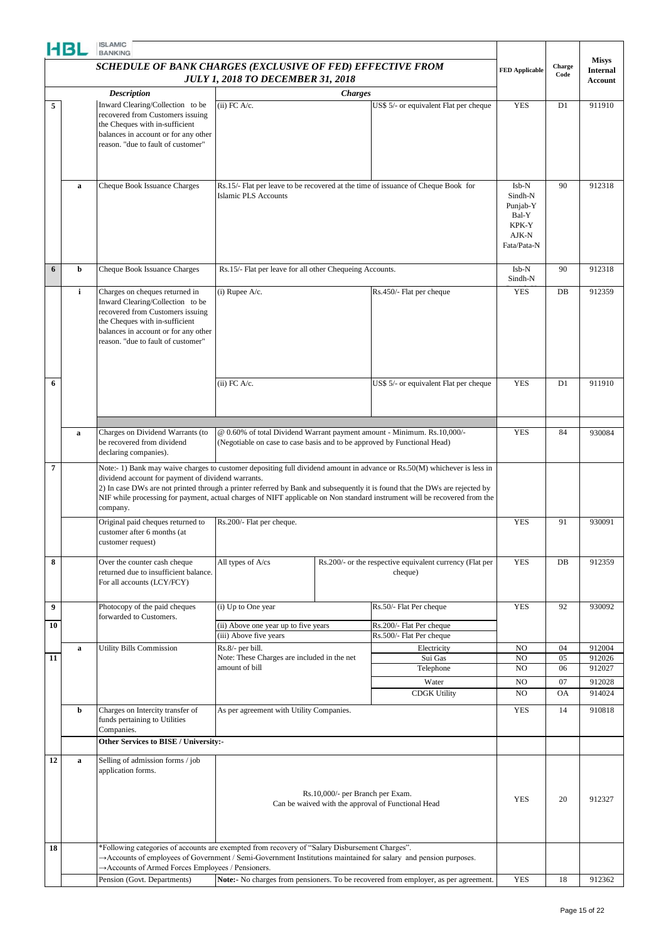|                | HBL          | <b>ISLAMIC</b><br><b>BANKING</b>                                                                                                                                                                                       |                                                                          |                                                                                                                                                                                                                                                                                                                                                                                      |                                                                                     |                                                                        |           |                                 |
|----------------|--------------|------------------------------------------------------------------------------------------------------------------------------------------------------------------------------------------------------------------------|--------------------------------------------------------------------------|--------------------------------------------------------------------------------------------------------------------------------------------------------------------------------------------------------------------------------------------------------------------------------------------------------------------------------------------------------------------------------------|-------------------------------------------------------------------------------------|------------------------------------------------------------------------|-----------|---------------------------------|
|                |              | <b>SCHEDULE OF BANK CHARGES (EXCLUSIVE OF FED) EFFECTIVE FROM</b>                                                                                                                                                      |                                                                          |                                                                                                                                                                                                                                                                                                                                                                                      |                                                                                     | <b>FED Applicable</b>                                                  | Charge    | <b>Misys</b><br><b>Internal</b> |
|                |              |                                                                                                                                                                                                                        | <b>JULY 1, 2018 TO DECEMBER 31, 2018</b>                                 |                                                                                                                                                                                                                                                                                                                                                                                      |                                                                                     |                                                                        | Code      | <b>Account</b>                  |
|                |              | <b>Description</b>                                                                                                                                                                                                     |                                                                          | <b>Charges</b>                                                                                                                                                                                                                                                                                                                                                                       |                                                                                     |                                                                        |           |                                 |
| 5              |              | Inward Clearing/Collection to be<br>recovered from Customers issuing<br>the Cheques with in-sufficient<br>balances in account or for any other<br>reason. "due to fault of customer"                                   | $(ii)$ FC A/c.                                                           |                                                                                                                                                                                                                                                                                                                                                                                      | US\$ 5/- or equivalent Flat per cheque                                              | <b>YES</b>                                                             | D1        | 911910                          |
|                | a            | Cheque Book Issuance Charges                                                                                                                                                                                           | <b>Islamic PLS Accounts</b>                                              |                                                                                                                                                                                                                                                                                                                                                                                      | Rs.15/- Flat per leave to be recovered at the time of issuance of Cheque Book for   | Isb-N<br>Sindh-N<br>Punjab-Y<br>Bal-Y<br>KPK-Y<br>AJK-N<br>Fata/Pata-N | 90        | 912318                          |
| 6              | b            | Cheque Book Issuance Charges                                                                                                                                                                                           | Rs.15/- Flat per leave for all other Chequeing Accounts.                 |                                                                                                                                                                                                                                                                                                                                                                                      |                                                                                     | Isb-N<br>Sindh-N                                                       | 90        | 912318                          |
|                | $\mathbf{i}$ | Charges on cheques returned in<br>Inward Clearing/Collection to be<br>recovered from Customers issuing<br>the Cheques with in-sufficient<br>balances in account or for any other<br>reason. "due to fault of customer" | $(i)$ Rupee A/c.                                                         |                                                                                                                                                                                                                                                                                                                                                                                      | Rs.450/- Flat per cheque                                                            | <b>YES</b>                                                             | DB        | 912359                          |
| 6              |              |                                                                                                                                                                                                                        | $(ii)$ FC A/c.                                                           |                                                                                                                                                                                                                                                                                                                                                                                      | US\$ 5/- or equivalent Flat per cheque                                              | <b>YES</b>                                                             | D1        | 911910                          |
|                | $\mathbf a$  | Charges on Dividend Warrants (to<br>be recovered from dividend<br>declaring companies).                                                                                                                                | (Negotiable on case to case basis and to be approved by Functional Head) |                                                                                                                                                                                                                                                                                                                                                                                      | @ 0.60% of total Dividend Warrant payment amount - Minimum. Rs.10,000/-             | <b>YES</b>                                                             | 84        | 930084                          |
| $\overline{7}$ |              | dividend account for payment of dividend warrants.<br>company.                                                                                                                                                         |                                                                          | Note:- 1) Bank may waive charges to customer depositing full dividend amount in advance or Rs.50(M) whichever is less in<br>2) In case DWs are not printed through a printer referred by Bank and subsequently it is found that the DWs are rejected by<br>NIF while processing for payment, actual charges of NIFT applicable on Non standard instrument will be recovered from the |                                                                                     |                                                                        |           |                                 |
|                |              | Original paid cheques returned to<br>customer after 6 months (at<br>customer request)                                                                                                                                  | Rs.200/- Flat per cheque.                                                |                                                                                                                                                                                                                                                                                                                                                                                      |                                                                                     | <b>YES</b>                                                             | 91        | 930091                          |
| 8              |              | Over the counter cash cheque<br>returned due to insufficient balance.<br>For all accounts (LCY/FCY)                                                                                                                    | All types of A/cs                                                        |                                                                                                                                                                                                                                                                                                                                                                                      | Rs.200/- or the respective equivalent currency (Flat per<br>cheque)                 | <b>YES</b>                                                             | DB        | 912359                          |
| 9              |              | Photocopy of the paid cheques<br>forwarded to Customers.                                                                                                                                                               | (i) Up to One year                                                       |                                                                                                                                                                                                                                                                                                                                                                                      | Rs.50/- Flat Per cheque                                                             | <b>YES</b>                                                             | 92        | 930092                          |
| 10             |              |                                                                                                                                                                                                                        | (ii) Above one year up to five years                                     |                                                                                                                                                                                                                                                                                                                                                                                      | Rs.200/- Flat Per cheque                                                            |                                                                        |           |                                 |
|                |              |                                                                                                                                                                                                                        | (iii) Above five years                                                   |                                                                                                                                                                                                                                                                                                                                                                                      | Rs.500/- Flat Per cheque                                                            |                                                                        |           |                                 |
| 11             | a            | <b>Utility Bills Commission</b>                                                                                                                                                                                        | Rs.8/- per bill.<br>Note: These Charges are included in the net          |                                                                                                                                                                                                                                                                                                                                                                                      | Electricity<br>Sui Gas                                                              | NO<br>NO.                                                              | 04<br>05  | 912004<br>912026                |
|                |              |                                                                                                                                                                                                                        | amount of bill                                                           |                                                                                                                                                                                                                                                                                                                                                                                      | Telephone                                                                           | N <sub>O</sub>                                                         | 06        | 912027                          |
|                |              |                                                                                                                                                                                                                        |                                                                          |                                                                                                                                                                                                                                                                                                                                                                                      | Water                                                                               | N <sub>O</sub>                                                         | 07        | 912028                          |
|                |              |                                                                                                                                                                                                                        |                                                                          |                                                                                                                                                                                                                                                                                                                                                                                      | <b>CDGK Utility</b>                                                                 | NO                                                                     | <b>OA</b> | 914024                          |
|                | b            |                                                                                                                                                                                                                        |                                                                          |                                                                                                                                                                                                                                                                                                                                                                                      |                                                                                     | <b>YES</b>                                                             | 14        |                                 |
|                |              | Charges on Intercity transfer of<br>funds pertaining to Utilities<br>Companies.                                                                                                                                        | As per agreement with Utility Companies.                                 |                                                                                                                                                                                                                                                                                                                                                                                      |                                                                                     |                                                                        |           | 910818                          |
|                |              | Other Services to BISE / University:-                                                                                                                                                                                  |                                                                          |                                                                                                                                                                                                                                                                                                                                                                                      |                                                                                     |                                                                        |           |                                 |
| 12             | $\mathbf a$  | Selling of admission forms / job<br>application forms.                                                                                                                                                                 |                                                                          | Rs.10,000/- per Branch per Exam.                                                                                                                                                                                                                                                                                                                                                     | Can be waived with the approval of Functional Head                                  | <b>YES</b>                                                             | 20        | 912327                          |
| 18             |              | *Following categories of accounts are exempted from recovery of "Salary Disbursement Charges".<br>Accounts of employees of Government / Semi-Government Institutions maintained for salary and pension purposes.       |                                                                          |                                                                                                                                                                                                                                                                                                                                                                                      |                                                                                     |                                                                        |           |                                 |
|                |              | Accounts of Armed Forces Employees / Pensioners.                                                                                                                                                                       |                                                                          |                                                                                                                                                                                                                                                                                                                                                                                      |                                                                                     |                                                                        |           |                                 |
|                |              | Pension (Govt. Departments)                                                                                                                                                                                            |                                                                          |                                                                                                                                                                                                                                                                                                                                                                                      | Note:- No charges from pensioners. To be recovered from employer, as per agreement. | <b>YES</b>                                                             | 18        | 912362                          |
|                |              |                                                                                                                                                                                                                        |                                                                          |                                                                                                                                                                                                                                                                                                                                                                                      |                                                                                     |                                                                        |           |                                 |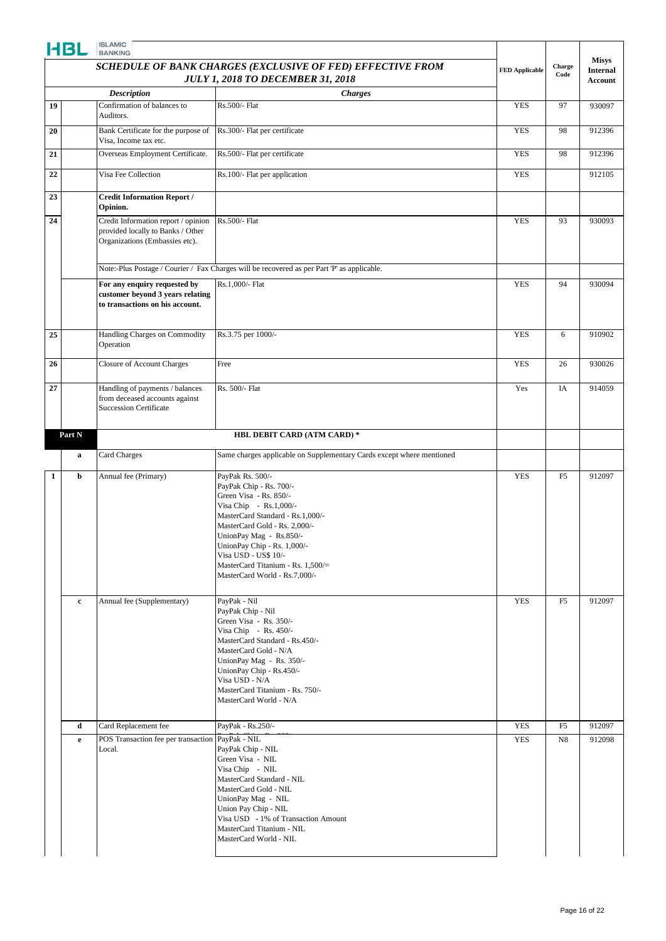|    | HBL                                                                                                                          | <b>ISLAMIC</b><br><b>BANKING</b>                                                                           |                                                                                                                                                                                                                                                                                                                              |                       |                |                                                   |
|----|------------------------------------------------------------------------------------------------------------------------------|------------------------------------------------------------------------------------------------------------|------------------------------------------------------------------------------------------------------------------------------------------------------------------------------------------------------------------------------------------------------------------------------------------------------------------------------|-----------------------|----------------|---------------------------------------------------|
|    | SCHEDULE OF BANK CHARGES (EXCLUSIVE OF FED) EFFECTIVE FROM<br><b>JULY 1, 2018 TO DECEMBER 31, 2018</b><br><b>Description</b> |                                                                                                            |                                                                                                                                                                                                                                                                                                                              | <b>FED Applicable</b> | Charge<br>Code | <b>Misys</b><br><b>Internal</b><br><b>Account</b> |
|    |                                                                                                                              |                                                                                                            | <b>Charges</b>                                                                                                                                                                                                                                                                                                               |                       |                |                                                   |
| 19 |                                                                                                                              | Confirmation of balances to<br>Auditors.                                                                   | Rs.500/- Flat                                                                                                                                                                                                                                                                                                                | <b>YES</b>            | 97             | 930097                                            |
| 20 |                                                                                                                              | Bank Certificate for the purpose of<br>Visa, Income tax etc.                                               | Rs.300/- Flat per certificate                                                                                                                                                                                                                                                                                                | <b>YES</b>            | 98             | 912396                                            |
| 21 |                                                                                                                              | Overseas Employment Certificate.                                                                           | Rs.500/- Flat per certificate                                                                                                                                                                                                                                                                                                | <b>YES</b>            | 98             | 912396                                            |
| 22 |                                                                                                                              | Visa Fee Collection                                                                                        | Rs.100/- Flat per application                                                                                                                                                                                                                                                                                                | <b>YES</b>            |                | 912105                                            |
| 23 |                                                                                                                              | <b>Credit Information Report /</b><br>Opinion.                                                             |                                                                                                                                                                                                                                                                                                                              |                       |                |                                                   |
| 24 |                                                                                                                              | Credit Information report / opinion<br>provided locally to Banks / Other<br>Organizations (Embassies etc). | Rs.500/- Flat                                                                                                                                                                                                                                                                                                                | <b>YES</b>            | 93             | 930093                                            |
|    |                                                                                                                              |                                                                                                            | Note:-Plus Postage / Courier / Fax Charges will be recovered as per Part 'P' as applicable.                                                                                                                                                                                                                                  |                       |                |                                                   |
|    |                                                                                                                              | For any enquiry requested by<br>customer beyond 3 years relating<br>to transactions on his account.        | Rs.1,000/- Flat                                                                                                                                                                                                                                                                                                              | <b>YES</b>            | 94             | 930094                                            |
| 25 |                                                                                                                              | Handling Charges on Commodity<br>Operation                                                                 | Rs.3.75 per 1000/-                                                                                                                                                                                                                                                                                                           | <b>YES</b>            | 6              | 910902                                            |
| 26 |                                                                                                                              | <b>Closure of Account Charges</b>                                                                          | Free                                                                                                                                                                                                                                                                                                                         | <b>YES</b>            | 26             | 930026                                            |
| 27 |                                                                                                                              | Handling of payments / balances<br>from deceased accounts against<br><b>Succession Certificate</b>         | Rs. 500/- Flat                                                                                                                                                                                                                                                                                                               | Yes                   | IA             | 914059                                            |
|    | Part N                                                                                                                       |                                                                                                            | HBL DEBIT CARD (ATM CARD) *                                                                                                                                                                                                                                                                                                  |                       |                |                                                   |
|    | a                                                                                                                            | Card Charges                                                                                               | Same charges applicable on Supplementary Cards except where mentioned                                                                                                                                                                                                                                                        |                       |                |                                                   |
| 1  | b                                                                                                                            | Annual fee (Primary)                                                                                       | PayPak Rs. 500/-<br>PayPak Chip - Rs. 700/-<br>Green Visa - Rs. 850/-<br>Visa Chip - Rs.1,000/-<br>MasterCard Standard - Rs.1,000/-<br>MasterCard Gold - Rs. 2,000/-<br>UnionPay Mag - Rs.850/-<br>UnionPay Chip - Rs. 1,000/-<br>Visa USD - US\$ 10/-<br>MasterCard Titanium - Rs. 1,500/=<br>MasterCard World - Rs.7,000/- | <b>YES</b>            | F <sub>5</sub> | 912097                                            |
|    | $\mathbf c$                                                                                                                  | Annual fee (Supplementary)                                                                                 | PayPak - Nil<br>PayPak Chip - Nil<br>Green Visa - Rs. 350/-<br>Visa Chip - Rs. $450/-$<br>MasterCard Standard - Rs.450/-<br>MasterCard Gold - N/A<br>UnionPay Mag - Rs. 350/-<br>UnionPay Chip - Rs.450/-<br>Visa USD - N/A<br>MasterCard Titanium - Rs. 750/-<br>MasterCard World - N/A                                     | <b>YES</b>            | F <sub>5</sub> | 912097                                            |
|    | d                                                                                                                            | Card Replacement fee                                                                                       | PayPak - Rs.250/-                                                                                                                                                                                                                                                                                                            | <b>YES</b>            | F <sub>5</sub> | 912097                                            |
|    | $\mathbf{e}$                                                                                                                 | POS Transaction fee per transaction PayPak - NIL<br>Local.                                                 | PayPak Chip - NIL<br>Green Visa - NIL<br>Visa Chip - NIL<br>MasterCard Standard - NIL<br>MasterCard Gold - NIL<br>UnionPay Mag - NIL<br>Union Pay Chip - NIL<br>Visa USD - 1% of Transaction Amount<br>MasterCard Titanium - NIL<br>MasterCard World - NIL                                                                   | <b>YES</b>            | N8             | 912098                                            |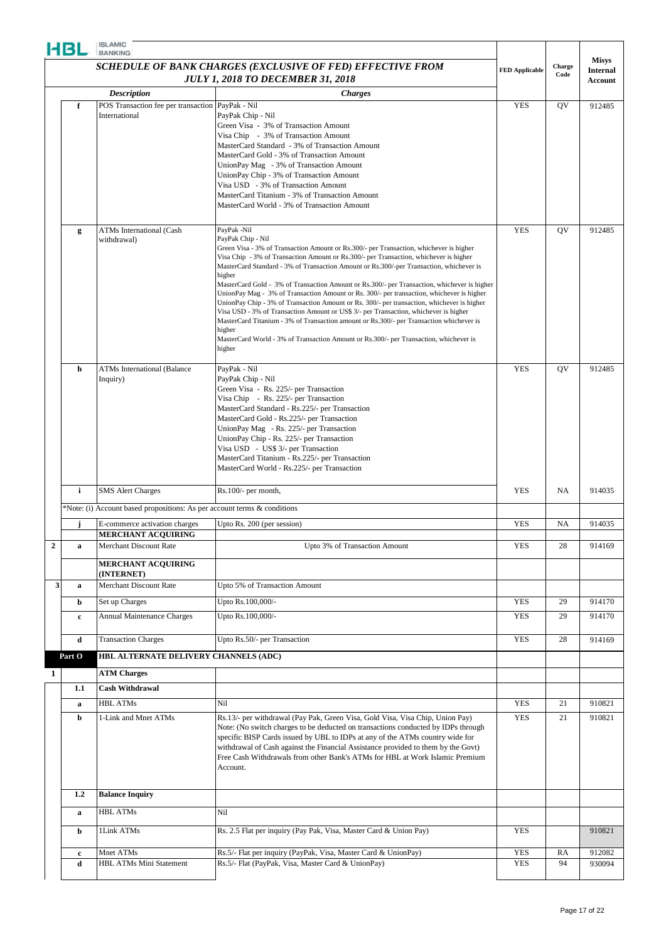|                  | HBL              | <b>ISLAMIC</b><br><b>BANKING</b>                                                                                                                                                                          |                                                                                                                                                                                                                                                                                                                                                                                                                                                                                                                                                                                                                                                                                                                                                                                                                                                                                                     |                       |           |                                 |
|------------------|------------------|-----------------------------------------------------------------------------------------------------------------------------------------------------------------------------------------------------------|-----------------------------------------------------------------------------------------------------------------------------------------------------------------------------------------------------------------------------------------------------------------------------------------------------------------------------------------------------------------------------------------------------------------------------------------------------------------------------------------------------------------------------------------------------------------------------------------------------------------------------------------------------------------------------------------------------------------------------------------------------------------------------------------------------------------------------------------------------------------------------------------------------|-----------------------|-----------|---------------------------------|
|                  |                  | <b>SCHEDULE OF BANK CHARGES (EXCLUSIVE OF FED) EFFECTIVE FROM</b><br><b>JULY 1, 2018 TO DECEMBER 31, 2018</b><br><b>Description</b><br><b>Charges</b><br>POS Transaction fee per transaction PayPak - Nil |                                                                                                                                                                                                                                                                                                                                                                                                                                                                                                                                                                                                                                                                                                                                                                                                                                                                                                     | <b>FED Applicable</b> | Charge    | <b>Misys</b><br><b>Internal</b> |
|                  |                  |                                                                                                                                                                                                           |                                                                                                                                                                                                                                                                                                                                                                                                                                                                                                                                                                                                                                                                                                                                                                                                                                                                                                     |                       | Code      | Account                         |
|                  |                  |                                                                                                                                                                                                           |                                                                                                                                                                                                                                                                                                                                                                                                                                                                                                                                                                                                                                                                                                                                                                                                                                                                                                     |                       |           |                                 |
|                  | f                | International                                                                                                                                                                                             | PayPak Chip - Nil<br>Green Visa - 3% of Transaction Amount<br>Visa Chip - 3% of Transaction Amount<br>MasterCard Standard - 3% of Transaction Amount<br>MasterCard Gold - 3% of Transaction Amount<br>UnionPay Mag - 3% of Transaction Amount<br>UnionPay Chip - 3% of Transaction Amount<br>Visa USD - 3% of Transaction Amount<br>MasterCard Titanium - 3% of Transaction Amount<br>MasterCard World - 3% of Transaction Amount                                                                                                                                                                                                                                                                                                                                                                                                                                                                   | <b>YES</b>            | QV        | 912485                          |
|                  | g                | <b>ATMs International (Cash</b>                                                                                                                                                                           | PayPak -Nil                                                                                                                                                                                                                                                                                                                                                                                                                                                                                                                                                                                                                                                                                                                                                                                                                                                                                         | <b>YES</b>            | QV        | 912485                          |
|                  |                  | withdrawal)                                                                                                                                                                                               | PayPak Chip - Nil<br>Green Visa - 3% of Transaction Amount or Rs.300/- per Transaction, whichever is higher<br>Visa Chip - 3% of Transaction Amount or Rs.300/- per Transaction, whichever is higher<br>MasterCard Standard - 3% of Transaction Amount or Rs.300/-per Transaction, whichever is<br>higher<br>MasterCard Gold - 3% of Transaction Amount or Rs.300/- per Transaction, whichever is higher<br>UnionPay Mag - 3% of Transaction Amount or Rs. 300/- per transaction, whichever is higher<br>UnionPay Chip - 3% of Transaction Amount or Rs. 300/- per transaction, whichever is higher<br>Visa USD - 3% of Transaction Amount or US\$ 3/- per Transaction, whichever is higher<br>MasterCard Titanium - 3% of Transaction amount or Rs.300/- per Transaction whichever is<br>higher<br>MasterCard World - 3% of Transaction Amount or Rs.300/- per Transaction, whichever is<br>higher |                       |           |                                 |
|                  | h                | <b>ATMs International (Balance</b><br>Inquiry)                                                                                                                                                            | PayPak - Nil<br>PayPak Chip - Nil<br>Green Visa - Rs. 225/- per Transaction<br>Visa Chip - Rs. 225/- per Transaction<br>MasterCard Standard - Rs.225/- per Transaction<br>MasterCard Gold - Rs.225/- per Transaction<br>UnionPay Mag - Rs. 225/- per Transaction<br>UnionPay Chip - Rs. 225/- per Transaction<br>Visa USD - US\$ 3/- per Transaction<br>MasterCard Titanium - Rs.225/- per Transaction<br>MasterCard World - Rs.225/- per Transaction                                                                                                                                                                                                                                                                                                                                                                                                                                               | <b>YES</b>            | QV        | 912485                          |
|                  | $\mathbf{i}$     | <b>SMS Alert Charges</b>                                                                                                                                                                                  | Rs.100/- per month,                                                                                                                                                                                                                                                                                                                                                                                                                                                                                                                                                                                                                                                                                                                                                                                                                                                                                 | <b>YES</b>            | NA        | 914035                          |
|                  |                  | *Note: (i) Account based propositions: As per account terms & conditions                                                                                                                                  |                                                                                                                                                                                                                                                                                                                                                                                                                                                                                                                                                                                                                                                                                                                                                                                                                                                                                                     |                       |           |                                 |
|                  |                  | E-commerce activation charges                                                                                                                                                                             | Upto Rs. 200 (per session)                                                                                                                                                                                                                                                                                                                                                                                                                                                                                                                                                                                                                                                                                                                                                                                                                                                                          | <b>YES</b>            | <b>NA</b> | 914035                          |
| $\boldsymbol{2}$ |                  | <b>MERCHANT ACQUIRING</b><br><b>Merchant Discount Rate</b>                                                                                                                                                | Upto 3% of Transaction Amount                                                                                                                                                                                                                                                                                                                                                                                                                                                                                                                                                                                                                                                                                                                                                                                                                                                                       | YES                   | 28        | 914169                          |
|                  | $\bf{a}$         | <b>MERCHANT ACQUIRING</b>                                                                                                                                                                                 |                                                                                                                                                                                                                                                                                                                                                                                                                                                                                                                                                                                                                                                                                                                                                                                                                                                                                                     |                       |           |                                 |
| 3 <sup>1</sup>   | $\mathbf a$      | (INTERNET)<br>Merchant Discount Rate                                                                                                                                                                      | Upto 5% of Transaction Amount                                                                                                                                                                                                                                                                                                                                                                                                                                                                                                                                                                                                                                                                                                                                                                                                                                                                       |                       |           |                                 |
|                  | b                | Set up Charges                                                                                                                                                                                            | Upto Rs.100,000/-                                                                                                                                                                                                                                                                                                                                                                                                                                                                                                                                                                                                                                                                                                                                                                                                                                                                                   | <b>YES</b>            | 29        | 914170                          |
|                  | $\mathbf c$      | <b>Annual Maintenance Charges</b>                                                                                                                                                                         | Upto Rs.100,000/-                                                                                                                                                                                                                                                                                                                                                                                                                                                                                                                                                                                                                                                                                                                                                                                                                                                                                   | <b>YES</b>            | 29        | 914170                          |
|                  | $\mathbf d$      | <b>Transaction Charges</b>                                                                                                                                                                                | Upto Rs.50/- per Transaction                                                                                                                                                                                                                                                                                                                                                                                                                                                                                                                                                                                                                                                                                                                                                                                                                                                                        | <b>YES</b>            | 28        | 914169                          |
|                  | Part O           | HBL ALTERNATE DELIVERY CHANNELS (ADC)                                                                                                                                                                     |                                                                                                                                                                                                                                                                                                                                                                                                                                                                                                                                                                                                                                                                                                                                                                                                                                                                                                     |                       |           |                                 |
| 1                |                  | <b>ATM Charges</b>                                                                                                                                                                                        |                                                                                                                                                                                                                                                                                                                                                                                                                                                                                                                                                                                                                                                                                                                                                                                                                                                                                                     |                       |           |                                 |
|                  | 1.1              | <b>Cash Withdrawal</b>                                                                                                                                                                                    |                                                                                                                                                                                                                                                                                                                                                                                                                                                                                                                                                                                                                                                                                                                                                                                                                                                                                                     |                       |           |                                 |
|                  | $\mathbf a$      | <b>HBL ATMs</b>                                                                                                                                                                                           | Nil                                                                                                                                                                                                                                                                                                                                                                                                                                                                                                                                                                                                                                                                                                                                                                                                                                                                                                 | <b>YES</b>            | 21        | 910821                          |
|                  | b                | 1-Link and Mnet ATMs                                                                                                                                                                                      | Rs.13/- per withdrawal (Pay Pak, Green Visa, Gold Visa, Visa Chip, Union Pay)<br>Note: (No switch charges to be deducted on transactions conducted by IDPs through<br>specific BISP Cards issued by UBL to IDPs at any of the ATMs country wide for<br>withdrawal of Cash against the Financial Assistance provided to them by the Govt)<br>Free Cash Withdrawals from other Bank's ATMs for HBL at Work Islamic Premium<br>Account.                                                                                                                                                                                                                                                                                                                                                                                                                                                                | <b>YES</b>            | 21        | 910821                          |
|                  | $1.2\phantom{0}$ | <b>Balance Inquiry</b>                                                                                                                                                                                    |                                                                                                                                                                                                                                                                                                                                                                                                                                                                                                                                                                                                                                                                                                                                                                                                                                                                                                     |                       |           |                                 |
|                  | a                | <b>HBL ATMs</b>                                                                                                                                                                                           | Nil                                                                                                                                                                                                                                                                                                                                                                                                                                                                                                                                                                                                                                                                                                                                                                                                                                                                                                 |                       |           |                                 |
|                  | b                | 1Link ATMs                                                                                                                                                                                                | Rs. 2.5 Flat per inquiry (Pay Pak, Visa, Master Card & Union Pay)                                                                                                                                                                                                                                                                                                                                                                                                                                                                                                                                                                                                                                                                                                                                                                                                                                   | <b>YES</b>            |           | 910821                          |
|                  | $\mathbf c$      | Mnet ATMs                                                                                                                                                                                                 | Rs.5/- Flat per inquiry (PayPak, Visa, Master Card & UnionPay)                                                                                                                                                                                                                                                                                                                                                                                                                                                                                                                                                                                                                                                                                                                                                                                                                                      | <b>YES</b>            | RA        | 912082                          |
|                  | $\mathbf d$      | HBL ATMs Mini Statement                                                                                                                                                                                   | Rs.5/- Flat (PayPak, Visa, Master Card & UnionPay)                                                                                                                                                                                                                                                                                                                                                                                                                                                                                                                                                                                                                                                                                                                                                                                                                                                  | <b>YES</b>            | 94        | 930094                          |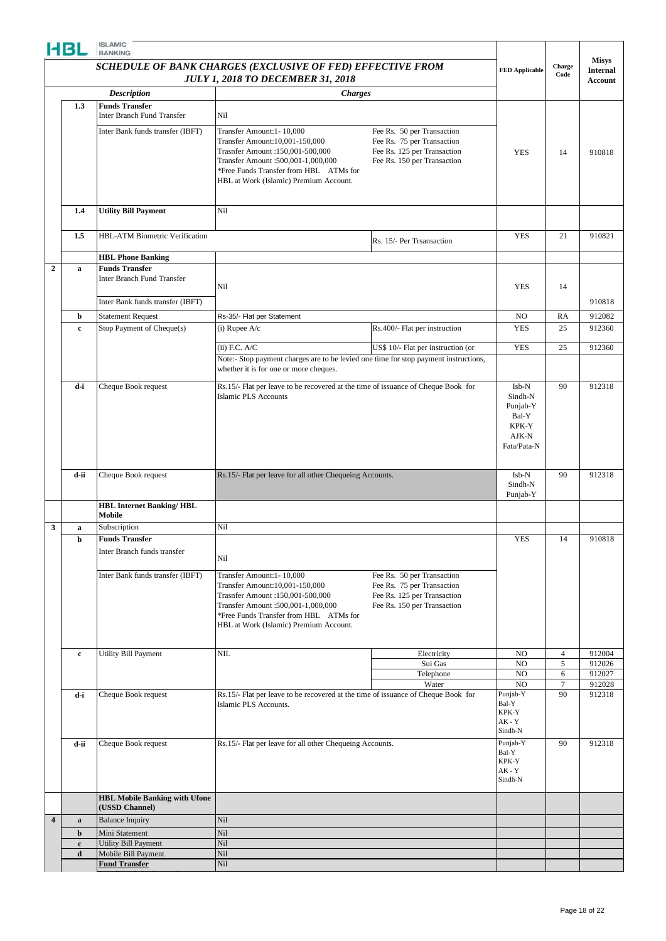|                         | <b>ISLAMIC</b><br>HBL<br><b>BANKING</b><br>SCHEDULE OF BANK CHARGES (EXCLUSIVE OF FED) EFFECTIVE FROM<br><b>JULY 1, 2018 TO DECEMBER 31, 2018</b> |                                                            |                                                                                                                                                                                                                          | Charge                                                                                                                 | <b>Misys</b>                                                           |                |                  |
|-------------------------|---------------------------------------------------------------------------------------------------------------------------------------------------|------------------------------------------------------------|--------------------------------------------------------------------------------------------------------------------------------------------------------------------------------------------------------------------------|------------------------------------------------------------------------------------------------------------------------|------------------------------------------------------------------------|----------------|------------------|
|                         |                                                                                                                                                   |                                                            | <b>FED Applicable</b>                                                                                                                                                                                                    | Code                                                                                                                   | <b>Internal</b><br>Account                                             |                |                  |
|                         |                                                                                                                                                   | <b>Description</b>                                         | <b>Charges</b>                                                                                                                                                                                                           |                                                                                                                        |                                                                        |                |                  |
|                         | 1.3                                                                                                                                               | <b>Funds Transfer</b><br><b>Inter Branch Fund Transfer</b> | Nil                                                                                                                                                                                                                      |                                                                                                                        |                                                                        |                |                  |
|                         |                                                                                                                                                   | Inter Bank funds transfer (IBFT)                           | Transfer Amount:1-10,000<br>Transfer Amount:10,001-150,000<br>Trasnfer Amount :150,001-500,000<br>Transfer Amount :500,001-1,000,000<br>*Free Funds Transfer from HBL ATMs for<br>HBL at Work (Islamic) Premium Account. | Fee Rs. 50 per Transaction<br>Fee Rs. 75 per Transaction<br>Fee Rs. 125 per Transaction<br>Fee Rs. 150 per Transaction | <b>YES</b>                                                             | 14             | 910818           |
|                         | 1.4                                                                                                                                               | <b>Utility Bill Payment</b>                                | Nil                                                                                                                                                                                                                      |                                                                                                                        |                                                                        |                |                  |
|                         | 1.5                                                                                                                                               | HBL-ATM Biometric Verification                             |                                                                                                                                                                                                                          | Rs. 15/- Per Trsansaction                                                                                              | <b>YES</b>                                                             | 21             | 910821           |
|                         |                                                                                                                                                   | <b>HBL Phone Banking</b>                                   |                                                                                                                                                                                                                          |                                                                                                                        |                                                                        |                |                  |
| $\boldsymbol{2}$        | a                                                                                                                                                 | <b>Funds Transfer</b><br>Inter Branch Fund Transfer        | Nil                                                                                                                                                                                                                      |                                                                                                                        | <b>YES</b>                                                             | 14             |                  |
|                         |                                                                                                                                                   | Inter Bank funds transfer (IBFT)                           |                                                                                                                                                                                                                          |                                                                                                                        |                                                                        |                | 910818           |
|                         | b                                                                                                                                                 | <b>Statement Request</b>                                   | Rs-35/- Flat per Statement                                                                                                                                                                                               |                                                                                                                        | N <sub>O</sub>                                                         | RA             | 912082           |
|                         | $\mathbf c$                                                                                                                                       | Stop Payment of Cheque(s)                                  | $(i)$ Rupee $A/c$                                                                                                                                                                                                        | Rs.400/- Flat per instruction                                                                                          | <b>YES</b>                                                             | 25             | 912360           |
|                         |                                                                                                                                                   |                                                            | $(ii)$ F.C. A/C                                                                                                                                                                                                          | US\$ 10/- Flat per instruction (or                                                                                     | <b>YES</b>                                                             | 25             | 912360           |
|                         |                                                                                                                                                   |                                                            | Note:- Stop payment charges are to be levied one time for stop payment instructions,<br>whether it is for one or more cheques.                                                                                           |                                                                                                                        |                                                                        |                |                  |
|                         | d-i                                                                                                                                               | Cheque Book request                                        | Rs.15/- Flat per leave to be recovered at the time of issuance of Cheque Book for<br><b>Islamic PLS Accounts</b>                                                                                                         |                                                                                                                        | Isb-N<br>Sindh-N<br>Punjab-Y<br>Bal-Y<br>KPK-Y<br>AJK-N<br>Fata/Pata-N | 90             | 912318           |
|                         | d-ii                                                                                                                                              | Cheque Book request                                        | Rs.15/- Flat per leave for all other Chequeing Accounts.                                                                                                                                                                 |                                                                                                                        | Isb-N<br>Sindh-N<br>Punjab-Y                                           | 90             | 912318           |
|                         |                                                                                                                                                   | <b>HBL Internet Banking/HBL</b><br>Mobile                  |                                                                                                                                                                                                                          |                                                                                                                        |                                                                        |                |                  |
| 3                       | a                                                                                                                                                 | Subscription                                               | Nil                                                                                                                                                                                                                      |                                                                                                                        |                                                                        |                |                  |
|                         | b                                                                                                                                                 | <b>Funds Transfer</b><br>Inter Branch funds transfer       | Nil                                                                                                                                                                                                                      |                                                                                                                        | <b>YES</b>                                                             | 14             | 910818           |
|                         |                                                                                                                                                   | Inter Bank funds transfer (IBFT)                           | Transfer Amount:1-10,000<br>Transfer Amount:10,001-150,000<br>Trasnfer Amount :150,001-500,000<br>Transfer Amount :500,001-1,000,000<br>*Free Funds Transfer from HBL ATMs for<br>HBL at Work (Islamic) Premium Account. | Fee Rs. 50 per Transaction<br>Fee Rs. 75 per Transaction<br>Fee Rs. 125 per Transaction<br>Fee Rs. 150 per Transaction |                                                                        |                |                  |
|                         | $\mathbf c$                                                                                                                                       | Utility Bill Payment                                       | $\text{NIL}$                                                                                                                                                                                                             | Electricity                                                                                                            | NO                                                                     | $\overline{4}$ | 912004           |
|                         |                                                                                                                                                   |                                                            |                                                                                                                                                                                                                          | Sui Gas                                                                                                                | NO.                                                                    | 5              | 912026           |
|                         |                                                                                                                                                   |                                                            |                                                                                                                                                                                                                          | Telephone<br>Water                                                                                                     | N <sub>O</sub><br>N <sub>O</sub>                                       | 6<br>7         | 912027<br>912028 |
|                         | d-i                                                                                                                                               | Cheque Book request                                        | Rs.15/- Flat per leave to be recovered at the time of issuance of Cheque Book for<br>Islamic PLS Accounts.                                                                                                               |                                                                                                                        | Punjab-Y<br>Bal-Y<br>KPK-Y<br>$AK - Y$<br>Sindh-N                      | 90             | 912318           |
|                         | d-ii                                                                                                                                              | Cheque Book request                                        | Rs.15/- Flat per leave for all other Chequeing Accounts.                                                                                                                                                                 |                                                                                                                        | Punjab-Y<br>Bal-Y<br>KPK-Y<br>AK - Y<br>Sindh-N                        | 90             | 912318           |
|                         |                                                                                                                                                   | <b>HBL Mobile Banking with Ufone</b>                       |                                                                                                                                                                                                                          |                                                                                                                        |                                                                        |                |                  |
| $\overline{\mathbf{4}}$ |                                                                                                                                                   | (USSD Channel)                                             |                                                                                                                                                                                                                          |                                                                                                                        |                                                                        |                |                  |
|                         | $\mathbf a$<br>b                                                                                                                                  | <b>Balance Inquiry</b><br>Mini Statement                   | Nil<br>Nil                                                                                                                                                                                                               |                                                                                                                        |                                                                        |                |                  |
|                         | $\mathbf c$                                                                                                                                       | <b>Utility Bill Payment</b>                                | Nil                                                                                                                                                                                                                      |                                                                                                                        |                                                                        |                |                  |
|                         | $\mathbf d$                                                                                                                                       | Mobile Bill Payment                                        | Nil                                                                                                                                                                                                                      |                                                                                                                        |                                                                        |                |                  |
|                         |                                                                                                                                                   | <b>Fund Transfer</b>                                       | Nil                                                                                                                                                                                                                      |                                                                                                                        |                                                                        |                |                  |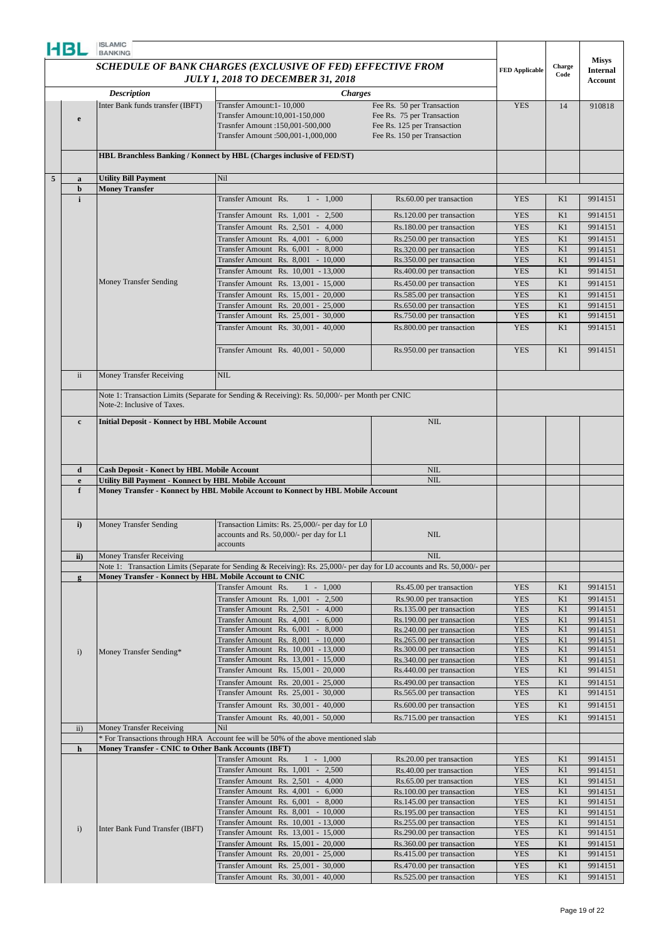| HBL |                                                                                                                                                                                                                                                                                                                                                                       | <b>ISLAMIC</b><br><b>BANKING</b>                            |                                                                                                                          |                                                          |                          |                                                                                                    |                    |
|-----|-----------------------------------------------------------------------------------------------------------------------------------------------------------------------------------------------------------------------------------------------------------------------------------------------------------------------------------------------------------------------|-------------------------------------------------------------|--------------------------------------------------------------------------------------------------------------------------|----------------------------------------------------------|--------------------------|----------------------------------------------------------------------------------------------------|--------------------|
|     |                                                                                                                                                                                                                                                                                                                                                                       |                                                             |                                                                                                                          |                                                          |                          |                                                                                                    | <b>Misys</b>       |
|     |                                                                                                                                                                                                                                                                                                                                                                       |                                                             | SCHEDULE OF BANK CHARGES (EXCLUSIVE OF FED) EFFECTIVE FROM                                                               |                                                          | <b>FED Applicable</b>    | Charge<br>Code<br>14<br>K1<br>K1<br>K1<br>K1<br>K1<br>K1<br>K1<br>K1<br>K1<br>K1<br>K1<br>K1<br>K1 | <b>Internal</b>    |
|     |                                                                                                                                                                                                                                                                                                                                                                       |                                                             | <b>JULY 1, 2018 TO DECEMBER 31, 2018</b>                                                                                 |                                                          |                          |                                                                                                    | Account            |
|     |                                                                                                                                                                                                                                                                                                                                                                       | <b>Description</b><br>Inter Bank funds transfer (IBFT)      | <b>Charges</b>                                                                                                           |                                                          | <b>YES</b>               |                                                                                                    | 910818             |
|     |                                                                                                                                                                                                                                                                                                                                                                       |                                                             | Transfer Amount:1-10,000<br>Transfer Amount:10,001-150,000                                                               | Fee Rs. 50 per Transaction<br>Fee Rs. 75 per Transaction |                          |                                                                                                    |                    |
|     | e                                                                                                                                                                                                                                                                                                                                                                     |                                                             | Trasnfer Amount :150,001-500,000                                                                                         | Fee Rs. 125 per Transaction                              |                          |                                                                                                    |                    |
|     |                                                                                                                                                                                                                                                                                                                                                                       |                                                             | Transfer Amount :500,001-1,000,000                                                                                       | Fee Rs. 150 per Transaction                              |                          |                                                                                                    |                    |
|     |                                                                                                                                                                                                                                                                                                                                                                       |                                                             | HBL Branchless Banking / Konnect by HBL (Charges inclusive of FED/ST)                                                    |                                                          |                          |                                                                                                    |                    |
|     |                                                                                                                                                                                                                                                                                                                                                                       |                                                             |                                                                                                                          |                                                          |                          |                                                                                                    |                    |
| 5   | $\mathbf a$                                                                                                                                                                                                                                                                                                                                                           | <b>Utility Bill Payment</b>                                 | Nil                                                                                                                      |                                                          |                          |                                                                                                    |                    |
|     | b                                                                                                                                                                                                                                                                                                                                                                     | <b>Money Transfer</b>                                       |                                                                                                                          |                                                          |                          |                                                                                                    |                    |
|     | $\mathbf{i}$                                                                                                                                                                                                                                                                                                                                                          |                                                             | Transfer Amount Rs.<br>$1 - 1,000$                                                                                       | Rs.60.00 per transaction                                 | <b>YES</b>               |                                                                                                    | 9914151            |
|     |                                                                                                                                                                                                                                                                                                                                                                       |                                                             | Transfer Amount Rs. 1,001 - 2,500                                                                                        | Rs.120.00 per transaction                                | <b>YES</b>               |                                                                                                    | 9914151            |
|     |                                                                                                                                                                                                                                                                                                                                                                       |                                                             | Transfer Amount Rs. 2,501 - 4,000                                                                                        | Rs.180.00 per transaction                                | <b>YES</b>               |                                                                                                    | 9914151            |
|     |                                                                                                                                                                                                                                                                                                                                                                       |                                                             | Transfer Amount Rs. 4,001 -<br>6,000                                                                                     | Rs.250.00 per transaction                                | <b>YES</b>               |                                                                                                    | 9914151            |
|     |                                                                                                                                                                                                                                                                                                                                                                       |                                                             | Transfer Amount Rs. 6,001 -<br>8,000<br>Transfer Amount Rs. 8,001 - 10,000                                               | Rs.320.00 per transaction<br>Rs.350.00 per transaction   | <b>YES</b><br><b>YES</b> |                                                                                                    | 9914151<br>9914151 |
|     |                                                                                                                                                                                                                                                                                                                                                                       |                                                             | Transfer Amount Rs. 10,001 - 13,000                                                                                      | Rs.400.00 per transaction                                | <b>YES</b>               |                                                                                                    | 9914151            |
|     |                                                                                                                                                                                                                                                                                                                                                                       | Money Transfer Sending                                      | Transfer Amount Rs. 13,001 - 15,000                                                                                      | Rs.450.00 per transaction                                | <b>YES</b>               |                                                                                                    | 9914151            |
|     |                                                                                                                                                                                                                                                                                                                                                                       |                                                             | Transfer Amount Rs. 15,001 - 20,000                                                                                      | Rs.585.00 per transaction                                | <b>YES</b>               |                                                                                                    | 9914151            |
|     |                                                                                                                                                                                                                                                                                                                                                                       |                                                             | Transfer Amount Rs. 20,001 - 25,000                                                                                      | Rs.650.00 per transaction                                | <b>YES</b>               |                                                                                                    | 9914151            |
|     |                                                                                                                                                                                                                                                                                                                                                                       |                                                             | Transfer Amount Rs. 25,001 - 30,000                                                                                      | Rs.750.00 per transaction                                | <b>YES</b>               |                                                                                                    | 9914151            |
|     |                                                                                                                                                                                                                                                                                                                                                                       |                                                             | Transfer Amount Rs. 30,001 - 40,000                                                                                      | Rs.800.00 per transaction                                | <b>YES</b>               |                                                                                                    | 9914151            |
|     |                                                                                                                                                                                                                                                                                                                                                                       |                                                             |                                                                                                                          |                                                          |                          |                                                                                                    | 9914151            |
|     |                                                                                                                                                                                                                                                                                                                                                                       |                                                             |                                                                                                                          |                                                          |                          |                                                                                                    |                    |
|     |                                                                                                                                                                                                                                                                                                                                                                       |                                                             |                                                                                                                          |                                                          |                          |                                                                                                    |                    |
|     | Transfer Amount Rs. 40,001 - 50,000<br><b>YES</b><br>Rs.950.00 per transaction<br>$\overline{\mathbf{ii}}$<br><b>NIL</b><br>Money Transfer Receiving<br>Note 1: Transaction Limits (Separate for Sending & Receiving): Rs. 50,000/- per Month per CNIC<br>Note-2: Inclusive of Taxes.<br>NIL<br><b>Initial Deposit - Konnect by HBL Mobile Account</b><br>$\mathbf c$ |                                                             |                                                                                                                          |                                                          |                          |                                                                                                    |                    |
|     |                                                                                                                                                                                                                                                                                                                                                                       |                                                             |                                                                                                                          |                                                          |                          |                                                                                                    |                    |
|     |                                                                                                                                                                                                                                                                                                                                                                       |                                                             |                                                                                                                          |                                                          |                          |                                                                                                    |                    |
|     |                                                                                                                                                                                                                                                                                                                                                                       |                                                             |                                                                                                                          |                                                          |                          |                                                                                                    |                    |
|     |                                                                                                                                                                                                                                                                                                                                                                       |                                                             |                                                                                                                          |                                                          |                          |                                                                                                    |                    |
|     |                                                                                                                                                                                                                                                                                                                                                                       |                                                             |                                                                                                                          |                                                          |                          |                                                                                                    |                    |
|     |                                                                                                                                                                                                                                                                                                                                                                       |                                                             |                                                                                                                          |                                                          |                          |                                                                                                    |                    |
|     | d                                                                                                                                                                                                                                                                                                                                                                     | <b>Cash Deposit - Konect by HBL Mobile Account</b>          |                                                                                                                          | <b>NIL</b><br>NIL                                        |                          |                                                                                                    |                    |
|     | $\mathbf{e}$<br>f                                                                                                                                                                                                                                                                                                                                                     | <b>Utility Bill Payment - Konnect by HBL Mobile Account</b> | Money Transfer - Konnect by HBL Mobile Account to Konnect by HBL Mobile Account                                          |                                                          |                          |                                                                                                    |                    |
|     |                                                                                                                                                                                                                                                                                                                                                                       |                                                             |                                                                                                                          |                                                          |                          |                                                                                                    |                    |
|     |                                                                                                                                                                                                                                                                                                                                                                       |                                                             |                                                                                                                          |                                                          |                          |                                                                                                    |                    |
|     | i)                                                                                                                                                                                                                                                                                                                                                                    | <b>Money Transfer Sending</b>                               | Transaction Limits: Rs. 25,000/- per day for L0                                                                          |                                                          |                          |                                                                                                    |                    |
|     |                                                                                                                                                                                                                                                                                                                                                                       |                                                             | accounts and Rs. 50,000/- per day for L1<br>accounts                                                                     | NIL                                                      |                          |                                                                                                    |                    |
|     | ii)                                                                                                                                                                                                                                                                                                                                                                   | Money Transfer Receiving                                    |                                                                                                                          | <b>NIL</b>                                               |                          |                                                                                                    |                    |
|     |                                                                                                                                                                                                                                                                                                                                                                       |                                                             | Note 1: Transaction Limits (Separate for Sending & Receiving): Rs. 25,000/- per day for L0 accounts and Rs. 50,000/- per |                                                          |                          |                                                                                                    |                    |
|     | g                                                                                                                                                                                                                                                                                                                                                                     | Money Transfer - Konnect by HBL Mobile Account to CNIC      |                                                                                                                          |                                                          |                          |                                                                                                    |                    |
|     |                                                                                                                                                                                                                                                                                                                                                                       |                                                             | Transfer Amount Rs.<br>$1 - 1,000$                                                                                       | Rs.45.00 per transaction                                 | <b>YES</b>               | K1                                                                                                 | 9914151            |
|     |                                                                                                                                                                                                                                                                                                                                                                       |                                                             | Transfer Amount Rs. 1,001 - 2,500<br>Transfer Amount Rs. 2,501 - 4,000                                                   | Rs.90.00 per transaction                                 | <b>YES</b><br><b>YES</b> | K1                                                                                                 | 9914151            |
|     |                                                                                                                                                                                                                                                                                                                                                                       |                                                             | Transfer Amount Rs. 4,001 - 6,000                                                                                        | Rs.135.00 per transaction<br>Rs.190.00 per transaction   | <b>YES</b>               | K1<br>K1                                                                                           | 9914151<br>9914151 |
|     |                                                                                                                                                                                                                                                                                                                                                                       |                                                             | Transfer Amount Rs. 6,001 - 8,000                                                                                        | Rs.240.00 per transaction                                | <b>YES</b>               | K1                                                                                                 | 9914151            |
|     |                                                                                                                                                                                                                                                                                                                                                                       |                                                             | Transfer Amount Rs. 8,001 - 10,000                                                                                       | Rs.265.00 per transaction                                | <b>YES</b>               | K1                                                                                                 | 9914151            |
|     | i)                                                                                                                                                                                                                                                                                                                                                                    | Money Transfer Sending*                                     | Transfer Amount Rs. 10,001 - 13,000<br>Transfer Amount Rs. 13,001 - 15,000                                               | Rs.300.00 per transaction                                | <b>YES</b><br><b>YES</b> | K1<br>K1                                                                                           | 9914151<br>9914151 |
|     |                                                                                                                                                                                                                                                                                                                                                                       |                                                             | Transfer Amount Rs. 15,001 - 20,000                                                                                      | Rs.340.00 per transaction<br>Rs.440.00 per transaction   | <b>YES</b>               | K1                                                                                                 | 9914151            |
|     |                                                                                                                                                                                                                                                                                                                                                                       |                                                             | Transfer Amount Rs. 20,001 - 25,000                                                                                      | Rs.490.00 per transaction                                | <b>YES</b>               | K1                                                                                                 | 9914151            |
|     |                                                                                                                                                                                                                                                                                                                                                                       |                                                             | Transfer Amount Rs. 25,001 - 30,000                                                                                      | Rs.565.00 per transaction                                | <b>YES</b>               | K1                                                                                                 | 9914151            |
|     |                                                                                                                                                                                                                                                                                                                                                                       |                                                             | Transfer Amount Rs. 30,001 - 40,000                                                                                      | Rs.600.00 per transaction                                | <b>YES</b>               | K1                                                                                                 | 9914151            |
|     |                                                                                                                                                                                                                                                                                                                                                                       |                                                             | Transfer Amount Rs. 40,001 - 50,000                                                                                      | Rs.715.00 per transaction                                | <b>YES</b>               | K1                                                                                                 | 9914151            |
|     | $\mathbf{ii}$                                                                                                                                                                                                                                                                                                                                                         | Money Transfer Receiving                                    | Nil                                                                                                                      |                                                          |                          |                                                                                                    |                    |
|     | $\mathbf h$                                                                                                                                                                                                                                                                                                                                                           | Money Transfer - CNIC to Other Bank Accounts (IBFT)         | * For Transactions through HRA Account fee will be 50% of the above mentioned slab                                       |                                                          |                          |                                                                                                    |                    |
|     |                                                                                                                                                                                                                                                                                                                                                                       |                                                             | $1 - 1,000$<br>Transfer Amount Rs.                                                                                       | Rs.20.00 per transaction                                 | <b>YES</b>               | K1                                                                                                 | 9914151            |
|     |                                                                                                                                                                                                                                                                                                                                                                       |                                                             | Transfer Amount Rs. 1,001 - 2,500                                                                                        | Rs.40.00 per transaction                                 | <b>YES</b>               | K1                                                                                                 | 9914151            |
|     |                                                                                                                                                                                                                                                                                                                                                                       |                                                             | Transfer Amount Rs. 2,501 - 4,000                                                                                        | Rs.65.00 per transaction                                 | <b>YES</b>               | K1                                                                                                 | 9914151            |
|     |                                                                                                                                                                                                                                                                                                                                                                       |                                                             | Transfer Amount Rs. 4,001 - 6,000                                                                                        | Rs.100.00 per transaction                                | <b>YES</b>               | K1                                                                                                 | 9914151            |
|     |                                                                                                                                                                                                                                                                                                                                                                       |                                                             | Transfer Amount Rs. 6,001 - 8,000<br>Transfer Amount Rs. 8,001 - 10,000                                                  | Rs.145.00 per transaction<br>Rs.195.00 per transaction   | <b>YES</b><br><b>YES</b> | K1<br>K1                                                                                           | 9914151<br>9914151 |
|     |                                                                                                                                                                                                                                                                                                                                                                       |                                                             | Transfer Amount Rs. 10,001 - 13,000                                                                                      | Rs.255.00 per transaction                                | <b>YES</b>               | K1                                                                                                 | 9914151            |
|     | i)                                                                                                                                                                                                                                                                                                                                                                    | Inter Bank Fund Transfer (IBFT)                             | Transfer Amount Rs. 13,001 - 15,000                                                                                      | Rs.290.00 per transaction                                | <b>YES</b>               | K1                                                                                                 | 9914151            |
|     |                                                                                                                                                                                                                                                                                                                                                                       |                                                             | Transfer Amount Rs. 15,001 - 20,000                                                                                      | Rs.360.00 per transaction                                | <b>YES</b>               | K1                                                                                                 | 9914151            |
|     |                                                                                                                                                                                                                                                                                                                                                                       |                                                             | Transfer Amount Rs. 20,001 - 25,000                                                                                      | Rs.415.00 per transaction                                | <b>YES</b>               | K1                                                                                                 | 9914151            |
|     |                                                                                                                                                                                                                                                                                                                                                                       |                                                             | Transfer Amount Rs. 25,001 - 30,000                                                                                      | Rs.470.00 per transaction                                | <b>YES</b>               | K1                                                                                                 | 9914151            |
|     |                                                                                                                                                                                                                                                                                                                                                                       |                                                             | Transfer Amount Rs. 30,001 - 40,000                                                                                      | Rs.525.00 per transaction                                | <b>YES</b>               | K1                                                                                                 | 9914151            |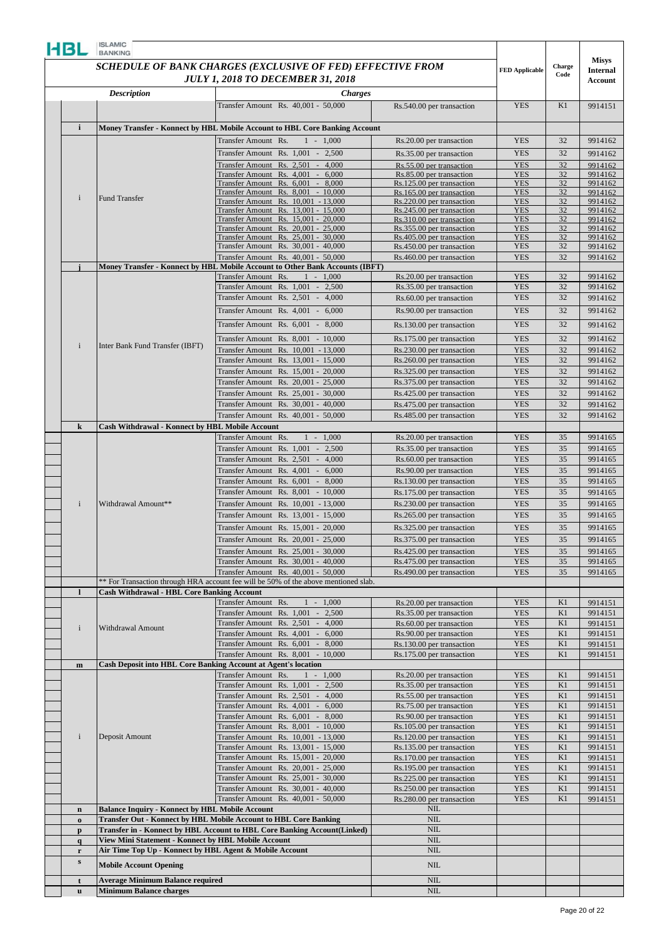| HBL                         | <b>ISLAMIC</b><br><b>BANKING</b>                                                                               |                                                                                                                    |                                                        |                          |          |                                 |
|-----------------------------|----------------------------------------------------------------------------------------------------------------|--------------------------------------------------------------------------------------------------------------------|--------------------------------------------------------|--------------------------|----------|---------------------------------|
|                             |                                                                                                                | SCHEDULE OF BANK CHARGES (EXCLUSIVE OF FED) EFFECTIVE FROM                                                         |                                                        | <b>FED Applicable</b>    | Charge   | <b>Misys</b><br><b>Internal</b> |
|                             |                                                                                                                | <b>JULY 1, 2018 TO DECEMBER 31, 2018</b>                                                                           |                                                        |                          | Code     | Account                         |
|                             | <b>Description</b>                                                                                             | <b>Charges</b>                                                                                                     |                                                        |                          |          |                                 |
|                             |                                                                                                                | Transfer Amount Rs. 40,001 - 50,000                                                                                | Rs.540.00 per transaction                              | <b>YES</b>               | K1       | 9914151                         |
| $\mathbf{i}$                |                                                                                                                | Money Transfer - Konnect by HBL Mobile Account to HBL Core Banking Account                                         |                                                        |                          |          |                                 |
|                             |                                                                                                                | Transfer Amount Rs.<br>$1 - 1,000$                                                                                 | Rs.20.00 per transaction                               | <b>YES</b>               | 32       | 9914162                         |
|                             |                                                                                                                | Transfer Amount Rs. 1,001 - 2,500                                                                                  | Rs.35.00 per transaction                               | <b>YES</b>               | 32       | 9914162                         |
|                             |                                                                                                                | Fransfer Amount Rs. 2,501 - 4,000                                                                                  | Rs.55.00 per transaction                               | <b>YES</b>               | 32       | 9914162                         |
|                             |                                                                                                                | Transfer Amount Rs. 4,001 - 6,000<br>Transfer Amount Rs. 6,001 - 8,000                                             | Rs.85.00 per transaction<br>Rs.125.00 per transaction  | <b>YES</b><br><b>YES</b> | 32<br>32 | 9914162<br>9914162              |
| $\mathbf{i}$                | <b>Fund Transfer</b>                                                                                           | Transfer Amount Rs. 8,001 - 10,000                                                                                 | Rs.165.00 per transaction                              | <b>YES</b>               | 32       | 9914162                         |
|                             |                                                                                                                | Transfer Amount Rs. 10,001 - 13,000<br>Transfer Amount Rs. 13,001 - 15,000                                         | Rs.220.00 per transaction<br>Rs.245.00 per transaction | <b>YES</b><br><b>YES</b> | 32<br>32 | 9914162<br>9914162              |
|                             |                                                                                                                | Transfer Amount Rs. 15,001 - 20,000                                                                                | Rs.310.00 per transaction                              | <b>YES</b>               | 32       | 9914162                         |
|                             |                                                                                                                | Transfer Amount Rs. 20,001 - 25,000<br>Transfer Amount Rs. 25,001 - 30,000                                         | Rs.355.00 per transaction<br>Rs.405.00 per transaction | <b>YES</b><br><b>YES</b> | 32<br>32 | 9914162<br>9914162              |
|                             |                                                                                                                | Transfer Amount Rs. 30,001 - 40,000                                                                                | Rs.450.00 per transaction                              | <b>YES</b>               | 32       | 9914162                         |
|                             |                                                                                                                | Transfer Amount Rs. 40,001 - 50,000                                                                                | Rs.460.00 per transaction                              | <b>YES</b>               | 32       | 9914162                         |
|                             |                                                                                                                | Money Transfer - Konnect by HBL Mobile Account to Other Bank Accounts (IBFT)<br>Transfer Amount Rs.<br>$1 - 1,000$ | Rs.20.00 per transaction                               | <b>YES</b>               | 32       | 9914162                         |
|                             |                                                                                                                | Transfer Amount Rs. 1,001 - 2,500                                                                                  | Rs.35.00 per transaction                               | <b>YES</b>               | 32       | 9914162                         |
|                             |                                                                                                                | Transfer Amount Rs. 2,501 -<br>4,000                                                                               | Rs.60.00 per transaction                               | <b>YES</b>               | 32       | 9914162                         |
|                             |                                                                                                                | Transfer Amount Rs. 4,001 -<br>6,000                                                                               | Rs.90.00 per transaction                               | <b>YES</b>               | 32       | 9914162                         |
|                             |                                                                                                                | Transfer Amount Rs. 6,001 -<br>8,000                                                                               | Rs.130.00 per transaction                              | <b>YES</b>               | 32       | 9914162                         |
|                             |                                                                                                                | Transfer Amount Rs. 8,001 - 10,000                                                                                 | Rs.175.00 per transaction                              | <b>YES</b>               | 32       | 9914162                         |
| $\mathbf{i}$                | Inter Bank Fund Transfer (IBFT)                                                                                | Transfer Amount Rs. 10,001 - 13,000                                                                                | Rs.230.00 per transaction                              | <b>YES</b>               | 32       | 9914162                         |
|                             |                                                                                                                | Transfer Amount Rs. 13,001 - 15,000                                                                                | Rs.260.00 per transaction                              | <b>YES</b>               | 32       | 9914162                         |
|                             |                                                                                                                | Transfer Amount Rs. 15,001 - 20,000<br>Fransfer Amount Rs. 20,001 - 25,000                                         | Rs.325.00 per transaction<br>Rs.375.00 per transaction | <b>YES</b><br><b>YES</b> | 32<br>32 | 9914162<br>9914162              |
|                             |                                                                                                                | Transfer Amount Rs. 25,001 - 30,000                                                                                | Rs.425.00 per transaction                              | <b>YES</b>               | 32       | 9914162                         |
|                             |                                                                                                                | Transfer Amount Rs. 30,001 - 40,000                                                                                | Rs.475.00 per transaction                              | <b>YES</b>               | 32       | 9914162                         |
|                             |                                                                                                                | Transfer Amount Rs. 40,001 - 50,000                                                                                | Rs.485.00 per transaction                              | <b>YES</b>               | 32       | 9914162                         |
| $\bf k$                     | <b>Cash Withdrawal - Konnect by HBL Mobile Account</b>                                                         | Transfer Amount Rs.<br>$1 - 1,000$                                                                                 | Rs.20.00 per transaction                               | <b>YES</b>               | 35       | 9914165                         |
|                             |                                                                                                                | Transfer Amount Rs. 1,001 - 2,500                                                                                  | Rs.35.00 per transaction                               | <b>YES</b>               | 35       | 9914165                         |
|                             |                                                                                                                | Fransfer Amount Rs. 2,501 -<br>4,000                                                                               | Rs.60.00 per transaction                               | <b>YES</b>               | 35       | 9914165                         |
|                             |                                                                                                                | Transfer Amount Rs. 4,001 - 6,000                                                                                  | Rs.90.00 per transaction                               | <b>YES</b>               | 35       | 9914165                         |
|                             |                                                                                                                | Transfer Amount Rs. 6,001 - 8,000<br>Fransfer Amount Rs. 8,001 - 10,000                                            | Rs.130.00 per transaction                              | <b>YES</b>               | 35<br>35 | 9914165<br>9914165              |
| $\mathbf{i}$                | Withdrawal Amount**                                                                                            | Transfer Amount Rs. 10,001 - 13,000                                                                                | Rs.175.00 per transaction<br>Rs.230.00 per transaction | <b>YES</b><br><b>YES</b> | 35       | 9914165                         |
|                             |                                                                                                                | Transfer Amount Rs. 13,001 - 15,000                                                                                | Rs.265.00 per transaction                              | <b>YES</b>               | 35       | 9914165                         |
|                             |                                                                                                                | Transfer Amount Rs. 15,001 - 20,000                                                                                | Rs.325.00 per transaction                              | <b>YES</b>               | 35       | 9914165                         |
|                             |                                                                                                                | Transfer Amount Rs. 20,001 - 25,000                                                                                | Rs.375.00 per transaction                              | <b>YES</b>               | $35\,$   | 9914165                         |
|                             |                                                                                                                | Transfer Amount Rs. 25,001 - 30,000                                                                                | Rs.425.00 per transaction                              | <b>YES</b>               | 35       | 9914165                         |
|                             |                                                                                                                | Transfer Amount Rs. 30,001 - 40,000<br>Transfer Amount Rs. 40,001 - 50,000                                         | Rs.475.00 per transaction<br>Rs.490.00 per transaction | <b>YES</b><br><b>YES</b> | 35<br>35 | 9914165<br>9914165              |
|                             |                                                                                                                | ** For Transaction through HRA account fee will be 50% of the above mentioned slab.                                |                                                        |                          |          |                                 |
| $\mathbf{l}$                | <b>Cash Withdrawal - HBL Core Banking Account</b>                                                              |                                                                                                                    |                                                        |                          |          |                                 |
|                             |                                                                                                                | Transfer Amount Rs.<br>$1 - 1,000$<br>Transfer Amount Rs. 1,001<br>2,500<br>$\sim$                                 | Rs.20.00 per transaction<br>Rs.35.00 per transaction   | <b>YES</b><br><b>YES</b> | K1<br>K1 | 9914151<br>9914151              |
|                             |                                                                                                                | Transfer Amount Rs. 2,501 -<br>4,000                                                                               | Rs.60.00 per transaction                               | <b>YES</b>               | K1       | 9914151                         |
| $\mathbf{i}$                | Withdrawal Amount                                                                                              | Transfer Amount Rs. 4,001 - 6,000                                                                                  | Rs.90.00 per transaction                               | <b>YES</b>               | K1       | 9914151                         |
|                             |                                                                                                                | Transfer Amount Rs. 6,001 - 8,000                                                                                  | Rs.130.00 per transaction                              | <b>YES</b>               | K1       | 9914151                         |
| $\mathbf m$                 | <b>Cash Deposit into HBL Core Banking Account at Agent's location</b>                                          | Transfer Amount Rs. 8,001 - 10,000                                                                                 | Rs.175.00 per transaction                              | <b>YES</b>               | K1       | 9914151                         |
|                             |                                                                                                                | Transfer Amount Rs.<br>$1 - 1,000$                                                                                 | Rs.20.00 per transaction                               | <b>YES</b>               | K1       | 9914151                         |
|                             |                                                                                                                | Transfer Amount Rs. 1,001 -<br>2,500                                                                               | Rs.35.00 per transaction                               | <b>YES</b>               | K1       | 9914151                         |
|                             |                                                                                                                | Transfer Amount Rs. 2,501 -<br>4,000<br>Transfer Amount Rs. 4,001 -<br>6,000                                       | Rs.55.00 per transaction<br>Rs.75.00 per transaction   | <b>YES</b><br><b>YES</b> | K1<br>K1 | 9914151<br>9914151              |
|                             |                                                                                                                | Transfer Amount Rs. 6,001 - 8,000                                                                                  | Rs.90.00 per transaction                               | <b>YES</b>               | K1       | 9914151                         |
|                             |                                                                                                                | Transfer Amount Rs. 8,001 - 10,000                                                                                 | Rs.105.00 per transaction                              | <b>YES</b>               | K1       | 9914151                         |
| $\mathbf{i}$                | Deposit Amount                                                                                                 | Transfer Amount Rs. 10,001 - 13,000                                                                                | Rs.120.00 per transaction                              | <b>YES</b>               | K1       | 9914151                         |
|                             |                                                                                                                | Transfer Amount Rs. 13,001 - 15,000<br>Transfer Amount Rs. 15,001 - 20,000                                         | Rs.135.00 per transaction<br>Rs.170.00 per transaction | <b>YES</b><br><b>YES</b> | K1<br>K1 | 9914151<br>9914151              |
|                             |                                                                                                                | Transfer Amount Rs. 20,001 - 25,000                                                                                | Rs.195.00 per transaction                              | <b>YES</b>               | K1       | 9914151                         |
|                             |                                                                                                                | Transfer Amount Rs. 25,001 - 30,000                                                                                | Rs.225.00 per transaction                              | <b>YES</b>               | K1       | 9914151                         |
|                             |                                                                                                                | Transfer Amount Rs. 30,001 - 40,000<br>Transfer Amount Rs. 40,001 - 50,000                                         | Rs.250.00 per transaction<br>Rs.280.00 per transaction | <b>YES</b><br><b>YES</b> | K1<br>K1 | 9914151<br>9914151              |
| $\mathbf n$                 | <b>Balance Inquiry - Konnect by HBL Mobile Account</b>                                                         |                                                                                                                    | <b>NIL</b>                                             |                          |          |                                 |
| $\bf{0}$                    |                                                                                                                | Transfer Out - Konnect by HBL Mobile Account to HBL Core Banking                                                   | $\rm NIL$                                              |                          |          |                                 |
| $\mathbf{p}$                |                                                                                                                | Transfer in - Konnect by HBL Account to HBL Core Banking Account(Linked)                                           | NIL                                                    |                          |          |                                 |
| $\mathbf{q}$<br>$\mathbf r$ | View Mini Statement - Konnect by HBL Mobile Account<br>Air Time Top Up - Konnect by HBL Agent & Mobile Account |                                                                                                                    | <b>NIL</b><br>NIL                                      |                          |          |                                 |
| s                           | <b>Mobile Account Opening</b>                                                                                  |                                                                                                                    | $\rm NIL$                                              |                          |          |                                 |
| t                           | <b>Average Minimum Balance required</b>                                                                        |                                                                                                                    | $NIL$                                                  |                          |          |                                 |
| $\mathbf u$                 | <b>Minimum Balance charges</b>                                                                                 |                                                                                                                    | $NIL$                                                  |                          |          |                                 |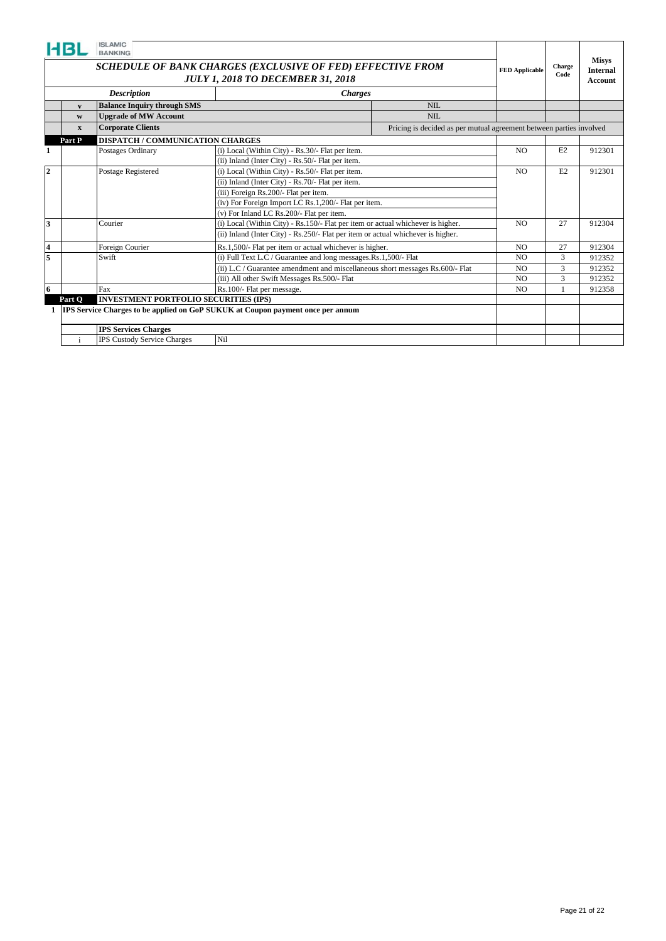| <b>Description</b><br><b>Charges</b><br><b>Balance Inquiry through SMS</b><br>NII.<br>$\mathbf{v}$<br><b>NIL</b><br><b>Upgrade of MW Account</b><br>W<br><b>Corporate Clients</b><br>Pricing is decided as per mutual agreement between parties involved<br>$\mathbf{x}$<br><b>DISPATCH / COMMUNICATION CHARGES</b><br>Part P<br>E2<br>(i) Local (Within City) - Rs.30/- Flat per item.<br>N <sub>O</sub><br>912301<br>Postages Ordinary<br>(ii) Inland (Inter City) - Rs.50/- Flat per item.<br>$\overline{2}$<br>(i) Local (Within City) - Rs.50/- Flat per item.<br>912301<br>Postage Registered<br>N <sub>O</sub><br>E2<br>(ii) Inland (Inter City) - Rs.70/- Flat per item.<br>(iii) Foreign Rs.200/- Flat per item.<br>(iv) For Foreign Import LC Rs.1,200/- Flat per item.<br>(v) For Inland LC Rs.200/- Flat per item.<br>3<br>(i) Local (Within City) - Rs.150/- Flat per item or actual whichever is higher.<br>Courier<br>27<br>912304<br>N <sub>O</sub><br>(ii) Inland (Inter City) - Rs.250/- Flat per item or actual whichever is higher.<br>Rs.1,500/- Flat per item or actual whichever is higher.<br>$\overline{\bf{4}}$<br>Foreign Courier<br>N <sub>O</sub><br>27<br>912304<br>5<br>Swift<br>(i) Full Text L.C / Guarantee and long messages.Rs.1,500/- Flat<br>3<br>912352<br>N <sub>O</sub><br>(ii) L.C / Guarantee amendment and miscellaneous short messages Rs.600/- Flat<br>3<br>912352<br>N <sub>O</sub><br>(iii) All other Swift Messages Rs.500/- Flat<br>3<br>912352<br>N <sub>O</sub><br>6<br>Fax<br>Rs.100/- Flat per message.<br>N <sub>O</sub><br>912358<br><b>INVESTMENT PORTFOLIO SECURITIES (IPS)</b><br>Part O<br><b>IPS</b> Service Charges to be applied on GoP SUKUK at Coupon payment once per annum<br><b>IPS Services Charges</b><br>IPS Custody Service Charges<br>Nil<br>$\ddot{i}$ |  | <b>ISLAMIC</b><br><b>BANKING</b> | SCHEDULE OF BANK CHARGES (EXCLUSIVE OF FED) EFFECTIVE FROM<br><b>JULY 1, 2018 TO DECEMBER 31, 2018</b> |  | <b>FED Applicable</b> | Charge<br>Code | <b>Misys</b><br><b>Internal</b><br>Account |
|----------------------------------------------------------------------------------------------------------------------------------------------------------------------------------------------------------------------------------------------------------------------------------------------------------------------------------------------------------------------------------------------------------------------------------------------------------------------------------------------------------------------------------------------------------------------------------------------------------------------------------------------------------------------------------------------------------------------------------------------------------------------------------------------------------------------------------------------------------------------------------------------------------------------------------------------------------------------------------------------------------------------------------------------------------------------------------------------------------------------------------------------------------------------------------------------------------------------------------------------------------------------------------------------------------------------------------------------------------------------------------------------------------------------------------------------------------------------------------------------------------------------------------------------------------------------------------------------------------------------------------------------------------------------------------------------------------------------------------------------------------------------------------------------------------------------------------|--|----------------------------------|--------------------------------------------------------------------------------------------------------|--|-----------------------|----------------|--------------------------------------------|
|                                                                                                                                                                                                                                                                                                                                                                                                                                                                                                                                                                                                                                                                                                                                                                                                                                                                                                                                                                                                                                                                                                                                                                                                                                                                                                                                                                                                                                                                                                                                                                                                                                                                                                                                                                                                                                  |  |                                  |                                                                                                        |  |                       |                |                                            |
|                                                                                                                                                                                                                                                                                                                                                                                                                                                                                                                                                                                                                                                                                                                                                                                                                                                                                                                                                                                                                                                                                                                                                                                                                                                                                                                                                                                                                                                                                                                                                                                                                                                                                                                                                                                                                                  |  |                                  |                                                                                                        |  |                       |                |                                            |
|                                                                                                                                                                                                                                                                                                                                                                                                                                                                                                                                                                                                                                                                                                                                                                                                                                                                                                                                                                                                                                                                                                                                                                                                                                                                                                                                                                                                                                                                                                                                                                                                                                                                                                                                                                                                                                  |  |                                  |                                                                                                        |  |                       |                |                                            |
|                                                                                                                                                                                                                                                                                                                                                                                                                                                                                                                                                                                                                                                                                                                                                                                                                                                                                                                                                                                                                                                                                                                                                                                                                                                                                                                                                                                                                                                                                                                                                                                                                                                                                                                                                                                                                                  |  |                                  |                                                                                                        |  |                       |                |                                            |
|                                                                                                                                                                                                                                                                                                                                                                                                                                                                                                                                                                                                                                                                                                                                                                                                                                                                                                                                                                                                                                                                                                                                                                                                                                                                                                                                                                                                                                                                                                                                                                                                                                                                                                                                                                                                                                  |  |                                  |                                                                                                        |  |                       |                |                                            |
|                                                                                                                                                                                                                                                                                                                                                                                                                                                                                                                                                                                                                                                                                                                                                                                                                                                                                                                                                                                                                                                                                                                                                                                                                                                                                                                                                                                                                                                                                                                                                                                                                                                                                                                                                                                                                                  |  |                                  |                                                                                                        |  |                       |                |                                            |
|                                                                                                                                                                                                                                                                                                                                                                                                                                                                                                                                                                                                                                                                                                                                                                                                                                                                                                                                                                                                                                                                                                                                                                                                                                                                                                                                                                                                                                                                                                                                                                                                                                                                                                                                                                                                                                  |  |                                  |                                                                                                        |  |                       |                |                                            |
|                                                                                                                                                                                                                                                                                                                                                                                                                                                                                                                                                                                                                                                                                                                                                                                                                                                                                                                                                                                                                                                                                                                                                                                                                                                                                                                                                                                                                                                                                                                                                                                                                                                                                                                                                                                                                                  |  |                                  |                                                                                                        |  |                       |                |                                            |
|                                                                                                                                                                                                                                                                                                                                                                                                                                                                                                                                                                                                                                                                                                                                                                                                                                                                                                                                                                                                                                                                                                                                                                                                                                                                                                                                                                                                                                                                                                                                                                                                                                                                                                                                                                                                                                  |  |                                  |                                                                                                        |  |                       |                |                                            |
|                                                                                                                                                                                                                                                                                                                                                                                                                                                                                                                                                                                                                                                                                                                                                                                                                                                                                                                                                                                                                                                                                                                                                                                                                                                                                                                                                                                                                                                                                                                                                                                                                                                                                                                                                                                                                                  |  |                                  |                                                                                                        |  |                       |                |                                            |
|                                                                                                                                                                                                                                                                                                                                                                                                                                                                                                                                                                                                                                                                                                                                                                                                                                                                                                                                                                                                                                                                                                                                                                                                                                                                                                                                                                                                                                                                                                                                                                                                                                                                                                                                                                                                                                  |  |                                  |                                                                                                        |  |                       |                |                                            |
|                                                                                                                                                                                                                                                                                                                                                                                                                                                                                                                                                                                                                                                                                                                                                                                                                                                                                                                                                                                                                                                                                                                                                                                                                                                                                                                                                                                                                                                                                                                                                                                                                                                                                                                                                                                                                                  |  |                                  |                                                                                                        |  |                       |                |                                            |
|                                                                                                                                                                                                                                                                                                                                                                                                                                                                                                                                                                                                                                                                                                                                                                                                                                                                                                                                                                                                                                                                                                                                                                                                                                                                                                                                                                                                                                                                                                                                                                                                                                                                                                                                                                                                                                  |  |                                  |                                                                                                        |  |                       |                |                                            |
|                                                                                                                                                                                                                                                                                                                                                                                                                                                                                                                                                                                                                                                                                                                                                                                                                                                                                                                                                                                                                                                                                                                                                                                                                                                                                                                                                                                                                                                                                                                                                                                                                                                                                                                                                                                                                                  |  |                                  |                                                                                                        |  |                       |                |                                            |
|                                                                                                                                                                                                                                                                                                                                                                                                                                                                                                                                                                                                                                                                                                                                                                                                                                                                                                                                                                                                                                                                                                                                                                                                                                                                                                                                                                                                                                                                                                                                                                                                                                                                                                                                                                                                                                  |  |                                  |                                                                                                        |  |                       |                |                                            |
|                                                                                                                                                                                                                                                                                                                                                                                                                                                                                                                                                                                                                                                                                                                                                                                                                                                                                                                                                                                                                                                                                                                                                                                                                                                                                                                                                                                                                                                                                                                                                                                                                                                                                                                                                                                                                                  |  |                                  |                                                                                                        |  |                       |                |                                            |
|                                                                                                                                                                                                                                                                                                                                                                                                                                                                                                                                                                                                                                                                                                                                                                                                                                                                                                                                                                                                                                                                                                                                                                                                                                                                                                                                                                                                                                                                                                                                                                                                                                                                                                                                                                                                                                  |  |                                  |                                                                                                        |  |                       |                |                                            |
|                                                                                                                                                                                                                                                                                                                                                                                                                                                                                                                                                                                                                                                                                                                                                                                                                                                                                                                                                                                                                                                                                                                                                                                                                                                                                                                                                                                                                                                                                                                                                                                                                                                                                                                                                                                                                                  |  |                                  |                                                                                                        |  |                       |                |                                            |
|                                                                                                                                                                                                                                                                                                                                                                                                                                                                                                                                                                                                                                                                                                                                                                                                                                                                                                                                                                                                                                                                                                                                                                                                                                                                                                                                                                                                                                                                                                                                                                                                                                                                                                                                                                                                                                  |  |                                  |                                                                                                        |  |                       |                |                                            |
|                                                                                                                                                                                                                                                                                                                                                                                                                                                                                                                                                                                                                                                                                                                                                                                                                                                                                                                                                                                                                                                                                                                                                                                                                                                                                                                                                                                                                                                                                                                                                                                                                                                                                                                                                                                                                                  |  |                                  |                                                                                                        |  |                       |                |                                            |
|                                                                                                                                                                                                                                                                                                                                                                                                                                                                                                                                                                                                                                                                                                                                                                                                                                                                                                                                                                                                                                                                                                                                                                                                                                                                                                                                                                                                                                                                                                                                                                                                                                                                                                                                                                                                                                  |  |                                  |                                                                                                        |  |                       |                |                                            |
|                                                                                                                                                                                                                                                                                                                                                                                                                                                                                                                                                                                                                                                                                                                                                                                                                                                                                                                                                                                                                                                                                                                                                                                                                                                                                                                                                                                                                                                                                                                                                                                                                                                                                                                                                                                                                                  |  |                                  |                                                                                                        |  |                       |                |                                            |
|                                                                                                                                                                                                                                                                                                                                                                                                                                                                                                                                                                                                                                                                                                                                                                                                                                                                                                                                                                                                                                                                                                                                                                                                                                                                                                                                                                                                                                                                                                                                                                                                                                                                                                                                                                                                                                  |  |                                  |                                                                                                        |  |                       |                |                                            |